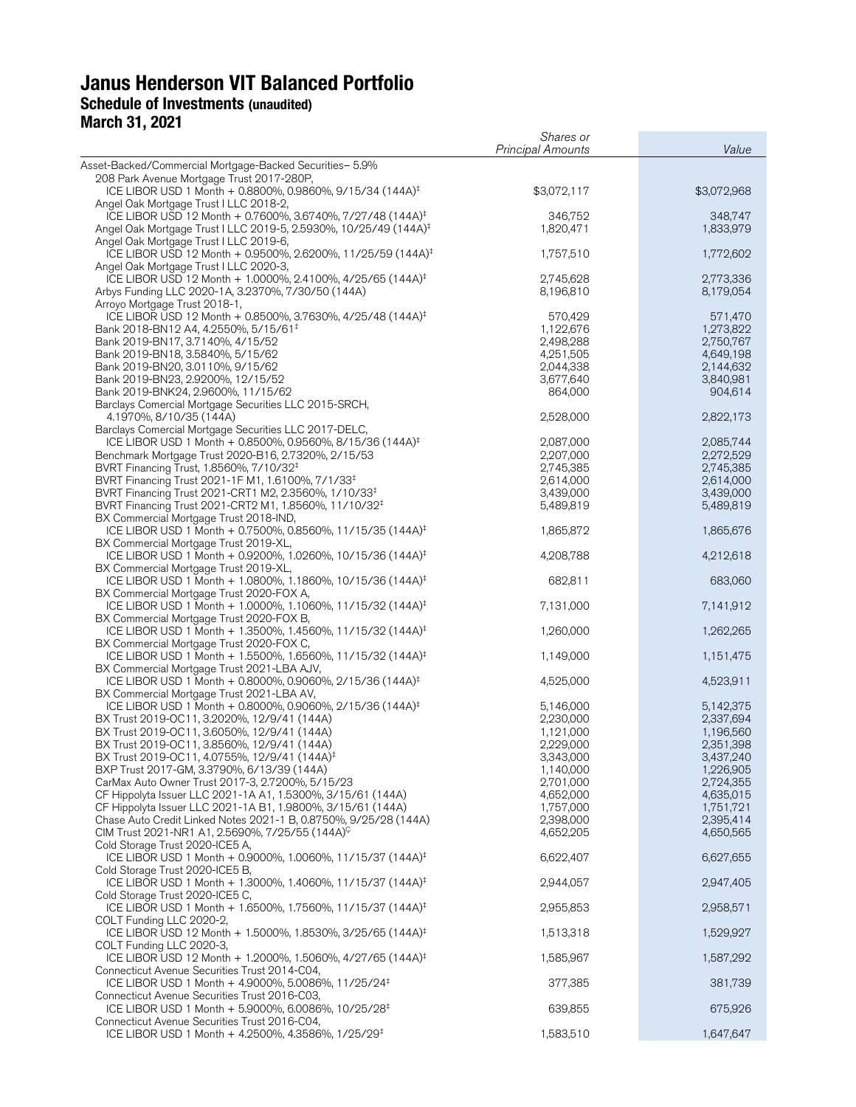# **Janus Henderson VIT Balanced Portfolio Schedule of Investments (unaudited) March 31, 2021**

|                                                                                                                                                        | Shares or<br><b>Principal Amounts</b> | Value                  |
|--------------------------------------------------------------------------------------------------------------------------------------------------------|---------------------------------------|------------------------|
| Asset-Backed/Commercial Mortgage-Backed Securities- 5.9%                                                                                               |                                       |                        |
| 208 Park Avenue Mortgage Trust 2017-280P,                                                                                                              |                                       |                        |
| ICE LIBOR USD 1 Month + 0.8800%, 0.9860%, 9/15/34 (144A) <sup>‡</sup>                                                                                  | \$3,072,117                           | \$3,072,968            |
| Angel Oak Mortgage Trust I LLC 2018-2,                                                                                                                 |                                       |                        |
| ICE LIBOR USD 12 Month + 0.7600%, 3.6740%, 7/27/48 (144A) <sup>‡</sup><br>Angel Oak Mortgage Trust I LLC 2019-5, 2.5930%, 10/25/49 (144A) <sup>‡</sup> | 346,752<br>1,820,471                  | 348,747<br>1,833,979   |
| Angel Oak Mortgage Trust I LLC 2019-6,                                                                                                                 |                                       |                        |
| ICE LIBOR USD 12 Month + 0.9500%, 2.6200%, 11/25/59 (144A) <sup>‡</sup>                                                                                | 1,757,510                             | 1,772,602              |
| Angel Oak Mortgage Trust I LLC 2020-3,                                                                                                                 |                                       |                        |
| ICE LIBOR USD 12 Month + 1.0000%, 2.4100%, 4/25/65 (144A) <sup>‡</sup>                                                                                 | 2,745,628                             | 2,773,336              |
| Arbys Funding LLC 2020-1A, 3.2370%, 7/30/50 (144A)                                                                                                     | 8,196,810                             | 8,179,054              |
| Arroyo Mortgage Trust 2018-1,<br>ICE LIBOR USD 12 Month + 0.8500%, 3.7630%, 4/25/48 (144A) <sup>‡</sup>                                                | 570,429                               | 571,470                |
| Bank 2018-BN12 A4, 4.2550%, 5/15/61 <sup>‡</sup>                                                                                                       | 1,122,676                             | 1,273,822              |
| Bank 2019-BN17, 3.7140%, 4/15/52                                                                                                                       | 2,498,288                             | 2,750,767              |
| Bank 2019-BN18, 3.5840%, 5/15/62                                                                                                                       | 4,251,505                             | 4,649,198              |
| Bank 2019-BN20, 3.0110%, 9/15/62                                                                                                                       | 2,044,338                             | 2,144,632              |
| Bank 2019-BN23, 2.9200%, 12/15/52                                                                                                                      | 3,677,640                             | 3,840,981              |
| Bank 2019-BNK24, 2.9600%, 11/15/62<br>Barclays Comercial Mortgage Securities LLC 2015-SRCH,                                                            | 864,000                               | 904,614                |
| 4.1970%, 8/10/35 (144A)                                                                                                                                | 2,528,000                             | 2,822,173              |
| Barclays Comercial Mortgage Securities LLC 2017-DELC,                                                                                                  |                                       |                        |
| ICE LIBOR USD 1 Month + 0.8500%, 0.9560%, 8/15/36 (144A) <sup>‡</sup>                                                                                  | 2,087,000                             | 2,085,744              |
| Benchmark Mortgage Trust 2020-B16, 2.7320%, 2/15/53                                                                                                    | 2,207,000                             | 2,272,529              |
| BVRT Financing Trust, 1.8560%, 7/10/32 <sup>‡</sup>                                                                                                    | 2,745,385                             | 2,745,385              |
| BVRT Financing Trust 2021-1F M1, 1.6100%, 7/1/33 <sup>‡</sup><br>BVRT Financing Trust 2021-CRT1 M2, 2.3560%, 1/10/33 <sup>‡</sup>                      | 2,614,000<br>3,439,000                | 2,614,000<br>3,439,000 |
| BVRT Financing Trust 2021-CRT2 M1, 1.8560%, 11/10/32 <sup>‡</sup>                                                                                      | 5,489,819                             | 5,489,819              |
| BX Commercial Mortgage Trust 2018-IND,                                                                                                                 |                                       |                        |
| ICE LIBOR USD 1 Month + 0.7500%, 0.8560%, 11/15/35 (144A) <sup>‡</sup>                                                                                 | 1,865,872                             | 1,865,676              |
| BX Commercial Mortgage Trust 2019-XL,                                                                                                                  |                                       |                        |
| ICE LIBOR USD 1 Month + 0.9200%, 1.0260%, 10/15/36 (144A) <sup>‡</sup>                                                                                 | 4,208,788                             | 4,212,618              |
| BX Commercial Mortgage Trust 2019-XL,<br>ICE LIBOR USD 1 Month + 1.0800%, 1.1860%, 10/15/36 (144A) <sup>‡</sup>                                        | 682,811                               | 683,060                |
| BX Commercial Mortgage Trust 2020-FOX A,                                                                                                               |                                       |                        |
| ICE LIBOR USD 1 Month + 1.0000%, 1.1060%, 11/15/32 (144A) <sup>‡</sup>                                                                                 | 7,131,000                             | 7,141,912              |
| BX Commercial Mortgage Trust 2020-FOX B,                                                                                                               |                                       |                        |
| ICE LIBOR USD 1 Month + 1.3500%, 1.4560%, 11/15/32 (144A) <sup>‡</sup>                                                                                 | 1,260,000                             | 1,262,265              |
| BX Commercial Mortgage Trust 2020-FOX C,<br>ICE LIBOR USD 1 Month + 1.5500%, 1.6560%, 11/15/32 (144A) <sup>‡</sup>                                     | 1,149,000                             | 1,151,475              |
| BX Commercial Mortgage Trust 2021-LBA AJV,                                                                                                             |                                       |                        |
| ICE LIBOR USD 1 Month + 0.8000%, 0.9060%, 2/15/36 (144A) <sup>‡</sup>                                                                                  | 4,525,000                             | 4,523,911              |
| BX Commercial Mortgage Trust 2021-LBA AV,                                                                                                              |                                       |                        |
| ICE LIBOR USD 1 Month + 0.8000%, 0.9060%, 2/15/36 (144A) <sup>‡</sup>                                                                                  | 5,146,000                             | 5,142,375              |
| BX Trust 2019-OC11, 3.2020%, 12/9/41 (144A)                                                                                                            | 2,230,000                             | 2,337,694              |
| BX Trust 2019-OC11, 3.6050%, 12/9/41 (144A)<br>BX Trust 2019-OC11, 3.8560%, 12/9/41 (144A)                                                             | 1,121,000<br>2,229,000                | 1,196,560<br>2,351,398 |
| BX Trust 2019-OC11, 4.0755%, 12/9/41 (144A) <sup>‡</sup>                                                                                               | 3,343,000                             | 3,437,240              |
| BXP Trust 2017-GM, 3.3790%, 6/13/39 (144A)                                                                                                             | 1,140,000                             | 1,226,905              |
| CarMax Auto Owner Trust 2017-3, 2.7200%, 5/15/23                                                                                                       | 2,701,000                             | 2,724,355              |
| CF Hippolyta Issuer LLC 2021-1A A1, 1.5300%, 3/15/61 (144A)                                                                                            | 4,652,000                             | 4,635,015              |
| CF Hippolyta Issuer LLC 2021-1A B1, 1.9800%, 3/15/61 (144A)                                                                                            | 1,757,000                             | 1,751,721              |
| Chase Auto Credit Linked Notes 2021-1 B, 0.8750%, 9/25/28 (144A)<br>CIM Trust 2021-NR1 A1, 2.5690%, 7/25/55 (144A) <sup>C</sup>                        | 2,398,000<br>4,652,205                | 2,395,414<br>4,650,565 |
| Cold Storage Trust 2020-ICE5 A,                                                                                                                        |                                       |                        |
| ICE LIBOR USD 1 Month + 0.9000%, 1.0060%, 11/15/37 (144A) <sup>‡</sup>                                                                                 | 6,622,407                             | 6,627,655              |
| Cold Storage Trust 2020-ICE5 B,                                                                                                                        |                                       |                        |
| ICE LIBOR USD 1 Month + 1.3000%, 1.4060%, 11/15/37 (144A) <sup>‡</sup>                                                                                 | 2,944,057                             | 2,947,405              |
| Cold Storage Trust 2020-ICE5 C,                                                                                                                        |                                       |                        |
| ICE LIBOR USD 1 Month + 1.6500%, 1.7560%, 11/15/37 (144A) <sup>‡</sup><br>COLT Funding LLC 2020-2,                                                     | 2,955,853                             | 2,958,571              |
| ICE LIBOR USD 12 Month + 1.5000%, 1.8530%, 3/25/65 (144A) <sup>‡</sup>                                                                                 | 1,513,318                             | 1,529,927              |
| COLT Funding LLC 2020-3,                                                                                                                               |                                       |                        |
| ICE LIBOR USD 12 Month + 1.2000%, 1.5060%, 4/27/65 (144A) <sup>‡</sup>                                                                                 | 1,585,967                             | 1,587,292              |
| Connecticut Avenue Securities Trust 2014-C04,                                                                                                          |                                       |                        |
| ICE LIBOR USD 1 Month + 4.9000%, 5.0086%, 11/25/24 <sup>‡</sup>                                                                                        | 377,385                               | 381,739                |
| Connecticut Avenue Securities Trust 2016-C03,<br>ICE LIBOR USD 1 Month + 5.9000%, 6.0086%, 10/25/28 <sup>‡</sup>                                       | 639,855                               | 675,926                |
| Connecticut Avenue Securities Trust 2016-C04,                                                                                                          |                                       |                        |
| ICE LIBOR USD 1 Month + 4.2500%, 4.3586%, 1/25/29 <sup>‡</sup>                                                                                         | 1,583,510                             | 1,647,647              |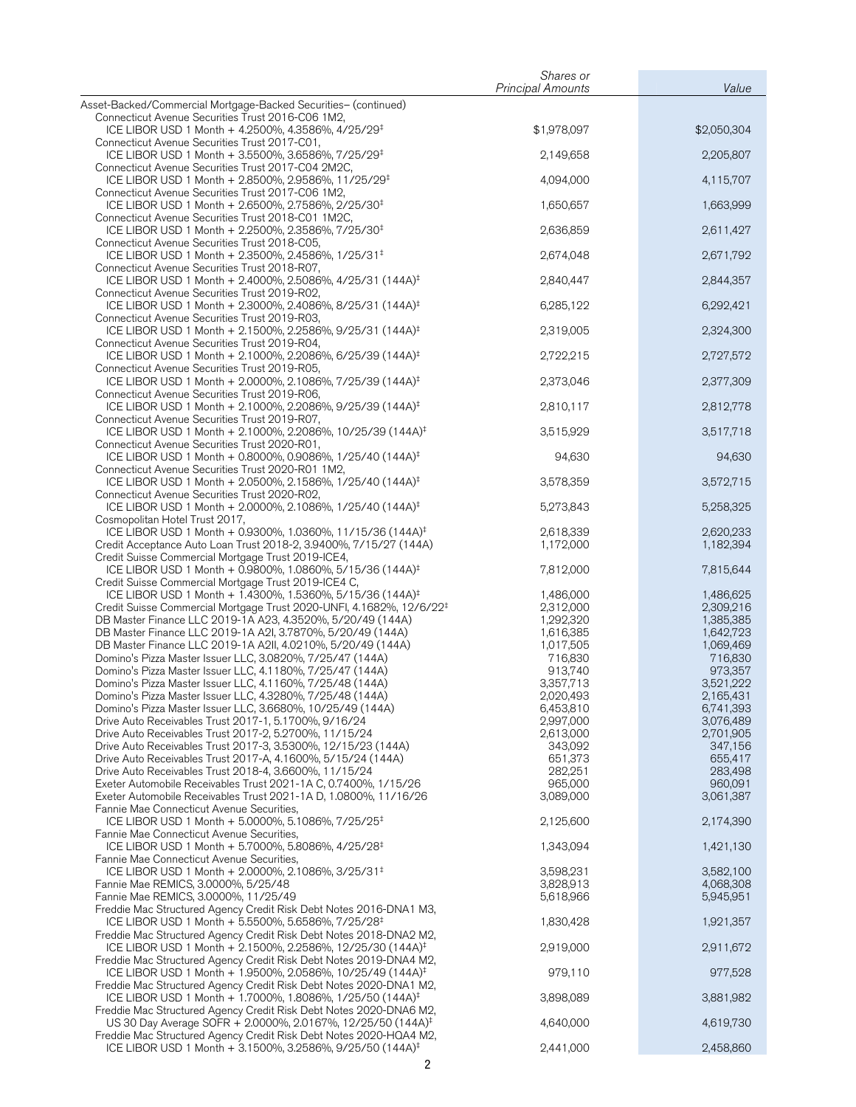|                                                                                                                                                                                                                                                                                                                                                                                                                                       | Shares or                                                                           |                                                                                     |
|---------------------------------------------------------------------------------------------------------------------------------------------------------------------------------------------------------------------------------------------------------------------------------------------------------------------------------------------------------------------------------------------------------------------------------------|-------------------------------------------------------------------------------------|-------------------------------------------------------------------------------------|
| Asset-Backed/Commercial Mortgage-Backed Securities- (continued)                                                                                                                                                                                                                                                                                                                                                                       | <b>Principal Amounts</b>                                                            | Value                                                                               |
| Connecticut Avenue Securities Trust 2016-C06 1M2,<br>ICE LIBOR USD 1 Month + 4.2500%, 4.3586%, 4/25/29 <sup>‡</sup>                                                                                                                                                                                                                                                                                                                   | \$1,978,097                                                                         | \$2,050,304                                                                         |
| Connecticut Avenue Securities Trust 2017-C01,<br>ICE LIBOR USD 1 Month + 3.5500%, 3.6586%, 7/25/29 <sup>‡</sup>                                                                                                                                                                                                                                                                                                                       | 2,149,658                                                                           | 2,205,807                                                                           |
| Connecticut Avenue Securities Trust 2017-C04 2M2C,<br>ICE LIBOR USD 1 Month + 2.8500%, 2.9586%, 11/25/29 <sup>‡</sup>                                                                                                                                                                                                                                                                                                                 | 4,094,000                                                                           | 4,115,707                                                                           |
| Connecticut Avenue Securities Trust 2017-C06 1M2,<br>ICE LIBOR USD 1 Month + 2.6500%, 2.7586%, 2/25/30 <sup>‡</sup>                                                                                                                                                                                                                                                                                                                   | 1,650,657                                                                           | 1,663,999                                                                           |
| Connecticut Avenue Securities Trust 2018-C01 1M2C,<br>ICE LIBOR USD 1 Month + 2.2500%, 2.3586%, 7/25/30 <sup>‡</sup>                                                                                                                                                                                                                                                                                                                  | 2,636,859                                                                           | 2,611,427                                                                           |
| Connecticut Avenue Securities Trust 2018-C05,<br>ICE LIBOR USD 1 Month + 2.3500%, 2.4586%, 1/25/31 <sup>‡</sup>                                                                                                                                                                                                                                                                                                                       | 2,674,048                                                                           | 2,671,792                                                                           |
| Connecticut Avenue Securities Trust 2018-R07,<br>ICE LIBOR USD 1 Month + 2.4000%, 2.5086%, 4/25/31 (144A) <sup>‡</sup><br>Connecticut Avenue Securities Trust 2019-R02,                                                                                                                                                                                                                                                               | 2,840,447                                                                           | 2,844,357                                                                           |
| ICE LIBOR USD 1 Month + 2.3000%, 2.4086%, 8/25/31 (144A) <sup>‡</sup><br>Connecticut Avenue Securities Trust 2019-R03,                                                                                                                                                                                                                                                                                                                | 6,285,122                                                                           | 6,292,421                                                                           |
| ICE LIBOR USD 1 Month + 2.1500%, 2.2586%, 9/25/31 (144A) <sup>‡</sup><br>Connecticut Avenue Securities Trust 2019-R04,                                                                                                                                                                                                                                                                                                                | 2,319,005                                                                           | 2,324,300                                                                           |
| ICE LIBOR USD 1 Month + 2.1000%, 2.2086%, 6/25/39 (144A) <sup>‡</sup><br>Connecticut Avenue Securities Trust 2019-R05,                                                                                                                                                                                                                                                                                                                | 2,722,215                                                                           | 2,727,572                                                                           |
| ICE LIBOR USD 1 Month + 2.0000%, 2.1086%, 7/25/39 (144A) <sup>‡</sup><br>Connecticut Avenue Securities Trust 2019-R06,                                                                                                                                                                                                                                                                                                                | 2,373,046                                                                           | 2,377,309                                                                           |
| ICE LIBOR USD 1 Month + 2.1000%, 2.2086%, 9/25/39 (144A) <sup>‡</sup><br>Connecticut Avenue Securities Trust 2019-R07,                                                                                                                                                                                                                                                                                                                | 2,810,117                                                                           | 2,812,778                                                                           |
| ICE LIBOR USD 1 Month + 2.1000%, 2.2086%, 10/25/39 (144A) <sup>‡</sup><br>Connecticut Avenue Securities Trust 2020-R01,                                                                                                                                                                                                                                                                                                               | 3,515,929                                                                           | 3,517,718                                                                           |
| ICE LIBOR USD 1 Month + 0.8000%, 0.9086%, 1/25/40 (144A) <sup>‡</sup><br>Connecticut Avenue Securities Trust 2020-R01 1M2,                                                                                                                                                                                                                                                                                                            | 94,630                                                                              | 94,630                                                                              |
| ICE LIBOR USD 1 Month + 2.0500%, 2.1586%, 1/25/40 (144A) <sup>‡</sup><br>Connecticut Avenue Securities Trust 2020-R02,                                                                                                                                                                                                                                                                                                                | 3,578,359                                                                           | 3,572,715                                                                           |
| ICE LIBOR USD 1 Month + 2.0000%, 2.1086%, 1/25/40 (144A) <sup>‡</sup><br>Cosmopolitan Hotel Trust 2017,                                                                                                                                                                                                                                                                                                                               | 5,273,843                                                                           | 5,258,325                                                                           |
| ICE LIBOR USD 1 Month + 0.9300%, 1.0360%, 11/15/36 (144A) <sup>‡</sup><br>Credit Acceptance Auto Loan Trust 2018-2, 3.9400%, 7/15/27 (144A)<br>Credit Suisse Commercial Mortgage Trust 2019-ICE4,                                                                                                                                                                                                                                     | 2,618,339<br>1,172,000                                                              | 2,620,233<br>1,182,394                                                              |
| ICE LIBOR USD 1 Month + 0.9800%, 1.0860%, 5/15/36 (144A) <sup>‡</sup><br>Credit Suisse Commercial Mortgage Trust 2019-ICE4 C,                                                                                                                                                                                                                                                                                                         | 7,812,000                                                                           | 7,815,644                                                                           |
| ICE LIBOR USD 1 Month + 1.4300%, 1.5360%, 5/15/36 (144A) <sup>‡</sup><br>Credit Suisse Commercial Mortgage Trust 2020-UNFI, 4.1682%, 12/6/22 <sup>‡</sup><br>DB Master Finance LLC 2019-1A A23, 4.3520%, 5/20/49 (144A)<br>DB Master Finance LLC 2019-1A A2I, 3.7870%, 5/20/49 (144A)<br>DB Master Finance LLC 2019-1A A2II, 4.0210%, 5/20/49 (144A)<br>Domino's Pizza Master Issuer LLC, 3.0820%, 7/25/47 (144A)                     | 1,486,000<br>2,312,000<br>1,292,320<br>1,616,385<br>1,017,505<br>716,830            | 1,486,625<br>2,309,216<br>1,385,385<br>1,642,723<br>1,069,469<br>716,830            |
| Domino's Pizza Master Issuer LLC, 4.1180%, 7/25/47 (144A)<br>Domino's Pizza Master Issuer LLC, 4.1160%, 7/25/48 (144A)<br>Domino's Pizza Master Issuer LLC, 4.3280%, 7/25/48 (144A)<br>Domino's Pizza Master Issuer LLC, 3.6680%, 10/25/49 (144A)<br>Drive Auto Receivables Trust 2017-1, 5.1700%, 9/16/24<br>Drive Auto Receivables Trust 2017-2, 5.2700%, 11/15/24<br>Drive Auto Receivables Trust 2017-3, 3.5300%, 12/15/23 (144A) | 913,740<br>3,357,713<br>2.020.493<br>6,453,810<br>2,997,000<br>2,613,000<br>343,092 | 973,357<br>3,521,222<br>2,165,431<br>6,741,393<br>3,076,489<br>2,701,905<br>347,156 |
| Drive Auto Receivables Trust 2017-A, 4.1600%, 5/15/24 (144A)<br>Drive Auto Receivables Trust 2018-4, 3.6600%, 11/15/24<br>Exeter Automobile Receivables Trust 2021-1A C, 0.7400%, 1/15/26<br>Exeter Automobile Receivables Trust 2021-1A D, 1.0800%, 11/16/26<br>Fannie Mae Connecticut Avenue Securities,                                                                                                                            | 651,373<br>282,251<br>965,000<br>3,089,000                                          | 655,417<br>283,498<br>960,091<br>3,061,387                                          |
| ICE LIBOR USD 1 Month + 5.0000%, 5.1086%, 7/25/25 <sup>‡</sup><br>Fannie Mae Connecticut Avenue Securities,                                                                                                                                                                                                                                                                                                                           | 2,125,600                                                                           | 2,174,390                                                                           |
| ICE LIBOR USD 1 Month + 5.7000%, 5.8086%, 4/25/28 <sup>‡</sup><br>Fannie Mae Connecticut Avenue Securities,                                                                                                                                                                                                                                                                                                                           | 1,343,094                                                                           | 1,421,130                                                                           |
| ICE LIBOR USD 1 Month + 2.0000%, 2.1086%, 3/25/31 <sup>‡</sup><br>Fannie Mae REMICS, 3.0000%, 5/25/48<br>Fannie Mae REMICS, 3.0000%, 11/25/49<br>Freddie Mac Structured Agency Credit Risk Debt Notes 2016-DNA1 M3,                                                                                                                                                                                                                   | 3,598,231<br>3,828,913<br>5,618,966                                                 | 3,582,100<br>4,068,308<br>5,945,951                                                 |
| ICE LIBOR USD 1 Month + 5.5500%, 5.6586%, 7/25/28 <sup>‡</sup><br>Freddie Mac Structured Agency Credit Risk Debt Notes 2018-DNA2 M2,                                                                                                                                                                                                                                                                                                  | 1,830,428                                                                           | 1,921,357                                                                           |
| ICE LIBOR USD 1 Month + 2.1500%, 2.2586%, 12/25/30 (144A) <sup>‡</sup><br>Freddie Mac Structured Agency Credit Risk Debt Notes 2019-DNA4 M2,                                                                                                                                                                                                                                                                                          | 2,919,000                                                                           | 2,911,672                                                                           |
| ICE LIBOR USD 1 Month + 1.9500%, 2.0586%, 10/25/49 (144A) <sup>‡</sup><br>Freddie Mac Structured Agency Credit Risk Debt Notes 2020-DNA1 M2,                                                                                                                                                                                                                                                                                          | 979,110                                                                             | 977,528                                                                             |
| ICE LIBOR USD 1 Month + 1.7000%, 1.8086%, 1/25/50 (144A) <sup>‡</sup><br>Freddie Mac Structured Agency Credit Risk Debt Notes 2020-DNA6 M2,                                                                                                                                                                                                                                                                                           | 3,898,089                                                                           | 3,881,982                                                                           |
| US 30 Day Average SOFR + 2.0000%, 2.0167%, 12/25/50 (144A) <sup>‡</sup><br>Freddie Mac Structured Agency Credit Risk Debt Notes 2020-HQA4 M2,                                                                                                                                                                                                                                                                                         | 4,640,000                                                                           | 4,619,730                                                                           |
| ICE LIBOR USD 1 Month + 3.1500%, 3.2586%, 9/25/50 (144A) <sup>‡</sup>                                                                                                                                                                                                                                                                                                                                                                 | 2,441,000                                                                           | 2,458,860                                                                           |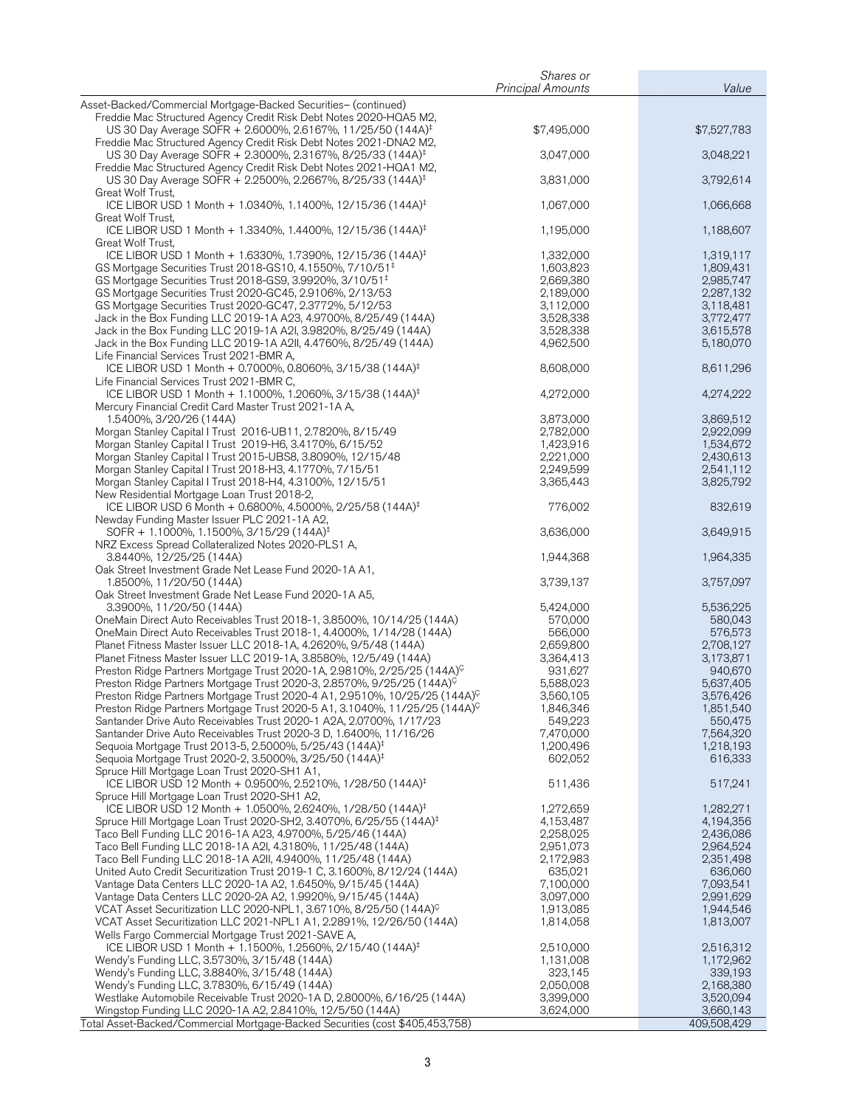|                                                                                                                                           | Shares or<br><b>Principal Amounts</b> | Value                  |
|-------------------------------------------------------------------------------------------------------------------------------------------|---------------------------------------|------------------------|
| Asset-Backed/Commercial Mortgage-Backed Securities- (continued)                                                                           |                                       |                        |
| Freddie Mac Structured Agency Credit Risk Debt Notes 2020-HQA5 M2,                                                                        |                                       |                        |
| US 30 Day Average SOFR + 2.6000%, 2.6167%, 11/25/50 (144A) <sup>‡</sup>                                                                   | \$7,495,000                           | \$7,527,783            |
| Freddie Mac Structured Agency Credit Risk Debt Notes 2021-DNA2 M2,                                                                        |                                       |                        |
| US 30 Day Average SOFR + 2.3000%, 2.3167%, 8/25/33 (144A) <sup>‡</sup>                                                                    | 3,047,000                             | 3,048,221              |
| Freddie Mac Structured Agency Credit Risk Debt Notes 2021-HQA1 M2,                                                                        |                                       |                        |
| US 30 Day Average SOFR + 2.2500%, 2.2667%, 8/25/33 (144A) <sup>‡</sup>                                                                    | 3,831,000                             | 3,792,614              |
| Great Wolf Trust,<br>ICE LIBOR USD 1 Month + 1.0340%, 1.1400%, 12/15/36 (144A) <sup>‡</sup>                                               | 1,067,000                             | 1,066,668              |
| Great Wolf Trust,                                                                                                                         |                                       |                        |
| ICE LIBOR USD 1 Month + 1.3340%, 1.4400%, 12/15/36 (144A) <sup>‡</sup>                                                                    | 1,195,000                             | 1,188,607              |
| Great Wolf Trust,                                                                                                                         |                                       |                        |
| ICE LIBOR USD 1 Month + 1.6330%, 1.7390%, 12/15/36 (144A) <sup>‡</sup>                                                                    | 1,332,000                             | 1,319,117              |
| GS Mortgage Securities Trust 2018-GS10, 4.1550%, 7/10/51 <sup>‡</sup>                                                                     | 1,603,823                             | 1,809,431              |
| GS Mortgage Securities Trust 2018-GS9, 3.9920%, 3/10/51 <sup>‡</sup>                                                                      | 2,669,380                             | 2,985,747              |
| GS Mortgage Securities Trust 2020-GC45, 2.9106%, 2/13/53                                                                                  | 2,189,000                             | 2,287,132              |
| GS Mortgage Securities Trust 2020-GC47, 2.3772%, 5/12/53                                                                                  | 3,112,000                             | 3,118,481              |
| Jack in the Box Funding LLC 2019-1A A23, 4.9700%, 8/25/49 (144A)<br>Jack in the Box Funding LLC 2019-1A A2I, 3.9820%, 8/25/49 (144A)      | 3,528,338<br>3,528,338                | 3,772,477<br>3,615,578 |
| Jack in the Box Funding LLC 2019-1A A2II, 4.4760%, 8/25/49 (144A)                                                                         | 4,962,500                             | 5,180,070              |
| Life Financial Services Trust 2021-BMR A,                                                                                                 |                                       |                        |
| ICE LIBOR USD 1 Month + 0.7000%, 0.8060%, 3/15/38 (144A) <sup>‡</sup>                                                                     | 8,608,000                             | 8,611,296              |
| Life Financial Services Trust 2021-BMR C,                                                                                                 |                                       |                        |
| ICE LIBOR USD 1 Month + 1.1000%, 1.2060%, 3/15/38 (144A) <sup>‡</sup>                                                                     | 4,272,000                             | 4,274,222              |
| Mercury Financial Credit Card Master Trust 2021-1A A,                                                                                     |                                       |                        |
| 1.5400%, 3/20/26 (144A)                                                                                                                   | 3,873,000                             | 3,869,512              |
| Morgan Stanley Capital I Trust 2016-UB11, 2.7820%, 8/15/49                                                                                | 2,782,000                             | 2,922,099              |
| Morgan Stanley Capital I Trust 2019-H6, 3.4170%, 6/15/52                                                                                  | 1,423,916                             | 1,534,672              |
| Morgan Stanley Capital I Trust 2015-UBS8, 3.8090%, 12/15/48                                                                               | 2,221,000                             | 2,430,613              |
| Morgan Stanley Capital I Trust 2018-H3, 4.1770%, 7/15/51<br>Morgan Stanley Capital I Trust 2018-H4, 4.3100%, 12/15/51                     | 2,249,599<br>3,365,443                | 2,541,112<br>3,825,792 |
| New Residential Mortgage Loan Trust 2018-2,                                                                                               |                                       |                        |
| ICE LIBOR USD 6 Month + 0.6800%, 4.5000%, 2/25/58 (144A) <sup>‡</sup>                                                                     | 776,002                               | 832,619                |
| Newday Funding Master Issuer PLC 2021-1A A2,                                                                                              |                                       |                        |
| SOFR + 1.1000%, 1.1500%, 3/15/29 (144A) <sup>‡</sup>                                                                                      | 3,636,000                             | 3,649,915              |
| NRZ Excess Spread Collateralized Notes 2020-PLS1 A,                                                                                       |                                       |                        |
| 3.8440%, 12/25/25 (144A)                                                                                                                  | 1,944,368                             | 1,964,335              |
| Oak Street Investment Grade Net Lease Fund 2020-1A A1,                                                                                    |                                       |                        |
| 1.8500%, 11/20/50 (144A)                                                                                                                  | 3,739,137                             | 3,757,097              |
| Oak Street Investment Grade Net Lease Fund 2020-1A A5,<br>3.3900%, 11/20/50 (144A)                                                        | 5,424,000                             | 5,536,225              |
| OneMain Direct Auto Receivables Trust 2018-1, 3.8500%, 10/14/25 (144A)                                                                    | 570,000                               | 580,043                |
| OneMain Direct Auto Receivables Trust 2018-1, 4.4000%, 1/14/28 (144A)                                                                     | 566,000                               | 576,573                |
| Planet Fitness Master Issuer LLC 2018-1A, 4.2620%, 9/5/48 (144A)                                                                          | 2,659,800                             | 2,708,127              |
| Planet Fitness Master Issuer LLC 2019-1A, 3.8580%, 12/5/49 (144A)                                                                         | 3,364,413                             | 3,173,871              |
| Preston Ridge Partners Mortgage Trust 2020-1A, 2.9810%, 2/25/25 (144A) <sup>C</sup>                                                       | 931,627                               | 940,670                |
| Preston Ridge Partners Mortgage Trust 2020-3, 2.8570%, 9/25/25 (144A) <sup>C</sup>                                                        | 5,588,023                             | 5,637,405              |
| Preston Ridge Partners Mortgage Trust 2020-4 A1, 2.9510%, 10/25/25 (144A) <sup>C</sup>                                                    | 3,560,105                             | 3.576.426              |
| Preston Ridge Partners Mortgage Trust 2020-5 A1, 3.1040%, 11/25/25 (144A) <sup>C</sup>                                                    | 1,846,346                             | 1,851,540              |
| Santander Drive Auto Receivables Trust 2020-1 A2A, 2.0700%, 1/17/23                                                                       | 549,223                               | 550,475                |
| Santander Drive Auto Receivables Trust 2020-3 D, 1.6400%, 11/16/26<br>Sequoia Mortgage Trust 2013-5, 2.5000%, 5/25/43 (144A) <sup>‡</sup> | 7,470,000<br>1,200,496                | 7,564,320<br>1,218,193 |
| Sequoia Mortgage Trust 2020-2, 3.5000%, 3/25/50 (144A) <sup>‡</sup>                                                                       | 602,052                               | 616,333                |
| Spruce Hill Mortgage Loan Trust 2020-SH1 A1,                                                                                              |                                       |                        |
| ICE LIBOR USD 12 Month + 0.9500%, 2.5210%, 1/28/50 (144A) <sup>‡</sup>                                                                    | 511,436                               | 517,241                |
| Spruce Hill Mortgage Loan Trust 2020-SH1 A2,                                                                                              |                                       |                        |
| ICE LIBOR USD 12 Month + 1.0500%, 2.6240%, 1/28/50 (144A) <sup>‡</sup>                                                                    | 1,272,659                             | 1,282,271              |
| Spruce Hill Mortgage Loan Trust 2020-SH2, 3.4070%, 6/25/55 (144A) <sup>‡</sup>                                                            | 4,153,487                             | 4,194,356              |
| Taco Bell Funding LLC 2016-1A A23, 4.9700%, 5/25/46 (144A)                                                                                | 2,258,025                             | 2,436,086              |
| Taco Bell Funding LLC 2018-1A A2I, 4.3180%, 11/25/48 (144A)                                                                               | 2,951,073                             | 2,964,524              |
| Taco Bell Funding LLC 2018-1A A2II, 4.9400%, 11/25/48 (144A)                                                                              | 2,172,983                             | 2,351,498              |
| United Auto Credit Securitization Trust 2019-1 C, 3.1600%, 8/12/24 (144A)<br>Vantage Data Centers LLC 2020-1A A2, 1.6450%, 9/15/45 (144A) | 635,021<br>7,100,000                  | 636,060<br>7,093,541   |
| Vantage Data Centers LLC 2020-2A A2, 1.9920%, 9/15/45 (144A)                                                                              | 3,097,000                             | 2,991,629              |
| VCAT Asset Securitization LLC 2020-NPL1, 3.6710%, 8/25/50 (144A) <sup>C</sup>                                                             | 1,913,085                             | 1,944,546              |
| VCAT Asset Securitization LLC 2021-NPL1 A1, 2.2891%, 12/26/50 (144A)                                                                      | 1,814,058                             | 1,813,007              |
| Wells Fargo Commercial Mortgage Trust 2021-SAVE A,                                                                                        |                                       |                        |
| ICE LIBOR USD 1 Month + 1.1500%, 1.2560%, 2/15/40 (144A) <sup>‡</sup>                                                                     | 2,510,000                             | 2,516,312              |
| Wendy's Funding LLC, 3.5730%, 3/15/48 (144A)                                                                                              | 1,131,008                             | 1,172,962              |
| Wendy's Funding LLC, 3.8840%, 3/15/48 (144A)                                                                                              | 323,145                               | 339,193                |
| Wendy's Funding LLC, 3.7830%, 6/15/49 (144A)                                                                                              | 2,050,008                             | 2,168,380              |
| Westlake Automobile Receivable Trust 2020-1A D, 2.8000%, 6/16/25 (144A)                                                                   | 3,399,000<br>3,624,000                | 3,520,094<br>3,660,143 |
| Wingstop Funding LLC 2020-1A A2, 2.8410%, 12/5/50 (144A)<br>Total Asset-Backed/Commercial Mortgage-Backed Securities (cost \$405,453,758) |                                       | 409,508,429            |
|                                                                                                                                           |                                       |                        |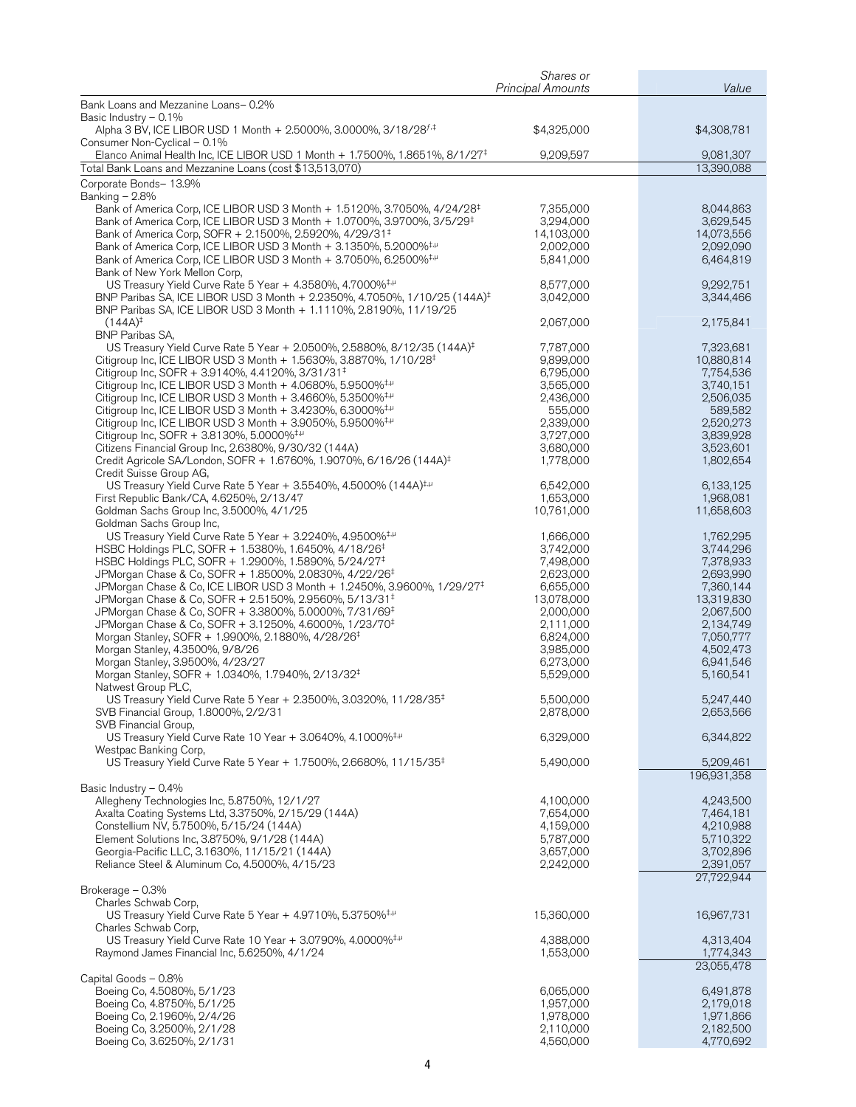| Shares or<br><b>Principal Amounts</b>                                                                                                                                              |                        | Value                  |
|------------------------------------------------------------------------------------------------------------------------------------------------------------------------------------|------------------------|------------------------|
| Bank Loans and Mezzanine Loans-0.2%                                                                                                                                                |                        |                        |
| Basic Industry $-0.1\%$<br>Alpha 3 BV, ICE LIBOR USD 1 Month + 2.5000%, 3.0000%, 3/18/28 <sup>f,‡</sup>                                                                            | \$4,325,000            | \$4,308,781            |
| Consumer Non-Cyclical - 0.1%                                                                                                                                                       |                        |                        |
| Elanco Animal Health Inc, ICE LIBOR USD 1 Month + 1.7500%, 1.8651%, 8/1/27 <sup>‡</sup>                                                                                            | 9,209,597              | 9,081,307              |
| Total Bank Loans and Mezzanine Loans (cost \$13,513,070)                                                                                                                           |                        | 13,390,088             |
| Corporate Bonds- 13.9%<br>Banking - 2.8%                                                                                                                                           |                        |                        |
| Bank of America Corp, ICE LIBOR USD 3 Month + 1.5120%, 3.7050%, 4/24/28 <sup>‡</sup>                                                                                               | 7,355,000              | 8,044,863              |
| Bank of America Corp, ICE LIBOR USD 3 Month + 1.0700%, 3.9700%, 3/5/29 <sup>‡</sup>                                                                                                | 3,294,000              | 3,629,545              |
| Bank of America Corp, SOFR + 2.1500%, 2.5920%, 4/29/31 <sup>‡</sup>                                                                                                                | 14,103,000             | 14,073,556             |
| Bank of America Corp, ICE LIBOR USD 3 Month + 3.1350%, 5.2000% <sup>‡,µ</sup>                                                                                                      | 2,002,000              | 2,092,090              |
| Bank of America Corp, ICE LIBOR USD 3 Month + 3.7050%, 6.2500% <sup>‡, µ</sup><br>Bank of New York Mellon Corp,                                                                    | 5,841,000              | 6,464,819              |
| US Treasury Yield Curve Rate 5 Year + 4.3580%, 4.7000% <sup>‡,µ</sup>                                                                                                              | 8,577,000              | 9,292,751              |
| BNP Paribas SA, ICE LIBOR USD 3 Month + 2.2350%, 4.7050%, 1/10/25 (144A) <sup>‡</sup>                                                                                              | 3,042,000              | 3,344,466              |
| BNP Paribas SA, ICE LIBOR USD 3 Month + 1.1110%, 2.8190%, 11/19/25                                                                                                                 |                        |                        |
| $(144A)^{\ddagger}$                                                                                                                                                                | 2,067,000              | 2,175,841              |
| <b>BNP Paribas SA,</b><br>US Treasury Yield Curve Rate 5 Year + 2.0500%, 2.5880%, 8/12/35 (144A) <sup>‡</sup>                                                                      | 7,787,000              | 7,323,681              |
| Citigroup Inc, ICE LIBOR USD 3 Month + 1.5630%, 3.8870%, 1/10/28 <sup>‡</sup>                                                                                                      | 9,899,000              | 10,880,814             |
| Citigroup Inc, SOFR + 3.9140%, 4.4120%, 3/31/31 <sup>‡</sup>                                                                                                                       | 6,795,000              | 7,754,536              |
| Citigroup Inc, ICE LIBOR USD 3 Month $+$ 4.0680%, 5.9500% <sup>‡,<math>\mu</math></sup>                                                                                            | 3,565,000              | 3,740,151              |
| Citigroup Inc, ICE LIBOR USD 3 Month $+$ 3.4660%, 5.3500% <sup>‡, µ</sup>                                                                                                          | 2,436,000              | 2,506,035              |
| Citigroup Inc, ICE LIBOR USD 3 Month $+$ 3.4230%, 6.3000% <sup>‡,<math>\mu</math></sup><br>Citigroup Inc, ICE LIBOR USD 3 Month $+$ 3.9050%, 5.9500% <sup>‡,<math>\mu</math></sup> | 555,000<br>2,339,000   | 589,582<br>2,520,273   |
| Citigroup Inc, SOFR + 3.8130%, 5.0000% <sup>‡,µ</sup>                                                                                                                              | 3,727,000              | 3,839,928              |
| Citizens Financial Group Inc, 2.6380%, 9/30/32 (144A)                                                                                                                              | 3,680,000              | 3,523,601              |
| Credit Agricole SA/London, SOFR + 1.6760%, 1.9070%, 6/16/26 (144A) <sup>‡</sup>                                                                                                    | 1,778,000              | 1,802,654              |
| Credit Suisse Group AG,<br>US Treasury Yield Curve Rate 5 Year + 3.5540%, 4.5000% (144A) <sup>‡,µ</sup>                                                                            | 6,542,000              | 6,133,125              |
| First Republic Bank/CA, 4.6250%, 2/13/47                                                                                                                                           | 1,653,000              | 1,968,081              |
| Goldman Sachs Group Inc, 3.5000%, 4/1/25                                                                                                                                           | 10,761,000             | 11,658,603             |
| Goldman Sachs Group Inc,                                                                                                                                                           |                        |                        |
| US Treasury Yield Curve Rate 5 Year + 3.2240%, 4.9500% $+$                                                                                                                         | 1,666,000              | 1,762,295              |
| HSBC Holdings PLC, SOFR + 1.5380%, 1.6450%, 4/18/26 <sup>‡</sup><br>HSBC Holdings PLC, SOFR + 1.2900%, 1.5890%, 5/24/27 <sup>‡</sup>                                               | 3,742,000<br>7,498,000 | 3,744,296<br>7,378,933 |
| JPMorgan Chase & Co, SOFR + 1.8500%, 2.0830%, 4/22/26 <sup>‡</sup>                                                                                                                 | 2,623,000              | 2,693,990              |
| JPMorgan Chase & Co, ICE LIBOR USD 3 Month + 1.2450%, 3.9600%, 1/29/27 <sup>‡</sup>                                                                                                | 6,655,000              | 7,360,144              |
| JPMorgan Chase & Co, SOFR + 2.5150%, 2.9560%, 5/13/31 <sup>‡</sup>                                                                                                                 | 13,078,000             | 13,319,830             |
| JPMorgan Chase & Co, SOFR + 3.3800%, 5.0000%, 7/31/69 <sup>‡</sup><br>JPMorgan Chase & Co, SOFR + 3.1250%, 4.6000%, 1/23/70 <sup>‡</sup>                                           | 2,000,000<br>2,111,000 | 2,067,500<br>2,134,749 |
| Morgan Stanley, SOFR + 1.9900%, 2.1880%, 4/28/26 <sup>‡</sup>                                                                                                                      | 6,824,000              | 7,050,777              |
| Morgan Stanley, 4.3500%, 9/8/26                                                                                                                                                    | 3,985,000              | 4,502,473              |
| Morgan Stanley, 3.9500%, 4/23/27                                                                                                                                                   | 6,273,000              | 6,941,546              |
| Morgan Stanley, SOFR + 1.0340%, 1.7940%, 2/13/32 <sup>‡</sup>                                                                                                                      | 5,529,000              | 5,160,541              |
| Natwest Group PLC,<br>US Treasury Yield Curve Rate 5 Year + 2.3500%, 3.0320%, 11/28/35 <sup>‡</sup>                                                                                | 5,500,000              | 5,247,440              |
| SVB Financial Group, 1.8000%, 2/2/31                                                                                                                                               | 2,878,000              | 2,653,566              |
| SVB Financial Group,                                                                                                                                                               |                        |                        |
| US Treasury Yield Curve Rate 10 Year + 3.0640%, 4.1000% <sup>‡,µ</sup>                                                                                                             | 6,329,000              | 6,344,822              |
| Westpac Banking Corp,<br>US Treasury Yield Curve Rate 5 Year + 1.7500%, 2.6680%, 11/15/35 <sup>‡</sup>                                                                             | 5,490,000              | 5,209,461              |
|                                                                                                                                                                                    |                        | 196,931,358            |
| Basic Industry $-0.4\%$                                                                                                                                                            |                        |                        |
| Allegheny Technologies Inc, 5.8750%, 12/1/27                                                                                                                                       | 4,100,000              | 4,243,500              |
| Axalta Coating Systems Ltd, 3.3750%, 2/15/29 (144A)                                                                                                                                | 7,654,000              | 7,464,181<br>4,210,988 |
| Constellium NV, 5.7500%, 5/15/24 (144A)<br>Element Solutions Inc, 3.8750%, 9/1/28 (144A)                                                                                           | 4,159,000<br>5,787,000 | 5,710,322              |
| Georgia-Pacific LLC, 3.1630%, 11/15/21 (144A)                                                                                                                                      | 3,657,000              | 3,702,896              |
| Reliance Steel & Aluminum Co, 4.5000%, 4/15/23                                                                                                                                     | 2,242,000              | 2,391,057              |
|                                                                                                                                                                                    |                        | 27,722,944             |
| Brokerage - 0.3%<br>Charles Schwab Corp,                                                                                                                                           |                        |                        |
| US Treasury Yield Curve Rate 5 Year + 4.9710%, 5.3750% <sup>‡,µ</sup>                                                                                                              | 15,360,000             | 16,967,731             |
| Charles Schwab Corp,                                                                                                                                                               |                        |                        |
| US Treasury Yield Curve Rate 10 Year + 3.0790%, 4.0000% <sup>‡,µ</sup>                                                                                                             | 4,388,000              | 4,313,404              |
| Raymond James Financial Inc, 5.6250%, 4/1/24                                                                                                                                       | 1,553,000              | 1,774,343              |
| Capital Goods - 0.8%                                                                                                                                                               |                        | 23,055,478             |
| Boeing Co, 4.5080%, 5/1/23                                                                                                                                                         | 6,065,000              | 6,491,878              |
| Boeing Co, 4.8750%, 5/1/25                                                                                                                                                         | 1,957,000              | 2,179,018              |
| Boeing Co, 2.1960%, 2/4/26                                                                                                                                                         | 1,978,000              | 1,971,866              |
| Boeing Co, 3.2500%, 2/1/28<br>Boeing Co, 3.6250%, 2/1/31                                                                                                                           | 2,110,000<br>4,560,000 | 2,182,500<br>4,770,692 |
|                                                                                                                                                                                    |                        |                        |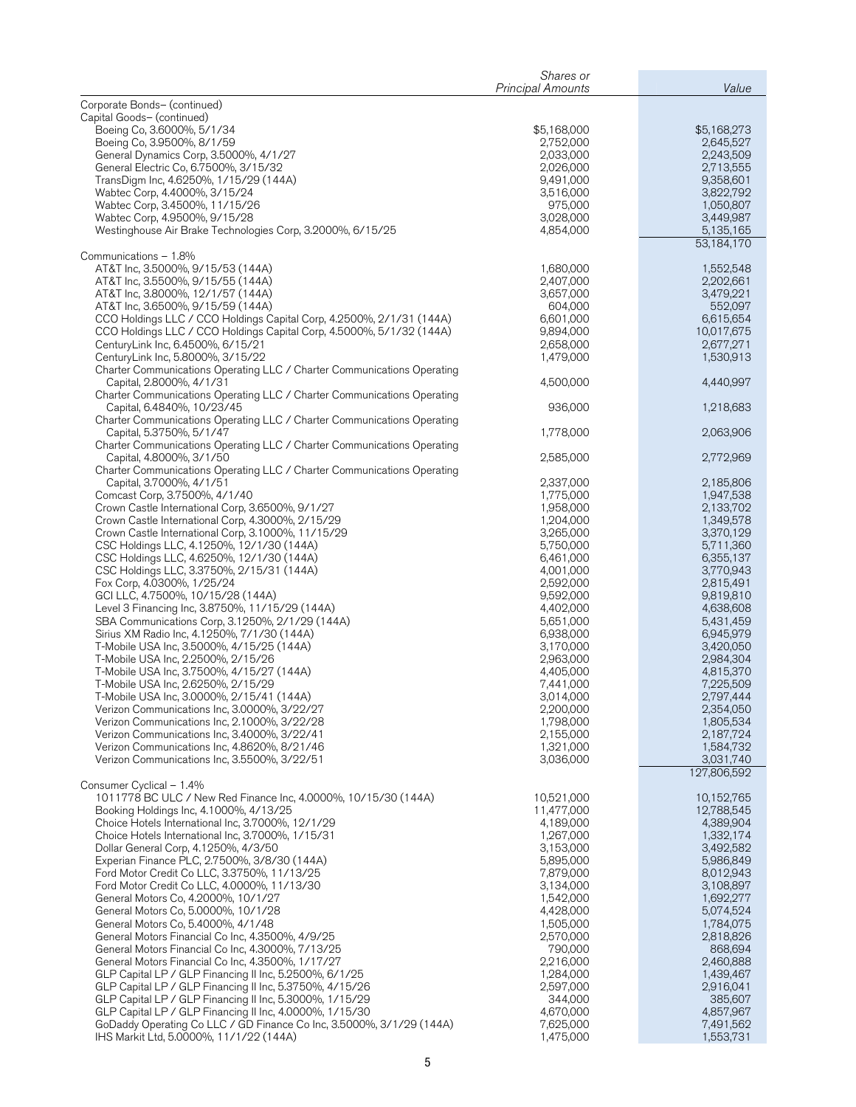| Corporate Bonds- (continued)<br>Capital Goods- (continued)<br>Boeing Co, 3.6000%, 5/1/34<br>\$5,168,000<br>\$5,168,273<br>Boeing Co, 3.9500%, 8/1/59<br>2,752,000<br>2,645,527<br>2,033,000<br>General Dynamics Corp, 3.5000%, 4/1/27<br>2,243,509<br>General Electric Co, 6.7500%, 3/15/32<br>2,713,555<br>2,026,000<br>9,491,000<br>9,358,601<br>TransDigm Inc, 4.6250%, 1/15/29 (144A)<br>3,516,000<br>Wabtec Corp, 4.4000%, 3/15/24<br>3,822,792<br>975,000<br>1,050,807<br>Wabtec Corp, 3.4500%, 11/15/26<br>3,028,000<br>3,449,987<br>Wabtec Corp, 4.9500%, 9/15/28<br>5,135,165<br>Westinghouse Air Brake Technologies Corp, 3.2000%, 6/15/25<br>4,854,000<br>53,184,170<br>Communications - 1.8%<br>AT&T Inc, 3.5000%, 9/15/53 (144A)<br>1,680,000<br>1,552,548<br>AT&T Inc, 3.5500%, 9/15/55 (144A)<br>2,407,000<br>2,202,661<br>3,657,000<br>3,479,221<br>AT&T Inc, 3.8000%, 12/1/57 (144A)<br>AT&T Inc, 3.6500%, 9/15/59 (144A)<br>604,000<br>552,097<br>CCO Holdings LLC / CCO Holdings Capital Corp, 4.2500%, 2/1/31 (144A)<br>6,601,000<br>6,615,654<br>CCO Holdings LLC / CCO Holdings Capital Corp, 4.5000%, 5/1/32 (144A)<br>9,894,000<br>10,017,675<br>CenturyLink Inc, 6.4500%, 6/15/21<br>2,658,000<br>2,677,271<br>CenturyLink Inc, 5.8000%, 3/15/22<br>1,479,000<br>1,530,913<br>Charter Communications Operating LLC / Charter Communications Operating<br>Capital, 2.8000%, 4/1/31<br>4,500,000<br>4,440,997<br>Charter Communications Operating LLC / Charter Communications Operating<br>Capital, 6.4840%, 10/23/45<br>936,000<br>1,218,683<br>Charter Communications Operating LLC / Charter Communications Operating<br>Capital, 5.3750%, 5/1/47<br>1,778,000<br>2,063,906<br>Charter Communications Operating LLC / Charter Communications Operating<br>Capital, 4.8000%, 3/1/50<br>2,585,000<br>2,772,969<br>Charter Communications Operating LLC / Charter Communications Operating<br>Capital, 3.7000%, 4/1/51<br>2,337,000<br>2,185,806<br>Comcast Corp, 3.7500%, 4/1/40<br>1,947,538<br>1,775,000<br>Crown Castle International Corp, 3.6500%, 9/1/27<br>2,133,702<br>1,958,000<br>1,204,000<br>1,349,578<br>Crown Castle International Corp, 4.3000%, 2/15/29<br>Crown Castle International Corp, 3.1000%, 11/15/29<br>3,265,000<br>3,370,129<br>5,750,000<br>5,711,360<br>CSC Holdings LLC, 4.1250%, 12/1/30 (144A)<br>CSC Holdings LLC, 4.6250%, 12/1/30 (144A)<br>6,355,137<br>6,461,000<br>3,770,943<br>CSC Holdings LLC, 3.3750%, 2/15/31 (144A)<br>4,001,000<br>Fox Corp, 4.0300%, 1/25/24<br>2,592,000<br>2,815,491<br>GCI LLC, 4.7500%, 10/15/28 (144A)<br>9,592,000<br>9,819,810<br>Level 3 Financing Inc, 3.8750%, 11/15/29 (144A)<br>4,638,608<br>4,402,000<br>5,431,459<br>SBA Communications Corp, 3.1250%, 2/1/29 (144A)<br>5,651,000<br>6,945,979<br>Sirius XM Radio Inc, 4.1250%, 7/1/30 (144A)<br>6,938,000<br>3,170,000<br>3,420,050<br>T-Mobile USA Inc, 3.5000%, 4/15/25 (144A)<br>T-Mobile USA Inc, 2.2500%, 2/15/26<br>2,984,304<br>2,963,000<br>T-Mobile USA Inc, 3.7500%, 4/15/27 (144A)<br>4,405,000<br>4,815,370<br>T-Mobile USA Inc, 2.6250%, 2/15/29<br>7,441,000<br>7,225,509<br>3,014,000<br>2,797,444<br>T-Mobile USA Inc, 3.0000%, 2/15/41 (144A)<br>Verizon Communications Inc, 3.0000%, 3/22/27<br>2,200,000<br>2,354,050<br>1,798,000<br>Verizon Communications Inc, 2.1000%, 3/22/28<br>1,805,534<br>Verizon Communications Inc, 3.4000%, 3/22/41<br>2,155,000<br>2,187,724<br>1,321,000<br>Verizon Communications Inc, 4.8620%, 8/21/46<br>1,584,732<br>Verizon Communications Inc, 3.5500%, 3/22/51<br>3,031,740<br>3,036,000<br>127,806,592<br>Consumer Cyclical - 1.4%<br>1011778 BC ULC / New Red Finance Inc, 4.0000%, 10/15/30 (144A)<br>10,521,000<br>10,152,765<br>Booking Holdings Inc, 4.1000%, 4/13/25<br>11,477,000<br>12,788,545<br>4,189,000<br>4,389,904<br>Choice Hotels International Inc, 3.7000%, 12/1/29<br>Choice Hotels International Inc, 3.7000%, 1/15/31<br>1,267,000<br>1,332,174<br>Dollar General Corp, 4.1250%, 4/3/50<br>3,153,000<br>3,492,582<br>Experian Finance PLC, 2.7500%, 3/8/30 (144A)<br>5,895,000<br>5,986,849<br>Ford Motor Credit Co LLC, 3.3750%, 11/13/25<br>7,879,000<br>8,012,943<br>Ford Motor Credit Co LLC, 4.0000%, 11/13/30<br>3,134,000<br>3,108,897<br>1,692,277<br>General Motors Co, 4.2000%, 10/1/27<br>1,542,000<br>4,428,000<br>5,074,524<br>General Motors Co, 5.0000%, 10/1/28<br>1,505,000<br>1,784,075<br>General Motors Co, 5.4000%, 4/1/48<br>2,570,000<br>2,818,826<br>General Motors Financial Co Inc, 4.3500%, 4/9/25<br>790,000<br>General Motors Financial Co Inc, 4.3000%, 7/13/25<br>868,694<br>2,216,000<br>2,460,888<br>General Motors Financial Co Inc, 4.3500%, 1/17/27<br>GLP Capital LP / GLP Financing II Inc, 5.2500%, 6/1/25<br>1,284,000<br>1,439,467<br>GLP Capital LP / GLP Financing II Inc, 5.3750%, 4/15/26<br>2,597,000<br>2,916,041<br>GLP Capital LP / GLP Financing II Inc, 5.3000%, 1/15/29<br>344,000<br>385,607<br>GLP Capital LP / GLP Financing II Inc, 4.0000%, 1/15/30<br>4,670,000<br>4,857,967<br>GoDaddy Operating Co LLC / GD Finance Co Inc, 3.5000%, 3/1/29 (144A)<br>7,625,000<br>7,491,562<br>IHS Markit Ltd, 5.0000%, 11/1/22 (144A)<br>1,475,000<br>1,553,731 | Shares or<br><b>Principal Amounts</b> | Value |
|---------------------------------------------------------------------------------------------------------------------------------------------------------------------------------------------------------------------------------------------------------------------------------------------------------------------------------------------------------------------------------------------------------------------------------------------------------------------------------------------------------------------------------------------------------------------------------------------------------------------------------------------------------------------------------------------------------------------------------------------------------------------------------------------------------------------------------------------------------------------------------------------------------------------------------------------------------------------------------------------------------------------------------------------------------------------------------------------------------------------------------------------------------------------------------------------------------------------------------------------------------------------------------------------------------------------------------------------------------------------------------------------------------------------------------------------------------------------------------------------------------------------------------------------------------------------------------------------------------------------------------------------------------------------------------------------------------------------------------------------------------------------------------------------------------------------------------------------------------------------------------------------------------------------------------------------------------------------------------------------------------------------------------------------------------------------------------------------------------------------------------------------------------------------------------------------------------------------------------------------------------------------------------------------------------------------------------------------------------------------------------------------------------------------------------------------------------------------------------------------------------------------------------------------------------------------------------------------------------------------------------------------------------------------------------------------------------------------------------------------------------------------------------------------------------------------------------------------------------------------------------------------------------------------------------------------------------------------------------------------------------------------------------------------------------------------------------------------------------------------------------------------------------------------------------------------------------------------------------------------------------------------------------------------------------------------------------------------------------------------------------------------------------------------------------------------------------------------------------------------------------------------------------------------------------------------------------------------------------------------------------------------------------------------------------------------------------------------------------------------------------------------------------------------------------------------------------------------------------------------------------------------------------------------------------------------------------------------------------------------------------------------------------------------------------------------------------------------------------------------------------------------------------------------------------------------------------------------------------------------------------------------------------------------------------------------------------------------------------------------------------------------------------------------------------------------------------------------------------------------------------------------------------------------------------------------------------------------------------------------------------------------------------------------------------------------------------------------------------------------------------------------------------------------------------------------------------------------------------------------------------------------------------------------------------------------------------------------------------------------------------------------------------------------------------------------------------------------------------------------------------------------------------------------------------------------------------------------------------------------------|---------------------------------------|-------|
|                                                                                                                                                                                                                                                                                                                                                                                                                                                                                                                                                                                                                                                                                                                                                                                                                                                                                                                                                                                                                                                                                                                                                                                                                                                                                                                                                                                                                                                                                                                                                                                                                                                                                                                                                                                                                                                                                                                                                                                                                                                                                                                                                                                                                                                                                                                                                                                                                                                                                                                                                                                                                                                                                                                                                                                                                                                                                                                                                                                                                                                                                                                                                                                                                                                                                                                                                                                                                                                                                                                                                                                                                                                                                                                                                                                                                                                                                                                                                                                                                                                                                                                                                                                                                                                                                                                                                                                                                                                                                                                                                                                                                                                                                                                                                                                                                                                                                                                                                                                                                                                                                                                                                                                                                                                   |                                       |       |
|                                                                                                                                                                                                                                                                                                                                                                                                                                                                                                                                                                                                                                                                                                                                                                                                                                                                                                                                                                                                                                                                                                                                                                                                                                                                                                                                                                                                                                                                                                                                                                                                                                                                                                                                                                                                                                                                                                                                                                                                                                                                                                                                                                                                                                                                                                                                                                                                                                                                                                                                                                                                                                                                                                                                                                                                                                                                                                                                                                                                                                                                                                                                                                                                                                                                                                                                                                                                                                                                                                                                                                                                                                                                                                                                                                                                                                                                                                                                                                                                                                                                                                                                                                                                                                                                                                                                                                                                                                                                                                                                                                                                                                                                                                                                                                                                                                                                                                                                                                                                                                                                                                                                                                                                                                                   |                                       |       |
|                                                                                                                                                                                                                                                                                                                                                                                                                                                                                                                                                                                                                                                                                                                                                                                                                                                                                                                                                                                                                                                                                                                                                                                                                                                                                                                                                                                                                                                                                                                                                                                                                                                                                                                                                                                                                                                                                                                                                                                                                                                                                                                                                                                                                                                                                                                                                                                                                                                                                                                                                                                                                                                                                                                                                                                                                                                                                                                                                                                                                                                                                                                                                                                                                                                                                                                                                                                                                                                                                                                                                                                                                                                                                                                                                                                                                                                                                                                                                                                                                                                                                                                                                                                                                                                                                                                                                                                                                                                                                                                                                                                                                                                                                                                                                                                                                                                                                                                                                                                                                                                                                                                                                                                                                                                   |                                       |       |
|                                                                                                                                                                                                                                                                                                                                                                                                                                                                                                                                                                                                                                                                                                                                                                                                                                                                                                                                                                                                                                                                                                                                                                                                                                                                                                                                                                                                                                                                                                                                                                                                                                                                                                                                                                                                                                                                                                                                                                                                                                                                                                                                                                                                                                                                                                                                                                                                                                                                                                                                                                                                                                                                                                                                                                                                                                                                                                                                                                                                                                                                                                                                                                                                                                                                                                                                                                                                                                                                                                                                                                                                                                                                                                                                                                                                                                                                                                                                                                                                                                                                                                                                                                                                                                                                                                                                                                                                                                                                                                                                                                                                                                                                                                                                                                                                                                                                                                                                                                                                                                                                                                                                                                                                                                                   |                                       |       |
|                                                                                                                                                                                                                                                                                                                                                                                                                                                                                                                                                                                                                                                                                                                                                                                                                                                                                                                                                                                                                                                                                                                                                                                                                                                                                                                                                                                                                                                                                                                                                                                                                                                                                                                                                                                                                                                                                                                                                                                                                                                                                                                                                                                                                                                                                                                                                                                                                                                                                                                                                                                                                                                                                                                                                                                                                                                                                                                                                                                                                                                                                                                                                                                                                                                                                                                                                                                                                                                                                                                                                                                                                                                                                                                                                                                                                                                                                                                                                                                                                                                                                                                                                                                                                                                                                                                                                                                                                                                                                                                                                                                                                                                                                                                                                                                                                                                                                                                                                                                                                                                                                                                                                                                                                                                   |                                       |       |
|                                                                                                                                                                                                                                                                                                                                                                                                                                                                                                                                                                                                                                                                                                                                                                                                                                                                                                                                                                                                                                                                                                                                                                                                                                                                                                                                                                                                                                                                                                                                                                                                                                                                                                                                                                                                                                                                                                                                                                                                                                                                                                                                                                                                                                                                                                                                                                                                                                                                                                                                                                                                                                                                                                                                                                                                                                                                                                                                                                                                                                                                                                                                                                                                                                                                                                                                                                                                                                                                                                                                                                                                                                                                                                                                                                                                                                                                                                                                                                                                                                                                                                                                                                                                                                                                                                                                                                                                                                                                                                                                                                                                                                                                                                                                                                                                                                                                                                                                                                                                                                                                                                                                                                                                                                                   |                                       |       |
|                                                                                                                                                                                                                                                                                                                                                                                                                                                                                                                                                                                                                                                                                                                                                                                                                                                                                                                                                                                                                                                                                                                                                                                                                                                                                                                                                                                                                                                                                                                                                                                                                                                                                                                                                                                                                                                                                                                                                                                                                                                                                                                                                                                                                                                                                                                                                                                                                                                                                                                                                                                                                                                                                                                                                                                                                                                                                                                                                                                                                                                                                                                                                                                                                                                                                                                                                                                                                                                                                                                                                                                                                                                                                                                                                                                                                                                                                                                                                                                                                                                                                                                                                                                                                                                                                                                                                                                                                                                                                                                                                                                                                                                                                                                                                                                                                                                                                                                                                                                                                                                                                                                                                                                                                                                   |                                       |       |
|                                                                                                                                                                                                                                                                                                                                                                                                                                                                                                                                                                                                                                                                                                                                                                                                                                                                                                                                                                                                                                                                                                                                                                                                                                                                                                                                                                                                                                                                                                                                                                                                                                                                                                                                                                                                                                                                                                                                                                                                                                                                                                                                                                                                                                                                                                                                                                                                                                                                                                                                                                                                                                                                                                                                                                                                                                                                                                                                                                                                                                                                                                                                                                                                                                                                                                                                                                                                                                                                                                                                                                                                                                                                                                                                                                                                                                                                                                                                                                                                                                                                                                                                                                                                                                                                                                                                                                                                                                                                                                                                                                                                                                                                                                                                                                                                                                                                                                                                                                                                                                                                                                                                                                                                                                                   |                                       |       |
|                                                                                                                                                                                                                                                                                                                                                                                                                                                                                                                                                                                                                                                                                                                                                                                                                                                                                                                                                                                                                                                                                                                                                                                                                                                                                                                                                                                                                                                                                                                                                                                                                                                                                                                                                                                                                                                                                                                                                                                                                                                                                                                                                                                                                                                                                                                                                                                                                                                                                                                                                                                                                                                                                                                                                                                                                                                                                                                                                                                                                                                                                                                                                                                                                                                                                                                                                                                                                                                                                                                                                                                                                                                                                                                                                                                                                                                                                                                                                                                                                                                                                                                                                                                                                                                                                                                                                                                                                                                                                                                                                                                                                                                                                                                                                                                                                                                                                                                                                                                                                                                                                                                                                                                                                                                   |                                       |       |
|                                                                                                                                                                                                                                                                                                                                                                                                                                                                                                                                                                                                                                                                                                                                                                                                                                                                                                                                                                                                                                                                                                                                                                                                                                                                                                                                                                                                                                                                                                                                                                                                                                                                                                                                                                                                                                                                                                                                                                                                                                                                                                                                                                                                                                                                                                                                                                                                                                                                                                                                                                                                                                                                                                                                                                                                                                                                                                                                                                                                                                                                                                                                                                                                                                                                                                                                                                                                                                                                                                                                                                                                                                                                                                                                                                                                                                                                                                                                                                                                                                                                                                                                                                                                                                                                                                                                                                                                                                                                                                                                                                                                                                                                                                                                                                                                                                                                                                                                                                                                                                                                                                                                                                                                                                                   |                                       |       |
|                                                                                                                                                                                                                                                                                                                                                                                                                                                                                                                                                                                                                                                                                                                                                                                                                                                                                                                                                                                                                                                                                                                                                                                                                                                                                                                                                                                                                                                                                                                                                                                                                                                                                                                                                                                                                                                                                                                                                                                                                                                                                                                                                                                                                                                                                                                                                                                                                                                                                                                                                                                                                                                                                                                                                                                                                                                                                                                                                                                                                                                                                                                                                                                                                                                                                                                                                                                                                                                                                                                                                                                                                                                                                                                                                                                                                                                                                                                                                                                                                                                                                                                                                                                                                                                                                                                                                                                                                                                                                                                                                                                                                                                                                                                                                                                                                                                                                                                                                                                                                                                                                                                                                                                                                                                   |                                       |       |
|                                                                                                                                                                                                                                                                                                                                                                                                                                                                                                                                                                                                                                                                                                                                                                                                                                                                                                                                                                                                                                                                                                                                                                                                                                                                                                                                                                                                                                                                                                                                                                                                                                                                                                                                                                                                                                                                                                                                                                                                                                                                                                                                                                                                                                                                                                                                                                                                                                                                                                                                                                                                                                                                                                                                                                                                                                                                                                                                                                                                                                                                                                                                                                                                                                                                                                                                                                                                                                                                                                                                                                                                                                                                                                                                                                                                                                                                                                                                                                                                                                                                                                                                                                                                                                                                                                                                                                                                                                                                                                                                                                                                                                                                                                                                                                                                                                                                                                                                                                                                                                                                                                                                                                                                                                                   |                                       |       |
|                                                                                                                                                                                                                                                                                                                                                                                                                                                                                                                                                                                                                                                                                                                                                                                                                                                                                                                                                                                                                                                                                                                                                                                                                                                                                                                                                                                                                                                                                                                                                                                                                                                                                                                                                                                                                                                                                                                                                                                                                                                                                                                                                                                                                                                                                                                                                                                                                                                                                                                                                                                                                                                                                                                                                                                                                                                                                                                                                                                                                                                                                                                                                                                                                                                                                                                                                                                                                                                                                                                                                                                                                                                                                                                                                                                                                                                                                                                                                                                                                                                                                                                                                                                                                                                                                                                                                                                                                                                                                                                                                                                                                                                                                                                                                                                                                                                                                                                                                                                                                                                                                                                                                                                                                                                   |                                       |       |
|                                                                                                                                                                                                                                                                                                                                                                                                                                                                                                                                                                                                                                                                                                                                                                                                                                                                                                                                                                                                                                                                                                                                                                                                                                                                                                                                                                                                                                                                                                                                                                                                                                                                                                                                                                                                                                                                                                                                                                                                                                                                                                                                                                                                                                                                                                                                                                                                                                                                                                                                                                                                                                                                                                                                                                                                                                                                                                                                                                                                                                                                                                                                                                                                                                                                                                                                                                                                                                                                                                                                                                                                                                                                                                                                                                                                                                                                                                                                                                                                                                                                                                                                                                                                                                                                                                                                                                                                                                                                                                                                                                                                                                                                                                                                                                                                                                                                                                                                                                                                                                                                                                                                                                                                                                                   |                                       |       |
|                                                                                                                                                                                                                                                                                                                                                                                                                                                                                                                                                                                                                                                                                                                                                                                                                                                                                                                                                                                                                                                                                                                                                                                                                                                                                                                                                                                                                                                                                                                                                                                                                                                                                                                                                                                                                                                                                                                                                                                                                                                                                                                                                                                                                                                                                                                                                                                                                                                                                                                                                                                                                                                                                                                                                                                                                                                                                                                                                                                                                                                                                                                                                                                                                                                                                                                                                                                                                                                                                                                                                                                                                                                                                                                                                                                                                                                                                                                                                                                                                                                                                                                                                                                                                                                                                                                                                                                                                                                                                                                                                                                                                                                                                                                                                                                                                                                                                                                                                                                                                                                                                                                                                                                                                                                   |                                       |       |
|                                                                                                                                                                                                                                                                                                                                                                                                                                                                                                                                                                                                                                                                                                                                                                                                                                                                                                                                                                                                                                                                                                                                                                                                                                                                                                                                                                                                                                                                                                                                                                                                                                                                                                                                                                                                                                                                                                                                                                                                                                                                                                                                                                                                                                                                                                                                                                                                                                                                                                                                                                                                                                                                                                                                                                                                                                                                                                                                                                                                                                                                                                                                                                                                                                                                                                                                                                                                                                                                                                                                                                                                                                                                                                                                                                                                                                                                                                                                                                                                                                                                                                                                                                                                                                                                                                                                                                                                                                                                                                                                                                                                                                                                                                                                                                                                                                                                                                                                                                                                                                                                                                                                                                                                                                                   |                                       |       |
|                                                                                                                                                                                                                                                                                                                                                                                                                                                                                                                                                                                                                                                                                                                                                                                                                                                                                                                                                                                                                                                                                                                                                                                                                                                                                                                                                                                                                                                                                                                                                                                                                                                                                                                                                                                                                                                                                                                                                                                                                                                                                                                                                                                                                                                                                                                                                                                                                                                                                                                                                                                                                                                                                                                                                                                                                                                                                                                                                                                                                                                                                                                                                                                                                                                                                                                                                                                                                                                                                                                                                                                                                                                                                                                                                                                                                                                                                                                                                                                                                                                                                                                                                                                                                                                                                                                                                                                                                                                                                                                                                                                                                                                                                                                                                                                                                                                                                                                                                                                                                                                                                                                                                                                                                                                   |                                       |       |
|                                                                                                                                                                                                                                                                                                                                                                                                                                                                                                                                                                                                                                                                                                                                                                                                                                                                                                                                                                                                                                                                                                                                                                                                                                                                                                                                                                                                                                                                                                                                                                                                                                                                                                                                                                                                                                                                                                                                                                                                                                                                                                                                                                                                                                                                                                                                                                                                                                                                                                                                                                                                                                                                                                                                                                                                                                                                                                                                                                                                                                                                                                                                                                                                                                                                                                                                                                                                                                                                                                                                                                                                                                                                                                                                                                                                                                                                                                                                                                                                                                                                                                                                                                                                                                                                                                                                                                                                                                                                                                                                                                                                                                                                                                                                                                                                                                                                                                                                                                                                                                                                                                                                                                                                                                                   |                                       |       |
|                                                                                                                                                                                                                                                                                                                                                                                                                                                                                                                                                                                                                                                                                                                                                                                                                                                                                                                                                                                                                                                                                                                                                                                                                                                                                                                                                                                                                                                                                                                                                                                                                                                                                                                                                                                                                                                                                                                                                                                                                                                                                                                                                                                                                                                                                                                                                                                                                                                                                                                                                                                                                                                                                                                                                                                                                                                                                                                                                                                                                                                                                                                                                                                                                                                                                                                                                                                                                                                                                                                                                                                                                                                                                                                                                                                                                                                                                                                                                                                                                                                                                                                                                                                                                                                                                                                                                                                                                                                                                                                                                                                                                                                                                                                                                                                                                                                                                                                                                                                                                                                                                                                                                                                                                                                   |                                       |       |
|                                                                                                                                                                                                                                                                                                                                                                                                                                                                                                                                                                                                                                                                                                                                                                                                                                                                                                                                                                                                                                                                                                                                                                                                                                                                                                                                                                                                                                                                                                                                                                                                                                                                                                                                                                                                                                                                                                                                                                                                                                                                                                                                                                                                                                                                                                                                                                                                                                                                                                                                                                                                                                                                                                                                                                                                                                                                                                                                                                                                                                                                                                                                                                                                                                                                                                                                                                                                                                                                                                                                                                                                                                                                                                                                                                                                                                                                                                                                                                                                                                                                                                                                                                                                                                                                                                                                                                                                                                                                                                                                                                                                                                                                                                                                                                                                                                                                                                                                                                                                                                                                                                                                                                                                                                                   |                                       |       |
|                                                                                                                                                                                                                                                                                                                                                                                                                                                                                                                                                                                                                                                                                                                                                                                                                                                                                                                                                                                                                                                                                                                                                                                                                                                                                                                                                                                                                                                                                                                                                                                                                                                                                                                                                                                                                                                                                                                                                                                                                                                                                                                                                                                                                                                                                                                                                                                                                                                                                                                                                                                                                                                                                                                                                                                                                                                                                                                                                                                                                                                                                                                                                                                                                                                                                                                                                                                                                                                                                                                                                                                                                                                                                                                                                                                                                                                                                                                                                                                                                                                                                                                                                                                                                                                                                                                                                                                                                                                                                                                                                                                                                                                                                                                                                                                                                                                                                                                                                                                                                                                                                                                                                                                                                                                   |                                       |       |
|                                                                                                                                                                                                                                                                                                                                                                                                                                                                                                                                                                                                                                                                                                                                                                                                                                                                                                                                                                                                                                                                                                                                                                                                                                                                                                                                                                                                                                                                                                                                                                                                                                                                                                                                                                                                                                                                                                                                                                                                                                                                                                                                                                                                                                                                                                                                                                                                                                                                                                                                                                                                                                                                                                                                                                                                                                                                                                                                                                                                                                                                                                                                                                                                                                                                                                                                                                                                                                                                                                                                                                                                                                                                                                                                                                                                                                                                                                                                                                                                                                                                                                                                                                                                                                                                                                                                                                                                                                                                                                                                                                                                                                                                                                                                                                                                                                                                                                                                                                                                                                                                                                                                                                                                                                                   |                                       |       |
|                                                                                                                                                                                                                                                                                                                                                                                                                                                                                                                                                                                                                                                                                                                                                                                                                                                                                                                                                                                                                                                                                                                                                                                                                                                                                                                                                                                                                                                                                                                                                                                                                                                                                                                                                                                                                                                                                                                                                                                                                                                                                                                                                                                                                                                                                                                                                                                                                                                                                                                                                                                                                                                                                                                                                                                                                                                                                                                                                                                                                                                                                                                                                                                                                                                                                                                                                                                                                                                                                                                                                                                                                                                                                                                                                                                                                                                                                                                                                                                                                                                                                                                                                                                                                                                                                                                                                                                                                                                                                                                                                                                                                                                                                                                                                                                                                                                                                                                                                                                                                                                                                                                                                                                                                                                   |                                       |       |
|                                                                                                                                                                                                                                                                                                                                                                                                                                                                                                                                                                                                                                                                                                                                                                                                                                                                                                                                                                                                                                                                                                                                                                                                                                                                                                                                                                                                                                                                                                                                                                                                                                                                                                                                                                                                                                                                                                                                                                                                                                                                                                                                                                                                                                                                                                                                                                                                                                                                                                                                                                                                                                                                                                                                                                                                                                                                                                                                                                                                                                                                                                                                                                                                                                                                                                                                                                                                                                                                                                                                                                                                                                                                                                                                                                                                                                                                                                                                                                                                                                                                                                                                                                                                                                                                                                                                                                                                                                                                                                                                                                                                                                                                                                                                                                                                                                                                                                                                                                                                                                                                                                                                                                                                                                                   |                                       |       |
|                                                                                                                                                                                                                                                                                                                                                                                                                                                                                                                                                                                                                                                                                                                                                                                                                                                                                                                                                                                                                                                                                                                                                                                                                                                                                                                                                                                                                                                                                                                                                                                                                                                                                                                                                                                                                                                                                                                                                                                                                                                                                                                                                                                                                                                                                                                                                                                                                                                                                                                                                                                                                                                                                                                                                                                                                                                                                                                                                                                                                                                                                                                                                                                                                                                                                                                                                                                                                                                                                                                                                                                                                                                                                                                                                                                                                                                                                                                                                                                                                                                                                                                                                                                                                                                                                                                                                                                                                                                                                                                                                                                                                                                                                                                                                                                                                                                                                                                                                                                                                                                                                                                                                                                                                                                   |                                       |       |
|                                                                                                                                                                                                                                                                                                                                                                                                                                                                                                                                                                                                                                                                                                                                                                                                                                                                                                                                                                                                                                                                                                                                                                                                                                                                                                                                                                                                                                                                                                                                                                                                                                                                                                                                                                                                                                                                                                                                                                                                                                                                                                                                                                                                                                                                                                                                                                                                                                                                                                                                                                                                                                                                                                                                                                                                                                                                                                                                                                                                                                                                                                                                                                                                                                                                                                                                                                                                                                                                                                                                                                                                                                                                                                                                                                                                                                                                                                                                                                                                                                                                                                                                                                                                                                                                                                                                                                                                                                                                                                                                                                                                                                                                                                                                                                                                                                                                                                                                                                                                                                                                                                                                                                                                                                                   |                                       |       |
|                                                                                                                                                                                                                                                                                                                                                                                                                                                                                                                                                                                                                                                                                                                                                                                                                                                                                                                                                                                                                                                                                                                                                                                                                                                                                                                                                                                                                                                                                                                                                                                                                                                                                                                                                                                                                                                                                                                                                                                                                                                                                                                                                                                                                                                                                                                                                                                                                                                                                                                                                                                                                                                                                                                                                                                                                                                                                                                                                                                                                                                                                                                                                                                                                                                                                                                                                                                                                                                                                                                                                                                                                                                                                                                                                                                                                                                                                                                                                                                                                                                                                                                                                                                                                                                                                                                                                                                                                                                                                                                                                                                                                                                                                                                                                                                                                                                                                                                                                                                                                                                                                                                                                                                                                                                   |                                       |       |
|                                                                                                                                                                                                                                                                                                                                                                                                                                                                                                                                                                                                                                                                                                                                                                                                                                                                                                                                                                                                                                                                                                                                                                                                                                                                                                                                                                                                                                                                                                                                                                                                                                                                                                                                                                                                                                                                                                                                                                                                                                                                                                                                                                                                                                                                                                                                                                                                                                                                                                                                                                                                                                                                                                                                                                                                                                                                                                                                                                                                                                                                                                                                                                                                                                                                                                                                                                                                                                                                                                                                                                                                                                                                                                                                                                                                                                                                                                                                                                                                                                                                                                                                                                                                                                                                                                                                                                                                                                                                                                                                                                                                                                                                                                                                                                                                                                                                                                                                                                                                                                                                                                                                                                                                                                                   |                                       |       |
|                                                                                                                                                                                                                                                                                                                                                                                                                                                                                                                                                                                                                                                                                                                                                                                                                                                                                                                                                                                                                                                                                                                                                                                                                                                                                                                                                                                                                                                                                                                                                                                                                                                                                                                                                                                                                                                                                                                                                                                                                                                                                                                                                                                                                                                                                                                                                                                                                                                                                                                                                                                                                                                                                                                                                                                                                                                                                                                                                                                                                                                                                                                                                                                                                                                                                                                                                                                                                                                                                                                                                                                                                                                                                                                                                                                                                                                                                                                                                                                                                                                                                                                                                                                                                                                                                                                                                                                                                                                                                                                                                                                                                                                                                                                                                                                                                                                                                                                                                                                                                                                                                                                                                                                                                                                   |                                       |       |
|                                                                                                                                                                                                                                                                                                                                                                                                                                                                                                                                                                                                                                                                                                                                                                                                                                                                                                                                                                                                                                                                                                                                                                                                                                                                                                                                                                                                                                                                                                                                                                                                                                                                                                                                                                                                                                                                                                                                                                                                                                                                                                                                                                                                                                                                                                                                                                                                                                                                                                                                                                                                                                                                                                                                                                                                                                                                                                                                                                                                                                                                                                                                                                                                                                                                                                                                                                                                                                                                                                                                                                                                                                                                                                                                                                                                                                                                                                                                                                                                                                                                                                                                                                                                                                                                                                                                                                                                                                                                                                                                                                                                                                                                                                                                                                                                                                                                                                                                                                                                                                                                                                                                                                                                                                                   |                                       |       |
|                                                                                                                                                                                                                                                                                                                                                                                                                                                                                                                                                                                                                                                                                                                                                                                                                                                                                                                                                                                                                                                                                                                                                                                                                                                                                                                                                                                                                                                                                                                                                                                                                                                                                                                                                                                                                                                                                                                                                                                                                                                                                                                                                                                                                                                                                                                                                                                                                                                                                                                                                                                                                                                                                                                                                                                                                                                                                                                                                                                                                                                                                                                                                                                                                                                                                                                                                                                                                                                                                                                                                                                                                                                                                                                                                                                                                                                                                                                                                                                                                                                                                                                                                                                                                                                                                                                                                                                                                                                                                                                                                                                                                                                                                                                                                                                                                                                                                                                                                                                                                                                                                                                                                                                                                                                   |                                       |       |
|                                                                                                                                                                                                                                                                                                                                                                                                                                                                                                                                                                                                                                                                                                                                                                                                                                                                                                                                                                                                                                                                                                                                                                                                                                                                                                                                                                                                                                                                                                                                                                                                                                                                                                                                                                                                                                                                                                                                                                                                                                                                                                                                                                                                                                                                                                                                                                                                                                                                                                                                                                                                                                                                                                                                                                                                                                                                                                                                                                                                                                                                                                                                                                                                                                                                                                                                                                                                                                                                                                                                                                                                                                                                                                                                                                                                                                                                                                                                                                                                                                                                                                                                                                                                                                                                                                                                                                                                                                                                                                                                                                                                                                                                                                                                                                                                                                                                                                                                                                                                                                                                                                                                                                                                                                                   |                                       |       |
|                                                                                                                                                                                                                                                                                                                                                                                                                                                                                                                                                                                                                                                                                                                                                                                                                                                                                                                                                                                                                                                                                                                                                                                                                                                                                                                                                                                                                                                                                                                                                                                                                                                                                                                                                                                                                                                                                                                                                                                                                                                                                                                                                                                                                                                                                                                                                                                                                                                                                                                                                                                                                                                                                                                                                                                                                                                                                                                                                                                                                                                                                                                                                                                                                                                                                                                                                                                                                                                                                                                                                                                                                                                                                                                                                                                                                                                                                                                                                                                                                                                                                                                                                                                                                                                                                                                                                                                                                                                                                                                                                                                                                                                                                                                                                                                                                                                                                                                                                                                                                                                                                                                                                                                                                                                   |                                       |       |
|                                                                                                                                                                                                                                                                                                                                                                                                                                                                                                                                                                                                                                                                                                                                                                                                                                                                                                                                                                                                                                                                                                                                                                                                                                                                                                                                                                                                                                                                                                                                                                                                                                                                                                                                                                                                                                                                                                                                                                                                                                                                                                                                                                                                                                                                                                                                                                                                                                                                                                                                                                                                                                                                                                                                                                                                                                                                                                                                                                                                                                                                                                                                                                                                                                                                                                                                                                                                                                                                                                                                                                                                                                                                                                                                                                                                                                                                                                                                                                                                                                                                                                                                                                                                                                                                                                                                                                                                                                                                                                                                                                                                                                                                                                                                                                                                                                                                                                                                                                                                                                                                                                                                                                                                                                                   |                                       |       |
|                                                                                                                                                                                                                                                                                                                                                                                                                                                                                                                                                                                                                                                                                                                                                                                                                                                                                                                                                                                                                                                                                                                                                                                                                                                                                                                                                                                                                                                                                                                                                                                                                                                                                                                                                                                                                                                                                                                                                                                                                                                                                                                                                                                                                                                                                                                                                                                                                                                                                                                                                                                                                                                                                                                                                                                                                                                                                                                                                                                                                                                                                                                                                                                                                                                                                                                                                                                                                                                                                                                                                                                                                                                                                                                                                                                                                                                                                                                                                                                                                                                                                                                                                                                                                                                                                                                                                                                                                                                                                                                                                                                                                                                                                                                                                                                                                                                                                                                                                                                                                                                                                                                                                                                                                                                   |                                       |       |
|                                                                                                                                                                                                                                                                                                                                                                                                                                                                                                                                                                                                                                                                                                                                                                                                                                                                                                                                                                                                                                                                                                                                                                                                                                                                                                                                                                                                                                                                                                                                                                                                                                                                                                                                                                                                                                                                                                                                                                                                                                                                                                                                                                                                                                                                                                                                                                                                                                                                                                                                                                                                                                                                                                                                                                                                                                                                                                                                                                                                                                                                                                                                                                                                                                                                                                                                                                                                                                                                                                                                                                                                                                                                                                                                                                                                                                                                                                                                                                                                                                                                                                                                                                                                                                                                                                                                                                                                                                                                                                                                                                                                                                                                                                                                                                                                                                                                                                                                                                                                                                                                                                                                                                                                                                                   |                                       |       |
|                                                                                                                                                                                                                                                                                                                                                                                                                                                                                                                                                                                                                                                                                                                                                                                                                                                                                                                                                                                                                                                                                                                                                                                                                                                                                                                                                                                                                                                                                                                                                                                                                                                                                                                                                                                                                                                                                                                                                                                                                                                                                                                                                                                                                                                                                                                                                                                                                                                                                                                                                                                                                                                                                                                                                                                                                                                                                                                                                                                                                                                                                                                                                                                                                                                                                                                                                                                                                                                                                                                                                                                                                                                                                                                                                                                                                                                                                                                                                                                                                                                                                                                                                                                                                                                                                                                                                                                                                                                                                                                                                                                                                                                                                                                                                                                                                                                                                                                                                                                                                                                                                                                                                                                                                                                   |                                       |       |
|                                                                                                                                                                                                                                                                                                                                                                                                                                                                                                                                                                                                                                                                                                                                                                                                                                                                                                                                                                                                                                                                                                                                                                                                                                                                                                                                                                                                                                                                                                                                                                                                                                                                                                                                                                                                                                                                                                                                                                                                                                                                                                                                                                                                                                                                                                                                                                                                                                                                                                                                                                                                                                                                                                                                                                                                                                                                                                                                                                                                                                                                                                                                                                                                                                                                                                                                                                                                                                                                                                                                                                                                                                                                                                                                                                                                                                                                                                                                                                                                                                                                                                                                                                                                                                                                                                                                                                                                                                                                                                                                                                                                                                                                                                                                                                                                                                                                                                                                                                                                                                                                                                                                                                                                                                                   |                                       |       |
|                                                                                                                                                                                                                                                                                                                                                                                                                                                                                                                                                                                                                                                                                                                                                                                                                                                                                                                                                                                                                                                                                                                                                                                                                                                                                                                                                                                                                                                                                                                                                                                                                                                                                                                                                                                                                                                                                                                                                                                                                                                                                                                                                                                                                                                                                                                                                                                                                                                                                                                                                                                                                                                                                                                                                                                                                                                                                                                                                                                                                                                                                                                                                                                                                                                                                                                                                                                                                                                                                                                                                                                                                                                                                                                                                                                                                                                                                                                                                                                                                                                                                                                                                                                                                                                                                                                                                                                                                                                                                                                                                                                                                                                                                                                                                                                                                                                                                                                                                                                                                                                                                                                                                                                                                                                   |                                       |       |
|                                                                                                                                                                                                                                                                                                                                                                                                                                                                                                                                                                                                                                                                                                                                                                                                                                                                                                                                                                                                                                                                                                                                                                                                                                                                                                                                                                                                                                                                                                                                                                                                                                                                                                                                                                                                                                                                                                                                                                                                                                                                                                                                                                                                                                                                                                                                                                                                                                                                                                                                                                                                                                                                                                                                                                                                                                                                                                                                                                                                                                                                                                                                                                                                                                                                                                                                                                                                                                                                                                                                                                                                                                                                                                                                                                                                                                                                                                                                                                                                                                                                                                                                                                                                                                                                                                                                                                                                                                                                                                                                                                                                                                                                                                                                                                                                                                                                                                                                                                                                                                                                                                                                                                                                                                                   |                                       |       |
|                                                                                                                                                                                                                                                                                                                                                                                                                                                                                                                                                                                                                                                                                                                                                                                                                                                                                                                                                                                                                                                                                                                                                                                                                                                                                                                                                                                                                                                                                                                                                                                                                                                                                                                                                                                                                                                                                                                                                                                                                                                                                                                                                                                                                                                                                                                                                                                                                                                                                                                                                                                                                                                                                                                                                                                                                                                                                                                                                                                                                                                                                                                                                                                                                                                                                                                                                                                                                                                                                                                                                                                                                                                                                                                                                                                                                                                                                                                                                                                                                                                                                                                                                                                                                                                                                                                                                                                                                                                                                                                                                                                                                                                                                                                                                                                                                                                                                                                                                                                                                                                                                                                                                                                                                                                   |                                       |       |
|                                                                                                                                                                                                                                                                                                                                                                                                                                                                                                                                                                                                                                                                                                                                                                                                                                                                                                                                                                                                                                                                                                                                                                                                                                                                                                                                                                                                                                                                                                                                                                                                                                                                                                                                                                                                                                                                                                                                                                                                                                                                                                                                                                                                                                                                                                                                                                                                                                                                                                                                                                                                                                                                                                                                                                                                                                                                                                                                                                                                                                                                                                                                                                                                                                                                                                                                                                                                                                                                                                                                                                                                                                                                                                                                                                                                                                                                                                                                                                                                                                                                                                                                                                                                                                                                                                                                                                                                                                                                                                                                                                                                                                                                                                                                                                                                                                                                                                                                                                                                                                                                                                                                                                                                                                                   |                                       |       |
|                                                                                                                                                                                                                                                                                                                                                                                                                                                                                                                                                                                                                                                                                                                                                                                                                                                                                                                                                                                                                                                                                                                                                                                                                                                                                                                                                                                                                                                                                                                                                                                                                                                                                                                                                                                                                                                                                                                                                                                                                                                                                                                                                                                                                                                                                                                                                                                                                                                                                                                                                                                                                                                                                                                                                                                                                                                                                                                                                                                                                                                                                                                                                                                                                                                                                                                                                                                                                                                                                                                                                                                                                                                                                                                                                                                                                                                                                                                                                                                                                                                                                                                                                                                                                                                                                                                                                                                                                                                                                                                                                                                                                                                                                                                                                                                                                                                                                                                                                                                                                                                                                                                                                                                                                                                   |                                       |       |
|                                                                                                                                                                                                                                                                                                                                                                                                                                                                                                                                                                                                                                                                                                                                                                                                                                                                                                                                                                                                                                                                                                                                                                                                                                                                                                                                                                                                                                                                                                                                                                                                                                                                                                                                                                                                                                                                                                                                                                                                                                                                                                                                                                                                                                                                                                                                                                                                                                                                                                                                                                                                                                                                                                                                                                                                                                                                                                                                                                                                                                                                                                                                                                                                                                                                                                                                                                                                                                                                                                                                                                                                                                                                                                                                                                                                                                                                                                                                                                                                                                                                                                                                                                                                                                                                                                                                                                                                                                                                                                                                                                                                                                                                                                                                                                                                                                                                                                                                                                                                                                                                                                                                                                                                                                                   |                                       |       |
|                                                                                                                                                                                                                                                                                                                                                                                                                                                                                                                                                                                                                                                                                                                                                                                                                                                                                                                                                                                                                                                                                                                                                                                                                                                                                                                                                                                                                                                                                                                                                                                                                                                                                                                                                                                                                                                                                                                                                                                                                                                                                                                                                                                                                                                                                                                                                                                                                                                                                                                                                                                                                                                                                                                                                                                                                                                                                                                                                                                                                                                                                                                                                                                                                                                                                                                                                                                                                                                                                                                                                                                                                                                                                                                                                                                                                                                                                                                                                                                                                                                                                                                                                                                                                                                                                                                                                                                                                                                                                                                                                                                                                                                                                                                                                                                                                                                                                                                                                                                                                                                                                                                                                                                                                                                   |                                       |       |
|                                                                                                                                                                                                                                                                                                                                                                                                                                                                                                                                                                                                                                                                                                                                                                                                                                                                                                                                                                                                                                                                                                                                                                                                                                                                                                                                                                                                                                                                                                                                                                                                                                                                                                                                                                                                                                                                                                                                                                                                                                                                                                                                                                                                                                                                                                                                                                                                                                                                                                                                                                                                                                                                                                                                                                                                                                                                                                                                                                                                                                                                                                                                                                                                                                                                                                                                                                                                                                                                                                                                                                                                                                                                                                                                                                                                                                                                                                                                                                                                                                                                                                                                                                                                                                                                                                                                                                                                                                                                                                                                                                                                                                                                                                                                                                                                                                                                                                                                                                                                                                                                                                                                                                                                                                                   |                                       |       |
|                                                                                                                                                                                                                                                                                                                                                                                                                                                                                                                                                                                                                                                                                                                                                                                                                                                                                                                                                                                                                                                                                                                                                                                                                                                                                                                                                                                                                                                                                                                                                                                                                                                                                                                                                                                                                                                                                                                                                                                                                                                                                                                                                                                                                                                                                                                                                                                                                                                                                                                                                                                                                                                                                                                                                                                                                                                                                                                                                                                                                                                                                                                                                                                                                                                                                                                                                                                                                                                                                                                                                                                                                                                                                                                                                                                                                                                                                                                                                                                                                                                                                                                                                                                                                                                                                                                                                                                                                                                                                                                                                                                                                                                                                                                                                                                                                                                                                                                                                                                                                                                                                                                                                                                                                                                   |                                       |       |
|                                                                                                                                                                                                                                                                                                                                                                                                                                                                                                                                                                                                                                                                                                                                                                                                                                                                                                                                                                                                                                                                                                                                                                                                                                                                                                                                                                                                                                                                                                                                                                                                                                                                                                                                                                                                                                                                                                                                                                                                                                                                                                                                                                                                                                                                                                                                                                                                                                                                                                                                                                                                                                                                                                                                                                                                                                                                                                                                                                                                                                                                                                                                                                                                                                                                                                                                                                                                                                                                                                                                                                                                                                                                                                                                                                                                                                                                                                                                                                                                                                                                                                                                                                                                                                                                                                                                                                                                                                                                                                                                                                                                                                                                                                                                                                                                                                                                                                                                                                                                                                                                                                                                                                                                                                                   |                                       |       |
|                                                                                                                                                                                                                                                                                                                                                                                                                                                                                                                                                                                                                                                                                                                                                                                                                                                                                                                                                                                                                                                                                                                                                                                                                                                                                                                                                                                                                                                                                                                                                                                                                                                                                                                                                                                                                                                                                                                                                                                                                                                                                                                                                                                                                                                                                                                                                                                                                                                                                                                                                                                                                                                                                                                                                                                                                                                                                                                                                                                                                                                                                                                                                                                                                                                                                                                                                                                                                                                                                                                                                                                                                                                                                                                                                                                                                                                                                                                                                                                                                                                                                                                                                                                                                                                                                                                                                                                                                                                                                                                                                                                                                                                                                                                                                                                                                                                                                                                                                                                                                                                                                                                                                                                                                                                   |                                       |       |
|                                                                                                                                                                                                                                                                                                                                                                                                                                                                                                                                                                                                                                                                                                                                                                                                                                                                                                                                                                                                                                                                                                                                                                                                                                                                                                                                                                                                                                                                                                                                                                                                                                                                                                                                                                                                                                                                                                                                                                                                                                                                                                                                                                                                                                                                                                                                                                                                                                                                                                                                                                                                                                                                                                                                                                                                                                                                                                                                                                                                                                                                                                                                                                                                                                                                                                                                                                                                                                                                                                                                                                                                                                                                                                                                                                                                                                                                                                                                                                                                                                                                                                                                                                                                                                                                                                                                                                                                                                                                                                                                                                                                                                                                                                                                                                                                                                                                                                                                                                                                                                                                                                                                                                                                                                                   |                                       |       |
|                                                                                                                                                                                                                                                                                                                                                                                                                                                                                                                                                                                                                                                                                                                                                                                                                                                                                                                                                                                                                                                                                                                                                                                                                                                                                                                                                                                                                                                                                                                                                                                                                                                                                                                                                                                                                                                                                                                                                                                                                                                                                                                                                                                                                                                                                                                                                                                                                                                                                                                                                                                                                                                                                                                                                                                                                                                                                                                                                                                                                                                                                                                                                                                                                                                                                                                                                                                                                                                                                                                                                                                                                                                                                                                                                                                                                                                                                                                                                                                                                                                                                                                                                                                                                                                                                                                                                                                                                                                                                                                                                                                                                                                                                                                                                                                                                                                                                                                                                                                                                                                                                                                                                                                                                                                   |                                       |       |
|                                                                                                                                                                                                                                                                                                                                                                                                                                                                                                                                                                                                                                                                                                                                                                                                                                                                                                                                                                                                                                                                                                                                                                                                                                                                                                                                                                                                                                                                                                                                                                                                                                                                                                                                                                                                                                                                                                                                                                                                                                                                                                                                                                                                                                                                                                                                                                                                                                                                                                                                                                                                                                                                                                                                                                                                                                                                                                                                                                                                                                                                                                                                                                                                                                                                                                                                                                                                                                                                                                                                                                                                                                                                                                                                                                                                                                                                                                                                                                                                                                                                                                                                                                                                                                                                                                                                                                                                                                                                                                                                                                                                                                                                                                                                                                                                                                                                                                                                                                                                                                                                                                                                                                                                                                                   |                                       |       |
|                                                                                                                                                                                                                                                                                                                                                                                                                                                                                                                                                                                                                                                                                                                                                                                                                                                                                                                                                                                                                                                                                                                                                                                                                                                                                                                                                                                                                                                                                                                                                                                                                                                                                                                                                                                                                                                                                                                                                                                                                                                                                                                                                                                                                                                                                                                                                                                                                                                                                                                                                                                                                                                                                                                                                                                                                                                                                                                                                                                                                                                                                                                                                                                                                                                                                                                                                                                                                                                                                                                                                                                                                                                                                                                                                                                                                                                                                                                                                                                                                                                                                                                                                                                                                                                                                                                                                                                                                                                                                                                                                                                                                                                                                                                                                                                                                                                                                                                                                                                                                                                                                                                                                                                                                                                   |                                       |       |
|                                                                                                                                                                                                                                                                                                                                                                                                                                                                                                                                                                                                                                                                                                                                                                                                                                                                                                                                                                                                                                                                                                                                                                                                                                                                                                                                                                                                                                                                                                                                                                                                                                                                                                                                                                                                                                                                                                                                                                                                                                                                                                                                                                                                                                                                                                                                                                                                                                                                                                                                                                                                                                                                                                                                                                                                                                                                                                                                                                                                                                                                                                                                                                                                                                                                                                                                                                                                                                                                                                                                                                                                                                                                                                                                                                                                                                                                                                                                                                                                                                                                                                                                                                                                                                                                                                                                                                                                                                                                                                                                                                                                                                                                                                                                                                                                                                                                                                                                                                                                                                                                                                                                                                                                                                                   |                                       |       |
|                                                                                                                                                                                                                                                                                                                                                                                                                                                                                                                                                                                                                                                                                                                                                                                                                                                                                                                                                                                                                                                                                                                                                                                                                                                                                                                                                                                                                                                                                                                                                                                                                                                                                                                                                                                                                                                                                                                                                                                                                                                                                                                                                                                                                                                                                                                                                                                                                                                                                                                                                                                                                                                                                                                                                                                                                                                                                                                                                                                                                                                                                                                                                                                                                                                                                                                                                                                                                                                                                                                                                                                                                                                                                                                                                                                                                                                                                                                                                                                                                                                                                                                                                                                                                                                                                                                                                                                                                                                                                                                                                                                                                                                                                                                                                                                                                                                                                                                                                                                                                                                                                                                                                                                                                                                   |                                       |       |
|                                                                                                                                                                                                                                                                                                                                                                                                                                                                                                                                                                                                                                                                                                                                                                                                                                                                                                                                                                                                                                                                                                                                                                                                                                                                                                                                                                                                                                                                                                                                                                                                                                                                                                                                                                                                                                                                                                                                                                                                                                                                                                                                                                                                                                                                                                                                                                                                                                                                                                                                                                                                                                                                                                                                                                                                                                                                                                                                                                                                                                                                                                                                                                                                                                                                                                                                                                                                                                                                                                                                                                                                                                                                                                                                                                                                                                                                                                                                                                                                                                                                                                                                                                                                                                                                                                                                                                                                                                                                                                                                                                                                                                                                                                                                                                                                                                                                                                                                                                                                                                                                                                                                                                                                                                                   |                                       |       |
|                                                                                                                                                                                                                                                                                                                                                                                                                                                                                                                                                                                                                                                                                                                                                                                                                                                                                                                                                                                                                                                                                                                                                                                                                                                                                                                                                                                                                                                                                                                                                                                                                                                                                                                                                                                                                                                                                                                                                                                                                                                                                                                                                                                                                                                                                                                                                                                                                                                                                                                                                                                                                                                                                                                                                                                                                                                                                                                                                                                                                                                                                                                                                                                                                                                                                                                                                                                                                                                                                                                                                                                                                                                                                                                                                                                                                                                                                                                                                                                                                                                                                                                                                                                                                                                                                                                                                                                                                                                                                                                                                                                                                                                                                                                                                                                                                                                                                                                                                                                                                                                                                                                                                                                                                                                   |                                       |       |
|                                                                                                                                                                                                                                                                                                                                                                                                                                                                                                                                                                                                                                                                                                                                                                                                                                                                                                                                                                                                                                                                                                                                                                                                                                                                                                                                                                                                                                                                                                                                                                                                                                                                                                                                                                                                                                                                                                                                                                                                                                                                                                                                                                                                                                                                                                                                                                                                                                                                                                                                                                                                                                                                                                                                                                                                                                                                                                                                                                                                                                                                                                                                                                                                                                                                                                                                                                                                                                                                                                                                                                                                                                                                                                                                                                                                                                                                                                                                                                                                                                                                                                                                                                                                                                                                                                                                                                                                                                                                                                                                                                                                                                                                                                                                                                                                                                                                                                                                                                                                                                                                                                                                                                                                                                                   |                                       |       |
|                                                                                                                                                                                                                                                                                                                                                                                                                                                                                                                                                                                                                                                                                                                                                                                                                                                                                                                                                                                                                                                                                                                                                                                                                                                                                                                                                                                                                                                                                                                                                                                                                                                                                                                                                                                                                                                                                                                                                                                                                                                                                                                                                                                                                                                                                                                                                                                                                                                                                                                                                                                                                                                                                                                                                                                                                                                                                                                                                                                                                                                                                                                                                                                                                                                                                                                                                                                                                                                                                                                                                                                                                                                                                                                                                                                                                                                                                                                                                                                                                                                                                                                                                                                                                                                                                                                                                                                                                                                                                                                                                                                                                                                                                                                                                                                                                                                                                                                                                                                                                                                                                                                                                                                                                                                   |                                       |       |
|                                                                                                                                                                                                                                                                                                                                                                                                                                                                                                                                                                                                                                                                                                                                                                                                                                                                                                                                                                                                                                                                                                                                                                                                                                                                                                                                                                                                                                                                                                                                                                                                                                                                                                                                                                                                                                                                                                                                                                                                                                                                                                                                                                                                                                                                                                                                                                                                                                                                                                                                                                                                                                                                                                                                                                                                                                                                                                                                                                                                                                                                                                                                                                                                                                                                                                                                                                                                                                                                                                                                                                                                                                                                                                                                                                                                                                                                                                                                                                                                                                                                                                                                                                                                                                                                                                                                                                                                                                                                                                                                                                                                                                                                                                                                                                                                                                                                                                                                                                                                                                                                                                                                                                                                                                                   |                                       |       |
|                                                                                                                                                                                                                                                                                                                                                                                                                                                                                                                                                                                                                                                                                                                                                                                                                                                                                                                                                                                                                                                                                                                                                                                                                                                                                                                                                                                                                                                                                                                                                                                                                                                                                                                                                                                                                                                                                                                                                                                                                                                                                                                                                                                                                                                                                                                                                                                                                                                                                                                                                                                                                                                                                                                                                                                                                                                                                                                                                                                                                                                                                                                                                                                                                                                                                                                                                                                                                                                                                                                                                                                                                                                                                                                                                                                                                                                                                                                                                                                                                                                                                                                                                                                                                                                                                                                                                                                                                                                                                                                                                                                                                                                                                                                                                                                                                                                                                                                                                                                                                                                                                                                                                                                                                                                   |                                       |       |
|                                                                                                                                                                                                                                                                                                                                                                                                                                                                                                                                                                                                                                                                                                                                                                                                                                                                                                                                                                                                                                                                                                                                                                                                                                                                                                                                                                                                                                                                                                                                                                                                                                                                                                                                                                                                                                                                                                                                                                                                                                                                                                                                                                                                                                                                                                                                                                                                                                                                                                                                                                                                                                                                                                                                                                                                                                                                                                                                                                                                                                                                                                                                                                                                                                                                                                                                                                                                                                                                                                                                                                                                                                                                                                                                                                                                                                                                                                                                                                                                                                                                                                                                                                                                                                                                                                                                                                                                                                                                                                                                                                                                                                                                                                                                                                                                                                                                                                                                                                                                                                                                                                                                                                                                                                                   |                                       |       |
|                                                                                                                                                                                                                                                                                                                                                                                                                                                                                                                                                                                                                                                                                                                                                                                                                                                                                                                                                                                                                                                                                                                                                                                                                                                                                                                                                                                                                                                                                                                                                                                                                                                                                                                                                                                                                                                                                                                                                                                                                                                                                                                                                                                                                                                                                                                                                                                                                                                                                                                                                                                                                                                                                                                                                                                                                                                                                                                                                                                                                                                                                                                                                                                                                                                                                                                                                                                                                                                                                                                                                                                                                                                                                                                                                                                                                                                                                                                                                                                                                                                                                                                                                                                                                                                                                                                                                                                                                                                                                                                                                                                                                                                                                                                                                                                                                                                                                                                                                                                                                                                                                                                                                                                                                                                   |                                       |       |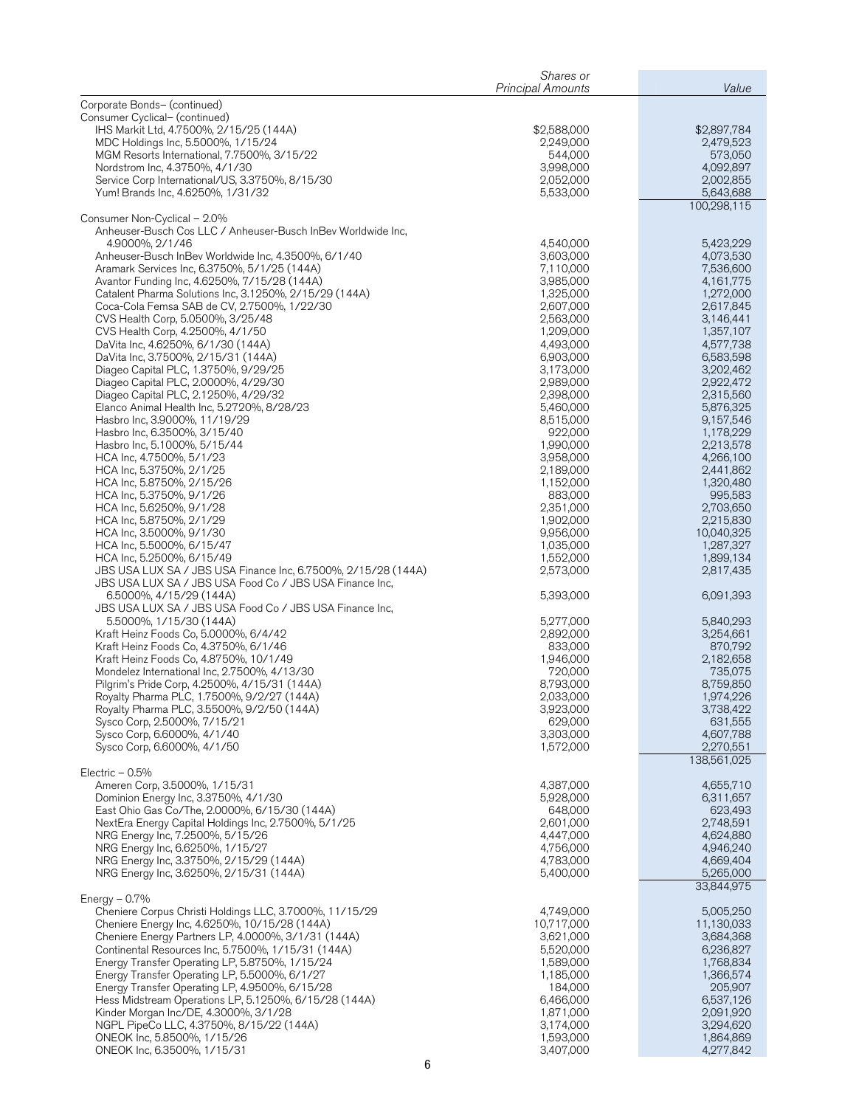|                                                                                                                          | Shares or<br><b>Principal Amounts</b> | Value                    |
|--------------------------------------------------------------------------------------------------------------------------|---------------------------------------|--------------------------|
| Corporate Bonds- (continued)                                                                                             |                                       |                          |
| Consumer Cyclical- (continued)                                                                                           |                                       |                          |
| IHS Markit Ltd, 4.7500%, 2/15/25 (144A)                                                                                  | \$2,588,000                           | \$2,897,784              |
| MDC Holdings Inc, 5.5000%, 1/15/24<br>MGM Resorts International, 7.7500%, 3/15/22                                        | 2,249,000<br>544,000                  | 2,479,523<br>573,050     |
| Nordstrom Inc, 4.3750%, 4/1/30                                                                                           | 3,998,000                             | 4,092,897                |
| Service Corp International/US, 3.3750%, 8/15/30                                                                          | 2,052,000                             | 2,002,855                |
| Yum! Brands Inc, 4.6250%, 1/31/32                                                                                        | 5,533,000                             | 5,643,688                |
| Consumer Non-Cyclical - 2.0%                                                                                             |                                       | 100,298,115              |
| Anheuser-Busch Cos LLC / Anheuser-Busch InBev Worldwide Inc,                                                             |                                       |                          |
| 4.9000%, 2/1/46                                                                                                          | 4,540,000                             | 5,423,229                |
| Anheuser-Busch InBev Worldwide Inc, 4.3500%, 6/1/40                                                                      | 3,603,000                             | 4,073,530                |
| Aramark Services Inc, 6.3750%, 5/1/25 (144A)<br>Avantor Funding Inc, 4.6250%, 7/15/28 (144A)                             | 7,110,000<br>3,985,000                | 7,536,600<br>4,161,775   |
| Catalent Pharma Solutions Inc, 3.1250%, 2/15/29 (144A)                                                                   | 1,325,000                             | 1,272,000                |
| Coca-Cola Femsa SAB de CV, 2.7500%, 1/22/30                                                                              | 2,607,000                             | 2,617,845                |
| CVS Health Corp, 5.0500%, 3/25/48                                                                                        | 2,563,000<br>1,209,000                | 3,146,441                |
| CVS Health Corp, 4.2500%, 4/1/50<br>DaVita Inc, 4.6250%, 6/1/30 (144A)                                                   | 4,493,000                             | 1,357,107<br>4,577,738   |
| DaVita Inc, 3.7500%, 2/15/31 (144A)                                                                                      | 6,903,000                             | 6,583,598                |
| Diageo Capital PLC, 1.3750%, 9/29/25                                                                                     | 3,173,000                             | 3,202,462                |
| Diageo Capital PLC, 2.0000%, 4/29/30<br>Diageo Capital PLC, 2.1250%, 4/29/32                                             | 2,989,000<br>2,398,000                | 2,922,472<br>2,315,560   |
| Elanco Animal Health Inc, 5.2720%, 8/28/23                                                                               | 5,460,000                             | 5,876,325                |
| Hasbro Inc, 3.9000%, 11/19/29                                                                                            | 8,515,000                             | 9,157,546                |
| Hasbro Inc, 6.3500%, 3/15/40                                                                                             | 922,000                               | 1,178,229                |
| Hasbro Inc, 5.1000%, 5/15/44<br>HCA Inc, 4.7500%, 5/1/23                                                                 | 1,990,000<br>3,958,000                | 2,213,578<br>4,266,100   |
| HCA Inc, 5.3750%, 2/1/25                                                                                                 | 2,189,000                             | 2,441,862                |
| HCA Inc, 5.8750%, 2/15/26                                                                                                | 1,152,000                             | 1,320,480                |
| HCA Inc, 5.3750%, 9/1/26                                                                                                 | 883,000                               | 995,583                  |
| HCA Inc, 5.6250%, 9/1/28<br>HCA Inc, 5.8750%, 2/1/29                                                                     | 2,351,000<br>1,902,000                | 2,703,650<br>2,215,830   |
| HCA Inc, 3.5000%, 9/1/30                                                                                                 | 9,956,000                             | 10,040,325               |
| HCA Inc, 5.5000%, 6/15/47                                                                                                | 1,035,000                             | 1,287,327                |
| HCA Inc, 5.2500%, 6/15/49                                                                                                | 1,552,000                             | 1,899,134                |
| JBS USA LUX SA / JBS USA Finance Inc, 6.7500%, 2/15/28 (144A)<br>JBS USA LUX SA / JBS USA Food Co / JBS USA Finance Inc, | 2,573,000                             | 2,817,435                |
| 6.5000%, 4/15/29 (144A)                                                                                                  | 5,393,000                             | 6,091,393                |
| JBS USA LUX SA / JBS USA Food Co / JBS USA Finance Inc,                                                                  |                                       |                          |
| 5.5000%, 1/15/30 (144A)                                                                                                  | 5,277,000                             | 5,840,293                |
| Kraft Heinz Foods Co, 5.0000%, 6/4/42<br>Kraft Heinz Foods Co, 4.3750%, 6/1/46                                           | 2,892,000<br>833,000                  | 3,254,661<br>870,792     |
| Kraft Heinz Foods Co, 4.8750%, 10/1/49                                                                                   | 1,946,000                             | 2,182,658                |
| Mondelez International Inc, 2.7500%, 4/13/30                                                                             | 720,000                               | 735,075                  |
| Pilgrim's Pride Corp, 4.2500%, 4/15/31 (144A)<br>Royalty Pharma PLC, 1.7500%, 9/2/27 (144A)                              | 8,793,000<br>2,033,000                | 8,759,850<br>1,974,226   |
| Royalty Pharma PLC, 3.5500%, 9/2/50 (144A)                                                                               | 3,923,000                             | 3,738,422                |
| Sysco Corp, 2.5000%, 7/15/21                                                                                             | 629,000                               | 631,555                  |
| Sysco Corp, 6.6000%, 4/1/40                                                                                              | 3,303,000                             | 4,607,788                |
| Sysco Corp, 6.6000%, 4/1/50                                                                                              | 1,572,000                             | 2,270,551<br>138,561,025 |
| Electric $-0.5\%$                                                                                                        |                                       |                          |
| Ameren Corp, 3.5000%, 1/15/31                                                                                            | 4,387,000                             | 4,655,710                |
| Dominion Energy Inc, 3.3750%, 4/1/30                                                                                     | 5,928,000                             | 6,311,657                |
| East Ohio Gas Co/The, 2.0000%, 6/15/30 (144A)<br>NextEra Energy Capital Holdings Inc, 2.7500%, 5/1/25                    | 648,000<br>2,601,000                  | 623,493<br>2,748,591     |
| NRG Energy Inc, 7.2500%, 5/15/26                                                                                         | 4,447,000                             | 4,624,880                |
| NRG Energy Inc, 6.6250%, 1/15/27                                                                                         | 4,756,000                             | 4,946,240                |
| NRG Energy Inc, 3.3750%, 2/15/29 (144A)<br>NRG Energy Inc, 3.6250%, 2/15/31 (144A)                                       | 4,783,000<br>5,400,000                | 4,669,404<br>5,265,000   |
|                                                                                                                          |                                       | 33,844,975               |
| Energy $-0.7\%$                                                                                                          |                                       |                          |
| Cheniere Corpus Christi Holdings LLC, 3.7000%, 11/15/29                                                                  | 4,749,000                             | 5,005,250                |
| Cheniere Energy Inc, 4.6250%, 10/15/28 (144A)                                                                            | 10,717,000                            | 11,130,033               |
| Cheniere Energy Partners LP, 4.0000%, 3/1/31 (144A)<br>Continental Resources Inc, 5.7500%, 1/15/31 (144A)                | 3,621,000<br>5,520,000                | 3,684,368<br>6,236,827   |
| Energy Transfer Operating LP, 5.8750%, 1/15/24                                                                           | 1,589,000                             | 1,768,834                |
| Energy Transfer Operating LP, 5.5000%, 6/1/27                                                                            | 1,185,000                             | 1,366,574                |
| Energy Transfer Operating LP, 4.9500%, 6/15/28<br>Hess Midstream Operations LP, 5.1250%, 6/15/28 (144A)                  | 184,000<br>6,466,000                  | 205,907<br>6,537,126     |
| Kinder Morgan Inc/DE, 4.3000%, 3/1/28                                                                                    | 1,871,000                             | 2,091,920                |
| NGPL PipeCo LLC, 4.3750%, 8/15/22 (144A)                                                                                 | 3,174,000                             | 3,294,620                |
| ONEOK Inc, 5.8500%, 1/15/26                                                                                              | 1,593,000                             | 1,864,869                |
| ONEOK Inc, 6.3500%, 1/15/31                                                                                              | 3,407,000                             | 4,277,842                |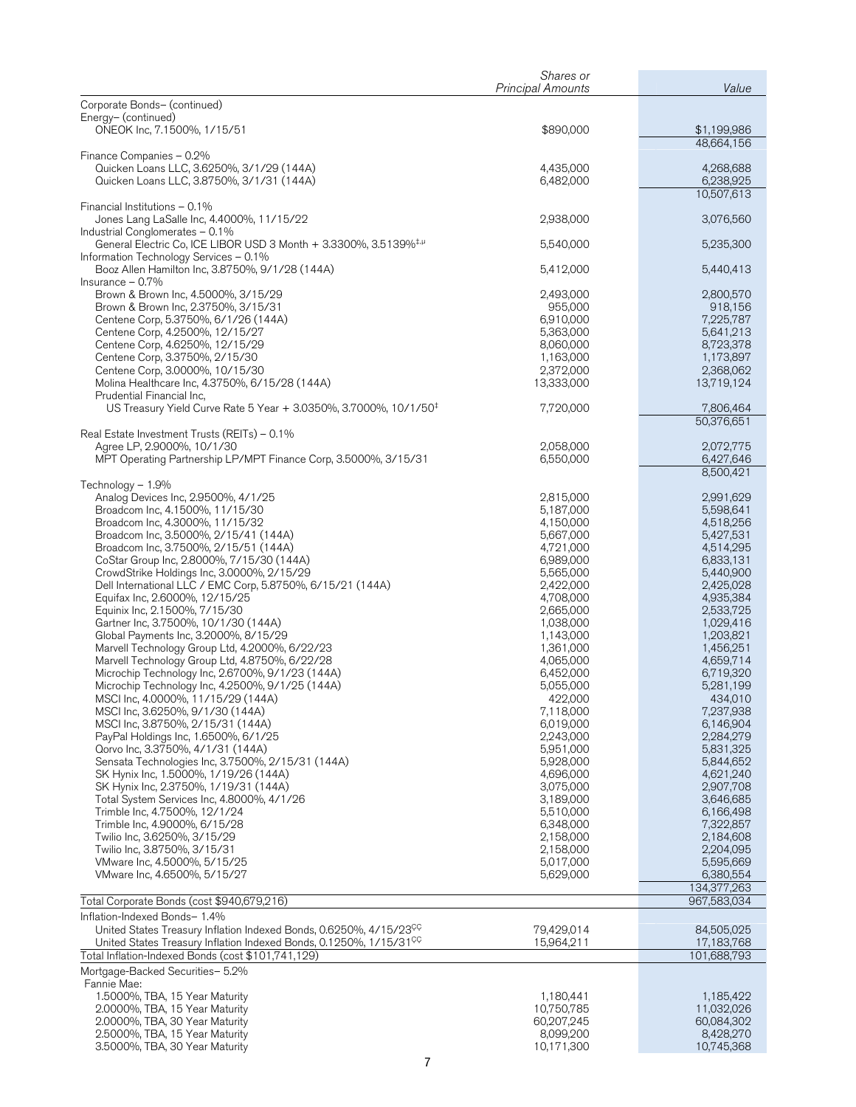|                                                                                                                                                                  | Shares or<br><b>Principal Amounts</b> | Value                    |
|------------------------------------------------------------------------------------------------------------------------------------------------------------------|---------------------------------------|--------------------------|
| Corporate Bonds- (continued)                                                                                                                                     |                                       |                          |
| Energy- (continued)                                                                                                                                              |                                       |                          |
| ONEOK Inc, 7.1500%, 1/15/51                                                                                                                                      | \$890,000                             | \$1,199,986              |
|                                                                                                                                                                  |                                       | 48.664.156               |
| Finance Companies - 0.2%<br>Quicken Loans LLC, 3.6250%, 3/1/29 (144A)                                                                                            | 4,435,000                             | 4,268,688                |
| Quicken Loans LLC, 3.8750%, 3/1/31 (144A)                                                                                                                        | 6,482,000                             | 6,238,925                |
|                                                                                                                                                                  |                                       | 10,507,613               |
| Financial Institutions - 0.1%                                                                                                                                    |                                       |                          |
| Jones Lang LaSalle Inc, 4.4000%, 11/15/22<br>Industrial Conglomerates - 0.1%                                                                                     | 2,938,000                             | 3,076,560                |
| General Electric Co, ICE LIBOR USD 3 Month + 3.3300%, 3.5139% <sup>‡,µ</sup>                                                                                     | 5,540,000                             | 5,235,300                |
| Information Technology Services - 0.1%                                                                                                                           |                                       |                          |
| Booz Allen Hamilton Inc, 3.8750%, 9/1/28 (144A)                                                                                                                  | 5,412,000                             | 5,440,413                |
| Insurance $-0.7\%$                                                                                                                                               |                                       |                          |
| Brown & Brown Inc, 4.5000%, 3/15/29<br>Brown & Brown Inc, 2.3750%, 3/15/31                                                                                       | 2,493,000<br>955,000                  | 2,800,570<br>918,156     |
| Centene Corp, 5.3750%, 6/1/26 (144A)                                                                                                                             | 6,910,000                             | 7,225,787                |
| Centene Corp, 4.2500%, 12/15/27                                                                                                                                  | 5,363,000                             | 5,641,213                |
| Centene Corp, 4.6250%, 12/15/29                                                                                                                                  | 8,060,000                             | 8,723,378                |
| Centene Corp, 3.3750%, 2/15/30<br>Centene Corp, 3.0000%, 10/15/30                                                                                                | 1,163,000<br>2,372,000                | 1,173,897<br>2,368,062   |
| Molina Healthcare Inc, 4.3750%, 6/15/28 (144A)                                                                                                                   | 13,333,000                            | 13,719,124               |
| Prudential Financial Inc,                                                                                                                                        |                                       |                          |
| US Treasury Yield Curve Rate 5 Year + 3.0350%, 3.7000%, 10/1/50 <sup>‡</sup>                                                                                     | 7,720,000                             | 7,806,464                |
|                                                                                                                                                                  |                                       | 50,376,651               |
| Real Estate Investment Trusts (REITs) - 0.1%<br>Agree LP, 2.9000%, 10/1/30                                                                                       | 2,058,000                             | 2,072,775                |
| MPT Operating Partnership LP/MPT Finance Corp, 3.5000%, 3/15/31                                                                                                  | 6,550,000                             | 6,427,646                |
|                                                                                                                                                                  |                                       | 8,500,421                |
| Technology - 1.9%                                                                                                                                                |                                       |                          |
| Analog Devices Inc, 2.9500%, 4/1/25<br>Broadcom Inc, 4.1500%, 11/15/30                                                                                           | 2,815,000<br>5,187,000                | 2,991,629<br>5,598,641   |
| Broadcom Inc, 4.3000%, 11/15/32                                                                                                                                  | 4,150,000                             | 4,518,256                |
| Broadcom Inc, 3.5000%, 2/15/41 (144A)                                                                                                                            | 5,667,000                             | 5,427,531                |
| Broadcom Inc, 3.7500%, 2/15/51 (144A)                                                                                                                            | 4,721,000                             | 4,514,295                |
| CoStar Group Inc, 2.8000%, 7/15/30 (144A)                                                                                                                        | 6,989,000                             | 6,833,131                |
| CrowdStrike Holdings Inc, 3.0000%, 2/15/29<br>Dell International LLC / EMC Corp, 5.8750%, 6/15/21 (144A)                                                         | 5,565,000<br>2,422,000                | 5,440,900<br>2,425,028   |
| Equifax Inc, 2.6000%, 12/15/25                                                                                                                                   | 4,708,000                             | 4,935,384                |
| Equinix Inc, 2.1500%, 7/15/30                                                                                                                                    | 2,665,000                             | 2,533,725                |
| Gartner Inc, 3.7500%, 10/1/30 (144A)                                                                                                                             | 1,038,000                             | 1,029,416                |
| Global Payments Inc, 3.2000%, 8/15/29<br>Marvell Technology Group Ltd, 4.2000%, 6/22/23                                                                          | 1,143,000<br>1,361,000                | 1,203,821<br>1,456,251   |
| Marvell Technology Group Ltd, 4.8750%, 6/22/28                                                                                                                   | 4,065,000                             | 4,659,714                |
| Microchip Technology Inc, 2.6700%, 9/1/23 (144A)                                                                                                                 | 6,452,000                             | 6,719,320                |
| Microchip Technology Inc, 4.2500%, 9/1/25 (144A)                                                                                                                 | 5,055,000                             | 5,281,199                |
| MSCI Inc, 4.0000%, 11/15/29 (144A)                                                                                                                               | 422,000                               | 434,010                  |
| MSCI Inc, 3.6250%, 9/1/30 (144A)<br>MSCI Inc, 3.8750%, 2/15/31 (144A)                                                                                            | 7,118,000<br>6,019,000                | 7,237,938<br>6,146,904   |
| PayPal Holdings Inc, 1.6500%, 6/1/25                                                                                                                             | 2,243,000                             | 2,284,279                |
| Qorvo Inc, 3.3750%, 4/1/31 (144A)                                                                                                                                | 5,951,000                             | 5,831,325                |
| Sensata Technologies Inc, 3.7500%, 2/15/31 (144A)                                                                                                                | 5,928,000                             | 5,844,652                |
| SK Hynix Inc, 1.5000%, 1/19/26 (144A)<br>SK Hynix Inc, 2.3750%, 1/19/31 (144A)                                                                                   | 4,696,000<br>3,075,000                | 4,621,240<br>2,907,708   |
| Total System Services Inc, 4.8000%, 4/1/26                                                                                                                       | 3,189,000                             | 3,646,685                |
| Trimble Inc, 4.7500%, 12/1/24                                                                                                                                    | 5,510,000                             | 6,166,498                |
| Trimble Inc, 4.9000%, 6/15/28                                                                                                                                    | 6,348,000                             | 7,322,857                |
| Twilio Inc, 3.6250%, 3/15/29<br>Twilio Inc, 3.8750%, 3/15/31                                                                                                     | 2,158,000                             | 2,184,608                |
| VMware Inc, 4.5000%, 5/15/25                                                                                                                                     | 2,158,000<br>5,017,000                | 2,204,095<br>5,595,669   |
| VMware Inc, 4.6500%, 5/15/27                                                                                                                                     | 5,629,000                             | 6,380,554                |
|                                                                                                                                                                  |                                       | 134,377,263              |
| Total Corporate Bonds (cost \$940,679,216)                                                                                                                       |                                       | 967,583,034              |
| Inflation-Indexed Bonds- 1.4%                                                                                                                                    |                                       |                          |
| United States Treasury Inflation Indexed Bonds, 0.6250%, 4/15/23 <sup>CC</sup><br>United States Treasury Inflation Indexed Bonds, 0.1250%, 1/15/31 <sup>CC</sup> | 79,429,014<br>15,964,211              | 84,505,025<br>17,183,768 |
| Total Inflation-Indexed Bonds (cost \$101,741,129)                                                                                                               |                                       | 101,688,793              |
| Mortgage-Backed Securities- 5.2%                                                                                                                                 |                                       |                          |
| Fannie Mae:                                                                                                                                                      |                                       |                          |
| 1.5000%, TBA, 15 Year Maturity                                                                                                                                   | 1,180,441                             | 1,185,422                |
| 2.0000%, TBA, 15 Year Maturity                                                                                                                                   | 10,750,785                            | 11,032,026               |
| 2.0000%, TBA, 30 Year Maturity<br>2.5000%, TBA, 15 Year Maturity                                                                                                 | 60,207,245<br>8,099,200               | 60,084,302<br>8,428,270  |
| 3.5000%, TBA, 30 Year Maturity                                                                                                                                   | 10,171,300                            | 10,745,368               |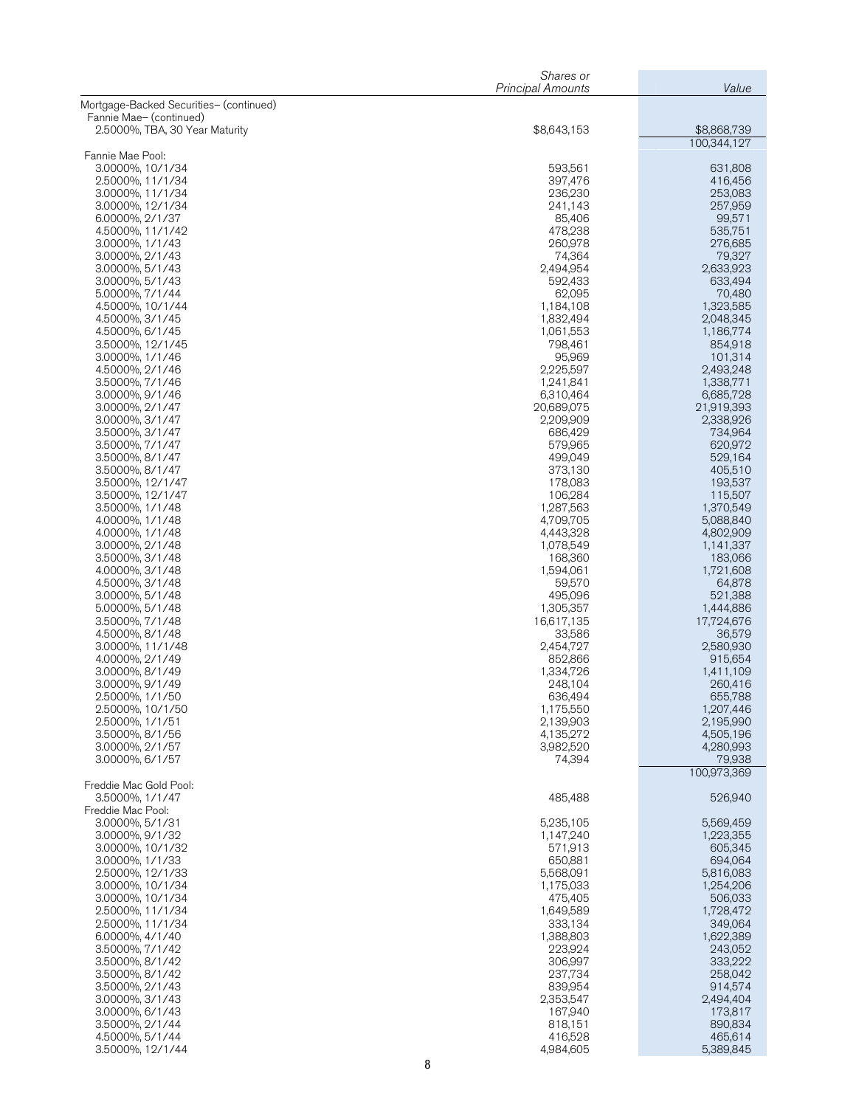| Mortgage-Backed Securities- (continued)<br>Fannie Mae- (continued)<br>\$8,868,739<br>2.5000%, TBA, 30 Year Maturity<br>\$8,643,153<br>100.344.127<br>Fannie Mae Pool:<br>593,561<br>631,808<br>3.0000%, 10/1/34<br>397,476<br>416,456<br>2.5000%, 11/1/34<br>236,230<br>253,083<br>3.0000%, 11/1/34<br>3.0000%, 12/1/34<br>241,143<br>257,959<br>6.0000%, 2/1/37<br>85,406<br>99,571<br>4.5000%, 11/1/42<br>478,238<br>535,751<br>3.0000%, 1/1/43<br>260,978<br>276,685<br>3.0000%, 2/1/43<br>74,364<br>79,327<br>3.0000%, 5/1/43<br>2,494,954<br>2,633,923<br>3.0000%, 5/1/43<br>633,494<br>592,433<br>5.0000%, 7/1/44<br>70,480<br>62,095<br>4.5000%, 10/1/44<br>1,184,108<br>1,323,585<br>4.5000%, 3/1/45<br>1,832,494<br>2,048,345<br>4.5000%, 6/1/45<br>1,061,553<br>1,186,774<br>3.5000%, 12/1/45<br>798,461<br>854,918<br>3.0000%, 1/1/46<br>95,969<br>101,314<br>4.5000%, 2/1/46<br>2,225,597<br>2,493,248<br>3.5000%, 7/1/46<br>1,338,771<br>1,241,841<br>3.0000%, 9/1/46<br>6,685,728<br>6,310,464<br>3.0000%, 2/1/47<br>20,689,075<br>21,919,393<br>3.0000%, 3/1/47<br>2,209,909<br>2,338,926<br>3.5000%, 3/1/47<br>686,429<br>734,964<br>3.5000%, 7/1/47<br>579,965<br>620,972<br>3.5000%, 8/1/47<br>499,049<br>529,164<br>3.5000%, 8/1/47<br>373,130<br>405,510<br>178,083<br>193,537<br>3.5000%, 12/1/47<br>106,284<br>115,507<br>3.5000%, 12/1/47<br>3.5000%, 1/1/48<br>1,287,563<br>1,370,549<br>4.0000%, 1/1/48<br>4,709,705<br>5,088,840<br>4.0000%, 1/1/48<br>4,443,328<br>4,802,909<br>3.0000%, 2/1/48<br>1,078,549<br>1,141,337<br>3.5000%, 3/1/48<br>168,360<br>183,066<br>4.0000%, 3/1/48<br>1,721,608<br>1,594,061<br>4.5000%, 3/1/48<br>64,878<br>59,570<br>3.0000%, 5/1/48<br>495,096<br>521,388<br>5.0000%, 5/1/48<br>1,305,357<br>1,444,886<br>3.5000%, 7/1/48<br>16,617,135<br>17,724,676<br>4.5000%, 8/1/48<br>33,586<br>36,579<br>3.0000%, 11/1/48<br>2,454,727<br>2,580,930<br>4.0000%, 2/1/49<br>852,866<br>915,654<br>3.0000%, 8/1/49<br>1,334,726<br>1,411,109<br>3.0000%, 9/1/49<br>248,104<br>260,416<br>636,494<br>2.5000%, 1/1/50<br>655,788<br>2.5000%, 10/1/50<br>1,175,550<br>1,207,446<br>2.5000%, 1/1/51<br>2,139,903<br>2,195,990<br>3.5000%, 8/1/56<br>4,135,272<br>4,505,196<br>3.0000%, 2/1/57<br>3,982,520<br>4,280,993<br>3.0000%, 6/1/57<br>74,394<br>79,938<br>100,973,369<br>Freddie Mac Gold Pool:<br>485,488<br>526,940<br>3.5000%, 1/1/47<br>Freddie Mac Pool:<br>5,235,105<br>3.0000%, 5/1/31<br>5,569,459<br>1,223,355<br>3.0000%, 9/1/32<br>1,147,240<br>3.0000%, 10/1/32<br>571,913<br>605,345<br>3.0000%, 1/1/33<br>650,881<br>694,064<br>2.5000%, 12/1/33<br>5,568,091<br>5,816,083<br>1,254,206<br>3.0000%, 10/1/34<br>1,175,033<br>3.0000%, 10/1/34<br>475,405<br>506,033<br>1,728,472<br>2.5000%, 11/1/34<br>1,649,589<br>2.5000%, 11/1/34<br>333,134<br>349,064<br>1,388,803<br>1,622,389<br>6.0000%, 4/1/40<br>223,924<br>3.5000%, 7/1/42<br>243,052<br>3.5000%, 8/1/42<br>306,997<br>333,222<br>237,734<br>3.5000%, 8/1/42<br>258,042<br>3.5000%, 2/1/43<br>839,954<br>914,574<br>3.0000%, 3/1/43<br>2,353,547<br>2,494,404<br>3.0000%, 6/1/43<br>173,817<br>167,940<br>3.5000%, 2/1/44<br>818,151<br>890,834<br>4.5000%, 5/1/44<br>416,528<br>465,614<br>4,984,605<br>3.5000%, 12/1/44<br>5,389,845 | Shares or<br><b>Principal Amounts</b> | Value |
|--------------------------------------------------------------------------------------------------------------------------------------------------------------------------------------------------------------------------------------------------------------------------------------------------------------------------------------------------------------------------------------------------------------------------------------------------------------------------------------------------------------------------------------------------------------------------------------------------------------------------------------------------------------------------------------------------------------------------------------------------------------------------------------------------------------------------------------------------------------------------------------------------------------------------------------------------------------------------------------------------------------------------------------------------------------------------------------------------------------------------------------------------------------------------------------------------------------------------------------------------------------------------------------------------------------------------------------------------------------------------------------------------------------------------------------------------------------------------------------------------------------------------------------------------------------------------------------------------------------------------------------------------------------------------------------------------------------------------------------------------------------------------------------------------------------------------------------------------------------------------------------------------------------------------------------------------------------------------------------------------------------------------------------------------------------------------------------------------------------------------------------------------------------------------------------------------------------------------------------------------------------------------------------------------------------------------------------------------------------------------------------------------------------------------------------------------------------------------------------------------------------------------------------------------------------------------------------------------------------------------------------------------------------------------------------------------------------------------------------------------------------------------------------------------------------------------------------------------------------------------------------------------------------------------------------------------------------------------------------------------------------------------------------------------------------------------------------------------------------------------------------------------------------------------------------------------------------------------------------------------------------------------|---------------------------------------|-------|
|                                                                                                                                                                                                                                                                                                                                                                                                                                                                                                                                                                                                                                                                                                                                                                                                                                                                                                                                                                                                                                                                                                                                                                                                                                                                                                                                                                                                                                                                                                                                                                                                                                                                                                                                                                                                                                                                                                                                                                                                                                                                                                                                                                                                                                                                                                                                                                                                                                                                                                                                                                                                                                                                                                                                                                                                                                                                                                                                                                                                                                                                                                                                                                                                                                                                          |                                       |       |
|                                                                                                                                                                                                                                                                                                                                                                                                                                                                                                                                                                                                                                                                                                                                                                                                                                                                                                                                                                                                                                                                                                                                                                                                                                                                                                                                                                                                                                                                                                                                                                                                                                                                                                                                                                                                                                                                                                                                                                                                                                                                                                                                                                                                                                                                                                                                                                                                                                                                                                                                                                                                                                                                                                                                                                                                                                                                                                                                                                                                                                                                                                                                                                                                                                                                          |                                       |       |
|                                                                                                                                                                                                                                                                                                                                                                                                                                                                                                                                                                                                                                                                                                                                                                                                                                                                                                                                                                                                                                                                                                                                                                                                                                                                                                                                                                                                                                                                                                                                                                                                                                                                                                                                                                                                                                                                                                                                                                                                                                                                                                                                                                                                                                                                                                                                                                                                                                                                                                                                                                                                                                                                                                                                                                                                                                                                                                                                                                                                                                                                                                                                                                                                                                                                          |                                       |       |
|                                                                                                                                                                                                                                                                                                                                                                                                                                                                                                                                                                                                                                                                                                                                                                                                                                                                                                                                                                                                                                                                                                                                                                                                                                                                                                                                                                                                                                                                                                                                                                                                                                                                                                                                                                                                                                                                                                                                                                                                                                                                                                                                                                                                                                                                                                                                                                                                                                                                                                                                                                                                                                                                                                                                                                                                                                                                                                                                                                                                                                                                                                                                                                                                                                                                          |                                       |       |
|                                                                                                                                                                                                                                                                                                                                                                                                                                                                                                                                                                                                                                                                                                                                                                                                                                                                                                                                                                                                                                                                                                                                                                                                                                                                                                                                                                                                                                                                                                                                                                                                                                                                                                                                                                                                                                                                                                                                                                                                                                                                                                                                                                                                                                                                                                                                                                                                                                                                                                                                                                                                                                                                                                                                                                                                                                                                                                                                                                                                                                                                                                                                                                                                                                                                          |                                       |       |
|                                                                                                                                                                                                                                                                                                                                                                                                                                                                                                                                                                                                                                                                                                                                                                                                                                                                                                                                                                                                                                                                                                                                                                                                                                                                                                                                                                                                                                                                                                                                                                                                                                                                                                                                                                                                                                                                                                                                                                                                                                                                                                                                                                                                                                                                                                                                                                                                                                                                                                                                                                                                                                                                                                                                                                                                                                                                                                                                                                                                                                                                                                                                                                                                                                                                          |                                       |       |
|                                                                                                                                                                                                                                                                                                                                                                                                                                                                                                                                                                                                                                                                                                                                                                                                                                                                                                                                                                                                                                                                                                                                                                                                                                                                                                                                                                                                                                                                                                                                                                                                                                                                                                                                                                                                                                                                                                                                                                                                                                                                                                                                                                                                                                                                                                                                                                                                                                                                                                                                                                                                                                                                                                                                                                                                                                                                                                                                                                                                                                                                                                                                                                                                                                                                          |                                       |       |
|                                                                                                                                                                                                                                                                                                                                                                                                                                                                                                                                                                                                                                                                                                                                                                                                                                                                                                                                                                                                                                                                                                                                                                                                                                                                                                                                                                                                                                                                                                                                                                                                                                                                                                                                                                                                                                                                                                                                                                                                                                                                                                                                                                                                                                                                                                                                                                                                                                                                                                                                                                                                                                                                                                                                                                                                                                                                                                                                                                                                                                                                                                                                                                                                                                                                          |                                       |       |
|                                                                                                                                                                                                                                                                                                                                                                                                                                                                                                                                                                                                                                                                                                                                                                                                                                                                                                                                                                                                                                                                                                                                                                                                                                                                                                                                                                                                                                                                                                                                                                                                                                                                                                                                                                                                                                                                                                                                                                                                                                                                                                                                                                                                                                                                                                                                                                                                                                                                                                                                                                                                                                                                                                                                                                                                                                                                                                                                                                                                                                                                                                                                                                                                                                                                          |                                       |       |
|                                                                                                                                                                                                                                                                                                                                                                                                                                                                                                                                                                                                                                                                                                                                                                                                                                                                                                                                                                                                                                                                                                                                                                                                                                                                                                                                                                                                                                                                                                                                                                                                                                                                                                                                                                                                                                                                                                                                                                                                                                                                                                                                                                                                                                                                                                                                                                                                                                                                                                                                                                                                                                                                                                                                                                                                                                                                                                                                                                                                                                                                                                                                                                                                                                                                          |                                       |       |
|                                                                                                                                                                                                                                                                                                                                                                                                                                                                                                                                                                                                                                                                                                                                                                                                                                                                                                                                                                                                                                                                                                                                                                                                                                                                                                                                                                                                                                                                                                                                                                                                                                                                                                                                                                                                                                                                                                                                                                                                                                                                                                                                                                                                                                                                                                                                                                                                                                                                                                                                                                                                                                                                                                                                                                                                                                                                                                                                                                                                                                                                                                                                                                                                                                                                          |                                       |       |
|                                                                                                                                                                                                                                                                                                                                                                                                                                                                                                                                                                                                                                                                                                                                                                                                                                                                                                                                                                                                                                                                                                                                                                                                                                                                                                                                                                                                                                                                                                                                                                                                                                                                                                                                                                                                                                                                                                                                                                                                                                                                                                                                                                                                                                                                                                                                                                                                                                                                                                                                                                                                                                                                                                                                                                                                                                                                                                                                                                                                                                                                                                                                                                                                                                                                          |                                       |       |
|                                                                                                                                                                                                                                                                                                                                                                                                                                                                                                                                                                                                                                                                                                                                                                                                                                                                                                                                                                                                                                                                                                                                                                                                                                                                                                                                                                                                                                                                                                                                                                                                                                                                                                                                                                                                                                                                                                                                                                                                                                                                                                                                                                                                                                                                                                                                                                                                                                                                                                                                                                                                                                                                                                                                                                                                                                                                                                                                                                                                                                                                                                                                                                                                                                                                          |                                       |       |
|                                                                                                                                                                                                                                                                                                                                                                                                                                                                                                                                                                                                                                                                                                                                                                                                                                                                                                                                                                                                                                                                                                                                                                                                                                                                                                                                                                                                                                                                                                                                                                                                                                                                                                                                                                                                                                                                                                                                                                                                                                                                                                                                                                                                                                                                                                                                                                                                                                                                                                                                                                                                                                                                                                                                                                                                                                                                                                                                                                                                                                                                                                                                                                                                                                                                          |                                       |       |
|                                                                                                                                                                                                                                                                                                                                                                                                                                                                                                                                                                                                                                                                                                                                                                                                                                                                                                                                                                                                                                                                                                                                                                                                                                                                                                                                                                                                                                                                                                                                                                                                                                                                                                                                                                                                                                                                                                                                                                                                                                                                                                                                                                                                                                                                                                                                                                                                                                                                                                                                                                                                                                                                                                                                                                                                                                                                                                                                                                                                                                                                                                                                                                                                                                                                          |                                       |       |
|                                                                                                                                                                                                                                                                                                                                                                                                                                                                                                                                                                                                                                                                                                                                                                                                                                                                                                                                                                                                                                                                                                                                                                                                                                                                                                                                                                                                                                                                                                                                                                                                                                                                                                                                                                                                                                                                                                                                                                                                                                                                                                                                                                                                                                                                                                                                                                                                                                                                                                                                                                                                                                                                                                                                                                                                                                                                                                                                                                                                                                                                                                                                                                                                                                                                          |                                       |       |
|                                                                                                                                                                                                                                                                                                                                                                                                                                                                                                                                                                                                                                                                                                                                                                                                                                                                                                                                                                                                                                                                                                                                                                                                                                                                                                                                                                                                                                                                                                                                                                                                                                                                                                                                                                                                                                                                                                                                                                                                                                                                                                                                                                                                                                                                                                                                                                                                                                                                                                                                                                                                                                                                                                                                                                                                                                                                                                                                                                                                                                                                                                                                                                                                                                                                          |                                       |       |
|                                                                                                                                                                                                                                                                                                                                                                                                                                                                                                                                                                                                                                                                                                                                                                                                                                                                                                                                                                                                                                                                                                                                                                                                                                                                                                                                                                                                                                                                                                                                                                                                                                                                                                                                                                                                                                                                                                                                                                                                                                                                                                                                                                                                                                                                                                                                                                                                                                                                                                                                                                                                                                                                                                                                                                                                                                                                                                                                                                                                                                                                                                                                                                                                                                                                          |                                       |       |
|                                                                                                                                                                                                                                                                                                                                                                                                                                                                                                                                                                                                                                                                                                                                                                                                                                                                                                                                                                                                                                                                                                                                                                                                                                                                                                                                                                                                                                                                                                                                                                                                                                                                                                                                                                                                                                                                                                                                                                                                                                                                                                                                                                                                                                                                                                                                                                                                                                                                                                                                                                                                                                                                                                                                                                                                                                                                                                                                                                                                                                                                                                                                                                                                                                                                          |                                       |       |
|                                                                                                                                                                                                                                                                                                                                                                                                                                                                                                                                                                                                                                                                                                                                                                                                                                                                                                                                                                                                                                                                                                                                                                                                                                                                                                                                                                                                                                                                                                                                                                                                                                                                                                                                                                                                                                                                                                                                                                                                                                                                                                                                                                                                                                                                                                                                                                                                                                                                                                                                                                                                                                                                                                                                                                                                                                                                                                                                                                                                                                                                                                                                                                                                                                                                          |                                       |       |
|                                                                                                                                                                                                                                                                                                                                                                                                                                                                                                                                                                                                                                                                                                                                                                                                                                                                                                                                                                                                                                                                                                                                                                                                                                                                                                                                                                                                                                                                                                                                                                                                                                                                                                                                                                                                                                                                                                                                                                                                                                                                                                                                                                                                                                                                                                                                                                                                                                                                                                                                                                                                                                                                                                                                                                                                                                                                                                                                                                                                                                                                                                                                                                                                                                                                          |                                       |       |
|                                                                                                                                                                                                                                                                                                                                                                                                                                                                                                                                                                                                                                                                                                                                                                                                                                                                                                                                                                                                                                                                                                                                                                                                                                                                                                                                                                                                                                                                                                                                                                                                                                                                                                                                                                                                                                                                                                                                                                                                                                                                                                                                                                                                                                                                                                                                                                                                                                                                                                                                                                                                                                                                                                                                                                                                                                                                                                                                                                                                                                                                                                                                                                                                                                                                          |                                       |       |
|                                                                                                                                                                                                                                                                                                                                                                                                                                                                                                                                                                                                                                                                                                                                                                                                                                                                                                                                                                                                                                                                                                                                                                                                                                                                                                                                                                                                                                                                                                                                                                                                                                                                                                                                                                                                                                                                                                                                                                                                                                                                                                                                                                                                                                                                                                                                                                                                                                                                                                                                                                                                                                                                                                                                                                                                                                                                                                                                                                                                                                                                                                                                                                                                                                                                          |                                       |       |
|                                                                                                                                                                                                                                                                                                                                                                                                                                                                                                                                                                                                                                                                                                                                                                                                                                                                                                                                                                                                                                                                                                                                                                                                                                                                                                                                                                                                                                                                                                                                                                                                                                                                                                                                                                                                                                                                                                                                                                                                                                                                                                                                                                                                                                                                                                                                                                                                                                                                                                                                                                                                                                                                                                                                                                                                                                                                                                                                                                                                                                                                                                                                                                                                                                                                          |                                       |       |
|                                                                                                                                                                                                                                                                                                                                                                                                                                                                                                                                                                                                                                                                                                                                                                                                                                                                                                                                                                                                                                                                                                                                                                                                                                                                                                                                                                                                                                                                                                                                                                                                                                                                                                                                                                                                                                                                                                                                                                                                                                                                                                                                                                                                                                                                                                                                                                                                                                                                                                                                                                                                                                                                                                                                                                                                                                                                                                                                                                                                                                                                                                                                                                                                                                                                          |                                       |       |
|                                                                                                                                                                                                                                                                                                                                                                                                                                                                                                                                                                                                                                                                                                                                                                                                                                                                                                                                                                                                                                                                                                                                                                                                                                                                                                                                                                                                                                                                                                                                                                                                                                                                                                                                                                                                                                                                                                                                                                                                                                                                                                                                                                                                                                                                                                                                                                                                                                                                                                                                                                                                                                                                                                                                                                                                                                                                                                                                                                                                                                                                                                                                                                                                                                                                          |                                       |       |
|                                                                                                                                                                                                                                                                                                                                                                                                                                                                                                                                                                                                                                                                                                                                                                                                                                                                                                                                                                                                                                                                                                                                                                                                                                                                                                                                                                                                                                                                                                                                                                                                                                                                                                                                                                                                                                                                                                                                                                                                                                                                                                                                                                                                                                                                                                                                                                                                                                                                                                                                                                                                                                                                                                                                                                                                                                                                                                                                                                                                                                                                                                                                                                                                                                                                          |                                       |       |
|                                                                                                                                                                                                                                                                                                                                                                                                                                                                                                                                                                                                                                                                                                                                                                                                                                                                                                                                                                                                                                                                                                                                                                                                                                                                                                                                                                                                                                                                                                                                                                                                                                                                                                                                                                                                                                                                                                                                                                                                                                                                                                                                                                                                                                                                                                                                                                                                                                                                                                                                                                                                                                                                                                                                                                                                                                                                                                                                                                                                                                                                                                                                                                                                                                                                          |                                       |       |
|                                                                                                                                                                                                                                                                                                                                                                                                                                                                                                                                                                                                                                                                                                                                                                                                                                                                                                                                                                                                                                                                                                                                                                                                                                                                                                                                                                                                                                                                                                                                                                                                                                                                                                                                                                                                                                                                                                                                                                                                                                                                                                                                                                                                                                                                                                                                                                                                                                                                                                                                                                                                                                                                                                                                                                                                                                                                                                                                                                                                                                                                                                                                                                                                                                                                          |                                       |       |
|                                                                                                                                                                                                                                                                                                                                                                                                                                                                                                                                                                                                                                                                                                                                                                                                                                                                                                                                                                                                                                                                                                                                                                                                                                                                                                                                                                                                                                                                                                                                                                                                                                                                                                                                                                                                                                                                                                                                                                                                                                                                                                                                                                                                                                                                                                                                                                                                                                                                                                                                                                                                                                                                                                                                                                                                                                                                                                                                                                                                                                                                                                                                                                                                                                                                          |                                       |       |
|                                                                                                                                                                                                                                                                                                                                                                                                                                                                                                                                                                                                                                                                                                                                                                                                                                                                                                                                                                                                                                                                                                                                                                                                                                                                                                                                                                                                                                                                                                                                                                                                                                                                                                                                                                                                                                                                                                                                                                                                                                                                                                                                                                                                                                                                                                                                                                                                                                                                                                                                                                                                                                                                                                                                                                                                                                                                                                                                                                                                                                                                                                                                                                                                                                                                          |                                       |       |
|                                                                                                                                                                                                                                                                                                                                                                                                                                                                                                                                                                                                                                                                                                                                                                                                                                                                                                                                                                                                                                                                                                                                                                                                                                                                                                                                                                                                                                                                                                                                                                                                                                                                                                                                                                                                                                                                                                                                                                                                                                                                                                                                                                                                                                                                                                                                                                                                                                                                                                                                                                                                                                                                                                                                                                                                                                                                                                                                                                                                                                                                                                                                                                                                                                                                          |                                       |       |
|                                                                                                                                                                                                                                                                                                                                                                                                                                                                                                                                                                                                                                                                                                                                                                                                                                                                                                                                                                                                                                                                                                                                                                                                                                                                                                                                                                                                                                                                                                                                                                                                                                                                                                                                                                                                                                                                                                                                                                                                                                                                                                                                                                                                                                                                                                                                                                                                                                                                                                                                                                                                                                                                                                                                                                                                                                                                                                                                                                                                                                                                                                                                                                                                                                                                          |                                       |       |
|                                                                                                                                                                                                                                                                                                                                                                                                                                                                                                                                                                                                                                                                                                                                                                                                                                                                                                                                                                                                                                                                                                                                                                                                                                                                                                                                                                                                                                                                                                                                                                                                                                                                                                                                                                                                                                                                                                                                                                                                                                                                                                                                                                                                                                                                                                                                                                                                                                                                                                                                                                                                                                                                                                                                                                                                                                                                                                                                                                                                                                                                                                                                                                                                                                                                          |                                       |       |
|                                                                                                                                                                                                                                                                                                                                                                                                                                                                                                                                                                                                                                                                                                                                                                                                                                                                                                                                                                                                                                                                                                                                                                                                                                                                                                                                                                                                                                                                                                                                                                                                                                                                                                                                                                                                                                                                                                                                                                                                                                                                                                                                                                                                                                                                                                                                                                                                                                                                                                                                                                                                                                                                                                                                                                                                                                                                                                                                                                                                                                                                                                                                                                                                                                                                          |                                       |       |
|                                                                                                                                                                                                                                                                                                                                                                                                                                                                                                                                                                                                                                                                                                                                                                                                                                                                                                                                                                                                                                                                                                                                                                                                                                                                                                                                                                                                                                                                                                                                                                                                                                                                                                                                                                                                                                                                                                                                                                                                                                                                                                                                                                                                                                                                                                                                                                                                                                                                                                                                                                                                                                                                                                                                                                                                                                                                                                                                                                                                                                                                                                                                                                                                                                                                          |                                       |       |
|                                                                                                                                                                                                                                                                                                                                                                                                                                                                                                                                                                                                                                                                                                                                                                                                                                                                                                                                                                                                                                                                                                                                                                                                                                                                                                                                                                                                                                                                                                                                                                                                                                                                                                                                                                                                                                                                                                                                                                                                                                                                                                                                                                                                                                                                                                                                                                                                                                                                                                                                                                                                                                                                                                                                                                                                                                                                                                                                                                                                                                                                                                                                                                                                                                                                          |                                       |       |
|                                                                                                                                                                                                                                                                                                                                                                                                                                                                                                                                                                                                                                                                                                                                                                                                                                                                                                                                                                                                                                                                                                                                                                                                                                                                                                                                                                                                                                                                                                                                                                                                                                                                                                                                                                                                                                                                                                                                                                                                                                                                                                                                                                                                                                                                                                                                                                                                                                                                                                                                                                                                                                                                                                                                                                                                                                                                                                                                                                                                                                                                                                                                                                                                                                                                          |                                       |       |
|                                                                                                                                                                                                                                                                                                                                                                                                                                                                                                                                                                                                                                                                                                                                                                                                                                                                                                                                                                                                                                                                                                                                                                                                                                                                                                                                                                                                                                                                                                                                                                                                                                                                                                                                                                                                                                                                                                                                                                                                                                                                                                                                                                                                                                                                                                                                                                                                                                                                                                                                                                                                                                                                                                                                                                                                                                                                                                                                                                                                                                                                                                                                                                                                                                                                          |                                       |       |
|                                                                                                                                                                                                                                                                                                                                                                                                                                                                                                                                                                                                                                                                                                                                                                                                                                                                                                                                                                                                                                                                                                                                                                                                                                                                                                                                                                                                                                                                                                                                                                                                                                                                                                                                                                                                                                                                                                                                                                                                                                                                                                                                                                                                                                                                                                                                                                                                                                                                                                                                                                                                                                                                                                                                                                                                                                                                                                                                                                                                                                                                                                                                                                                                                                                                          |                                       |       |
|                                                                                                                                                                                                                                                                                                                                                                                                                                                                                                                                                                                                                                                                                                                                                                                                                                                                                                                                                                                                                                                                                                                                                                                                                                                                                                                                                                                                                                                                                                                                                                                                                                                                                                                                                                                                                                                                                                                                                                                                                                                                                                                                                                                                                                                                                                                                                                                                                                                                                                                                                                                                                                                                                                                                                                                                                                                                                                                                                                                                                                                                                                                                                                                                                                                                          |                                       |       |
|                                                                                                                                                                                                                                                                                                                                                                                                                                                                                                                                                                                                                                                                                                                                                                                                                                                                                                                                                                                                                                                                                                                                                                                                                                                                                                                                                                                                                                                                                                                                                                                                                                                                                                                                                                                                                                                                                                                                                                                                                                                                                                                                                                                                                                                                                                                                                                                                                                                                                                                                                                                                                                                                                                                                                                                                                                                                                                                                                                                                                                                                                                                                                                                                                                                                          |                                       |       |
|                                                                                                                                                                                                                                                                                                                                                                                                                                                                                                                                                                                                                                                                                                                                                                                                                                                                                                                                                                                                                                                                                                                                                                                                                                                                                                                                                                                                                                                                                                                                                                                                                                                                                                                                                                                                                                                                                                                                                                                                                                                                                                                                                                                                                                                                                                                                                                                                                                                                                                                                                                                                                                                                                                                                                                                                                                                                                                                                                                                                                                                                                                                                                                                                                                                                          |                                       |       |
|                                                                                                                                                                                                                                                                                                                                                                                                                                                                                                                                                                                                                                                                                                                                                                                                                                                                                                                                                                                                                                                                                                                                                                                                                                                                                                                                                                                                                                                                                                                                                                                                                                                                                                                                                                                                                                                                                                                                                                                                                                                                                                                                                                                                                                                                                                                                                                                                                                                                                                                                                                                                                                                                                                                                                                                                                                                                                                                                                                                                                                                                                                                                                                                                                                                                          |                                       |       |
|                                                                                                                                                                                                                                                                                                                                                                                                                                                                                                                                                                                                                                                                                                                                                                                                                                                                                                                                                                                                                                                                                                                                                                                                                                                                                                                                                                                                                                                                                                                                                                                                                                                                                                                                                                                                                                                                                                                                                                                                                                                                                                                                                                                                                                                                                                                                                                                                                                                                                                                                                                                                                                                                                                                                                                                                                                                                                                                                                                                                                                                                                                                                                                                                                                                                          |                                       |       |
|                                                                                                                                                                                                                                                                                                                                                                                                                                                                                                                                                                                                                                                                                                                                                                                                                                                                                                                                                                                                                                                                                                                                                                                                                                                                                                                                                                                                                                                                                                                                                                                                                                                                                                                                                                                                                                                                                                                                                                                                                                                                                                                                                                                                                                                                                                                                                                                                                                                                                                                                                                                                                                                                                                                                                                                                                                                                                                                                                                                                                                                                                                                                                                                                                                                                          |                                       |       |
|                                                                                                                                                                                                                                                                                                                                                                                                                                                                                                                                                                                                                                                                                                                                                                                                                                                                                                                                                                                                                                                                                                                                                                                                                                                                                                                                                                                                                                                                                                                                                                                                                                                                                                                                                                                                                                                                                                                                                                                                                                                                                                                                                                                                                                                                                                                                                                                                                                                                                                                                                                                                                                                                                                                                                                                                                                                                                                                                                                                                                                                                                                                                                                                                                                                                          |                                       |       |
|                                                                                                                                                                                                                                                                                                                                                                                                                                                                                                                                                                                                                                                                                                                                                                                                                                                                                                                                                                                                                                                                                                                                                                                                                                                                                                                                                                                                                                                                                                                                                                                                                                                                                                                                                                                                                                                                                                                                                                                                                                                                                                                                                                                                                                                                                                                                                                                                                                                                                                                                                                                                                                                                                                                                                                                                                                                                                                                                                                                                                                                                                                                                                                                                                                                                          |                                       |       |
|                                                                                                                                                                                                                                                                                                                                                                                                                                                                                                                                                                                                                                                                                                                                                                                                                                                                                                                                                                                                                                                                                                                                                                                                                                                                                                                                                                                                                                                                                                                                                                                                                                                                                                                                                                                                                                                                                                                                                                                                                                                                                                                                                                                                                                                                                                                                                                                                                                                                                                                                                                                                                                                                                                                                                                                                                                                                                                                                                                                                                                                                                                                                                                                                                                                                          |                                       |       |
|                                                                                                                                                                                                                                                                                                                                                                                                                                                                                                                                                                                                                                                                                                                                                                                                                                                                                                                                                                                                                                                                                                                                                                                                                                                                                                                                                                                                                                                                                                                                                                                                                                                                                                                                                                                                                                                                                                                                                                                                                                                                                                                                                                                                                                                                                                                                                                                                                                                                                                                                                                                                                                                                                                                                                                                                                                                                                                                                                                                                                                                                                                                                                                                                                                                                          |                                       |       |
|                                                                                                                                                                                                                                                                                                                                                                                                                                                                                                                                                                                                                                                                                                                                                                                                                                                                                                                                                                                                                                                                                                                                                                                                                                                                                                                                                                                                                                                                                                                                                                                                                                                                                                                                                                                                                                                                                                                                                                                                                                                                                                                                                                                                                                                                                                                                                                                                                                                                                                                                                                                                                                                                                                                                                                                                                                                                                                                                                                                                                                                                                                                                                                                                                                                                          |                                       |       |
|                                                                                                                                                                                                                                                                                                                                                                                                                                                                                                                                                                                                                                                                                                                                                                                                                                                                                                                                                                                                                                                                                                                                                                                                                                                                                                                                                                                                                                                                                                                                                                                                                                                                                                                                                                                                                                                                                                                                                                                                                                                                                                                                                                                                                                                                                                                                                                                                                                                                                                                                                                                                                                                                                                                                                                                                                                                                                                                                                                                                                                                                                                                                                                                                                                                                          |                                       |       |
|                                                                                                                                                                                                                                                                                                                                                                                                                                                                                                                                                                                                                                                                                                                                                                                                                                                                                                                                                                                                                                                                                                                                                                                                                                                                                                                                                                                                                                                                                                                                                                                                                                                                                                                                                                                                                                                                                                                                                                                                                                                                                                                                                                                                                                                                                                                                                                                                                                                                                                                                                                                                                                                                                                                                                                                                                                                                                                                                                                                                                                                                                                                                                                                                                                                                          |                                       |       |
|                                                                                                                                                                                                                                                                                                                                                                                                                                                                                                                                                                                                                                                                                                                                                                                                                                                                                                                                                                                                                                                                                                                                                                                                                                                                                                                                                                                                                                                                                                                                                                                                                                                                                                                                                                                                                                                                                                                                                                                                                                                                                                                                                                                                                                                                                                                                                                                                                                                                                                                                                                                                                                                                                                                                                                                                                                                                                                                                                                                                                                                                                                                                                                                                                                                                          |                                       |       |
|                                                                                                                                                                                                                                                                                                                                                                                                                                                                                                                                                                                                                                                                                                                                                                                                                                                                                                                                                                                                                                                                                                                                                                                                                                                                                                                                                                                                                                                                                                                                                                                                                                                                                                                                                                                                                                                                                                                                                                                                                                                                                                                                                                                                                                                                                                                                                                                                                                                                                                                                                                                                                                                                                                                                                                                                                                                                                                                                                                                                                                                                                                                                                                                                                                                                          |                                       |       |
|                                                                                                                                                                                                                                                                                                                                                                                                                                                                                                                                                                                                                                                                                                                                                                                                                                                                                                                                                                                                                                                                                                                                                                                                                                                                                                                                                                                                                                                                                                                                                                                                                                                                                                                                                                                                                                                                                                                                                                                                                                                                                                                                                                                                                                                                                                                                                                                                                                                                                                                                                                                                                                                                                                                                                                                                                                                                                                                                                                                                                                                                                                                                                                                                                                                                          |                                       |       |
|                                                                                                                                                                                                                                                                                                                                                                                                                                                                                                                                                                                                                                                                                                                                                                                                                                                                                                                                                                                                                                                                                                                                                                                                                                                                                                                                                                                                                                                                                                                                                                                                                                                                                                                                                                                                                                                                                                                                                                                                                                                                                                                                                                                                                                                                                                                                                                                                                                                                                                                                                                                                                                                                                                                                                                                                                                                                                                                                                                                                                                                                                                                                                                                                                                                                          |                                       |       |
|                                                                                                                                                                                                                                                                                                                                                                                                                                                                                                                                                                                                                                                                                                                                                                                                                                                                                                                                                                                                                                                                                                                                                                                                                                                                                                                                                                                                                                                                                                                                                                                                                                                                                                                                                                                                                                                                                                                                                                                                                                                                                                                                                                                                                                                                                                                                                                                                                                                                                                                                                                                                                                                                                                                                                                                                                                                                                                                                                                                                                                                                                                                                                                                                                                                                          |                                       |       |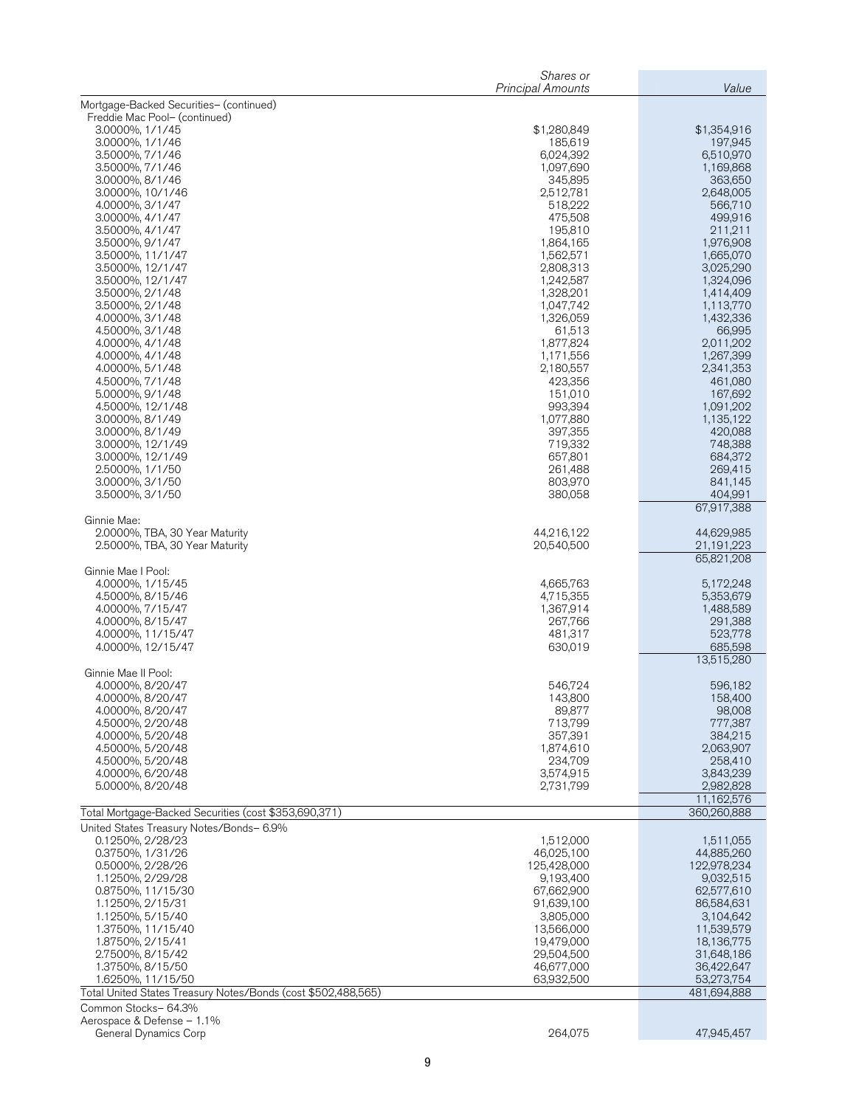|                                                                                      | Shares or<br><b>Principal Amounts</b> | Value                    |
|--------------------------------------------------------------------------------------|---------------------------------------|--------------------------|
| Mortgage-Backed Securities- (continued)                                              |                                       |                          |
| Freddie Mac Pool- (continued)                                                        |                                       |                          |
| 3.0000%, 1/1/45<br>3.0000%, 1/1/46                                                   | \$1,280,849<br>185,619                | \$1,354,916<br>197,945   |
| 3.5000%, 7/1/46                                                                      | 6,024,392                             | 6,510,970                |
| 3.5000%, 7/1/46                                                                      | 1,097,690                             | 1,169,868                |
| 3.0000%, 8/1/46<br>3.0000%, 10/1/46                                                  | 345,895<br>2,512,781                  | 363,650<br>2,648,005     |
| 4.0000%, 3/1/47                                                                      | 518,222                               | 566,710                  |
| 3.0000%, 4/1/47                                                                      | 475,508                               | 499,916                  |
| 3.5000%, 4/1/47<br>3.5000%, 9/1/47                                                   | 195,810<br>1,864,165                  | 211,211<br>1,976,908     |
| 3.5000%, 11/1/47                                                                     | 1,562,571                             | 1,665,070                |
| 3.5000%, 12/1/47                                                                     | 2,808,313                             | 3,025,290                |
| 3.5000%, 12/1/47<br>3.5000%, 2/1/48                                                  | 1,242,587<br>1,328,201                | 1,324,096<br>1,414,409   |
| 3.5000%, 2/1/48                                                                      | 1,047,742                             | 1,113,770                |
| 4.0000%, 3/1/48                                                                      | 1,326,059                             | 1,432,336                |
| 4.5000%, 3/1/48<br>4.0000%, 4/1/48                                                   | 61,513<br>1,877,824                   | 66,995<br>2,011,202      |
| 4.0000%, 4/1/48                                                                      | 1,171,556                             | 1,267,399                |
| 4.0000%, 5/1/48                                                                      | 2,180,557                             | 2,341,353                |
| 4.5000%, 7/1/48<br>5.0000%, 9/1/48                                                   | 423,356<br>151,010                    | 461,080<br>167,692       |
| 4.5000%, 12/1/48                                                                     | 993,394                               | 1,091,202                |
| 3.0000%, 8/1/49                                                                      | 1,077,880                             | 1,135,122                |
| 3.0000%, 8/1/49<br>3.0000%, 12/1/49                                                  | 397,355<br>719,332                    | 420,088<br>748,388       |
| 3.0000%, 12/1/49                                                                     | 657,801                               | 684,372                  |
| 2.5000%, 1/1/50                                                                      | 261,488                               | 269,415                  |
| 3.0000%, 3/1/50<br>3.5000%, 3/1/50                                                   | 803,970<br>380,058                    | 841,145<br>404,991       |
|                                                                                      |                                       | 67,917,388               |
| Ginnie Mae:<br>2.0000%, TBA, 30 Year Maturity                                        | 44,216,122                            | 44,629,985               |
| 2.5000%, TBA, 30 Year Maturity                                                       | 20,540,500                            | 21,191,223               |
|                                                                                      |                                       | 65,821,208               |
| Ginnie Mae I Pool:<br>4.0000%, 1/15/45                                               | 4,665,763                             | 5,172,248                |
| 4.5000%, 8/15/46                                                                     | 4,715,355                             | 5,353,679                |
| 4.0000%, 7/15/47                                                                     | 1,367,914                             | 1,488,589                |
| 4.0000%, 8/15/47<br>4.0000%, 11/15/47                                                | 267,766<br>481,317                    | 291,388<br>523,778       |
| 4.0000%, 12/15/47                                                                    | 630,019                               | 685,598                  |
|                                                                                      |                                       | 13,515,280               |
| Ginnie Mae II Pool:<br>4.0000%, 8/20/47                                              | 546,724                               | 596,182                  |
| 4.0000%, 8/20/47                                                                     | 143,800                               | 158,400                  |
| 4.0000%, 8/20/47                                                                     | 89,877                                | 98,008                   |
| 4.5000%, 2/20/48<br>4.0000%, 5/20/48                                                 | 713,799<br>357,391                    | 777,387<br>384,215       |
| 4.5000%, 5/20/48                                                                     | 1,874,610                             | 2,063,907                |
| 4.5000%, 5/20/48                                                                     | 234,709                               | 258,410                  |
| 4.0000%, 6/20/48<br>5.0000%, 8/20/48                                                 | 3,574,915<br>2,731,799                | 3,843,239<br>2,982,828   |
|                                                                                      |                                       | 11,162,576               |
| Total Mortgage-Backed Securities (cost \$353,690,371)                                |                                       | 360,260,888              |
| United States Treasury Notes/Bonds- 6.9%<br>0.1250%, 2/28/23                         | 1,512,000                             | 1,511,055                |
| 0.3750%, 1/31/26                                                                     | 46,025,100                            | 44,885,260               |
| 0.5000%, 2/28/26                                                                     | 125,428,000                           | 122,978,234              |
| 1.1250%, 2/29/28<br>0.8750%, 11/15/30                                                | 9,193,400<br>67,662,900               | 9,032,515<br>62,577,610  |
| 1.1250%, 2/15/31                                                                     | 91,639,100                            | 86,584,631               |
| 1.1250%, 5/15/40                                                                     | 3,805,000                             | 3,104,642                |
| 1.3750%, 11/15/40                                                                    | 13,566,000                            | 11,539,579               |
| 1.8750%, 2/15/41<br>2.7500%, 8/15/42                                                 | 19,479,000<br>29,504,500              | 18,136,775<br>31,648,186 |
| 1.3750%, 8/15/50                                                                     | 46,677,000                            | 36,422,647               |
| 1.6250%, 11/15/50                                                                    | 63,932,500                            | 53,273,754               |
| Total United States Treasury Notes/Bonds (cost \$502,488,565)<br>Common Stocks-64.3% |                                       | 481,694,888              |
| Aerospace & Defense - 1.1%                                                           |                                       |                          |
| General Dynamics Corp                                                                | 264,075                               | 47,945,457               |
|                                                                                      |                                       |                          |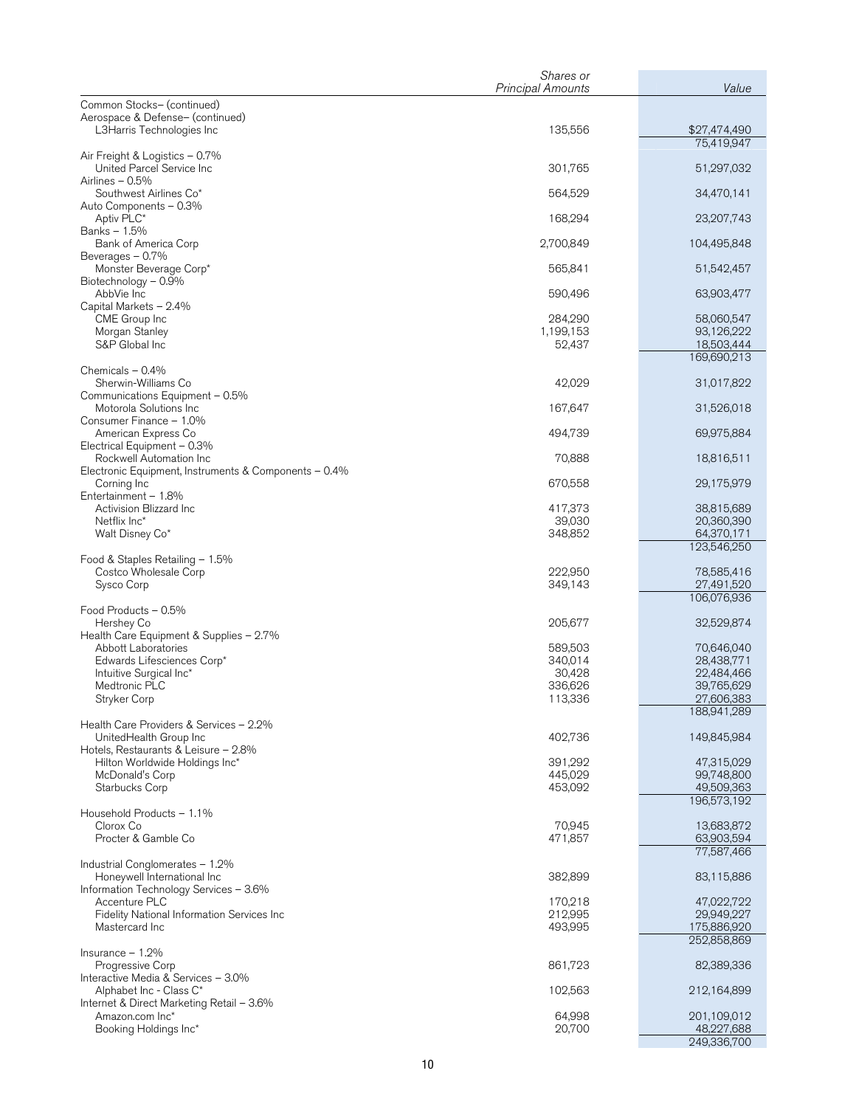|                                                                   | Shares or<br><b>Principal Amounts</b> | Value                      |
|-------------------------------------------------------------------|---------------------------------------|----------------------------|
| Common Stocks- (continued)                                        |                                       |                            |
| Aerospace & Defense- (continued)                                  |                                       |                            |
| L3Harris Technologies Inc                                         | 135,556                               | \$27,474,490<br>75,419,947 |
| Air Freight & Logistics - 0.7%                                    |                                       |                            |
| United Parcel Service Inc<br>Airlines - 0.5%                      | 301,765                               | 51,297,032                 |
| Southwest Airlines Co*                                            | 564,529                               | 34,470,141                 |
| Auto Components - 0.3%                                            |                                       |                            |
| Aptiv PLC*<br>Banks - 1.5%                                        | 168,294                               | 23,207,743                 |
| Bank of America Corp                                              | 2,700,849                             | 104,495,848                |
| Beverages - 0.7%                                                  |                                       |                            |
| Monster Beverage Corp*<br>Biotechnology - 0.9%                    | 565,841                               | 51,542,457                 |
| AbbVie Inc                                                        | 590,496                               | 63,903,477                 |
| Capital Markets - 2.4%<br>CME Group Inc                           | 284,290                               | 58,060,547                 |
| Morgan Stanley                                                    | 1,199,153                             | 93,126,222                 |
| S&P Global Inc                                                    | 52,437                                | 18,503,444                 |
| Chemicals $-0.4%$                                                 |                                       | 169,690,213                |
| Sherwin-Williams Co                                               | 42,029                                | 31,017,822                 |
| Communications Equipment - 0.5%<br>Motorola Solutions Inc         | 167,647                               | 31,526,018                 |
| Consumer Finance - 1.0%                                           |                                       |                            |
| American Express Co                                               | 494,739                               | 69,975,884                 |
| Electrical Equipment - 0.3%<br>Rockwell Automation Inc            | 70,888                                | 18,816,511                 |
| Electronic Equipment, Instruments & Components - 0.4%             |                                       |                            |
| Corning Inc<br>Entertainment - 1.8%                               | 670,558                               | 29,175,979                 |
| Activision Blizzard Inc                                           | 417,373                               | 38,815,689                 |
| Netflix Inc*                                                      | 39,030                                | 20,360,390                 |
| Walt Disney Co*                                                   | 348,852                               | 64,370,171<br>123,546,250  |
| Food & Staples Retailing - 1.5%                                   |                                       |                            |
| Costco Wholesale Corp                                             | 222,950                               | 78,585,416<br>27,491,520   |
| Sysco Corp                                                        | 349,143                               | 106,076,936                |
| Food Products - 0.5%                                              |                                       |                            |
| Hershey Co<br>Health Care Equipment & Supplies - 2.7%             | 205,677                               | 32,529,874                 |
| Abbott Laboratories                                               | 589,503                               | 70,646,040                 |
| Edwards Lifesciences Corp*                                        | 340,014                               | 28,438,771                 |
| Intuitive Surgical Inc*<br>Medtronic PLC                          | 30,428<br>336,626                     | 22,484,466<br>39,765,629   |
| Stryker Corp                                                      | 113,336                               | 27,606,383                 |
|                                                                   |                                       | 188,941,289                |
| Health Care Providers & Services - 2.2%<br>UnitedHealth Group Inc | 402,736                               | 149,845,984                |
| Hotels, Restaurants & Leisure - 2.8%                              |                                       |                            |
| Hilton Worldwide Holdings Inc*                                    | 391,292                               | 47,315,029<br>99,748,800   |
| McDonald's Corp<br>Starbucks Corp                                 | 445,029<br>453,092                    | 49,509,363                 |
|                                                                   |                                       | 196,573,192                |
| Household Products - 1.1%<br>Clorox Co                            | 70,945                                | 13,683,872                 |
| Procter & Gamble Co                                               | 471,857                               | 63,903,594                 |
|                                                                   |                                       | 77,587,466                 |
| Industrial Conglomerates - 1.2%<br>Honeywell International Inc    | 382,899                               | 83,115,886                 |
| Information Technology Services - 3.6%                            |                                       |                            |
| Accenture PLC                                                     | 170,218                               | 47,022,722                 |
| Fidelity National Information Services Inc<br>Mastercard Inc      | 212,995<br>493,995                    | 29,949,227<br>175,886,920  |
|                                                                   |                                       | 252,858,869                |
| Insurance $-1.2%$                                                 | 861,723                               | 82,389,336                 |
| <b>Progressive Corp</b><br>Interactive Media & Services - 3.0%    |                                       |                            |
| Alphabet Inc - Class C*                                           | 102,563                               | 212,164,899                |
| Internet & Direct Marketing Retail - 3.6%<br>Amazon.com Inc*      | 64,998                                | 201,109,012                |
| Booking Holdings Inc*                                             | 20,700                                | 48,227,688                 |
|                                                                   |                                       | 249,336,700                |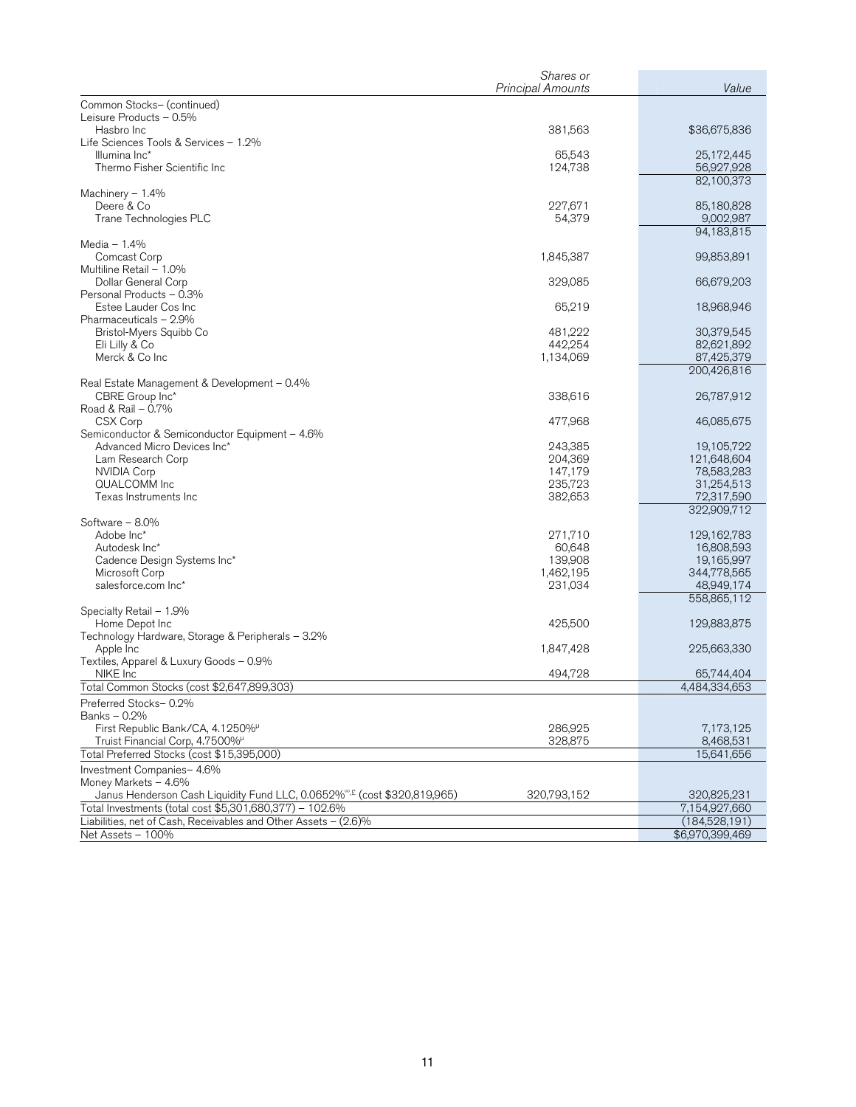|                                                                                      | Shares or                |                           |
|--------------------------------------------------------------------------------------|--------------------------|---------------------------|
|                                                                                      | <b>Principal Amounts</b> | Value                     |
| Common Stocks- (continued)                                                           |                          |                           |
| Leisure Products - 0.5%<br>Hasbro Inc                                                | 381,563                  | \$36,675,836              |
| Life Sciences Tools & Services - 1.2%                                                |                          |                           |
| Illumina Inc*                                                                        | 65,543                   | 25,172,445                |
| Thermo Fisher Scientific Inc                                                         | 124,738                  | 56,927,928                |
|                                                                                      |                          | 82,100,373                |
| Machinery $-1.4%$                                                                    |                          |                           |
| Deere & Co                                                                           | 227,671                  | 85,180,828                |
| Trane Technologies PLC                                                               | 54,379                   | 9,002,987                 |
|                                                                                      |                          | 94,183,815                |
| Media $-1.4%$                                                                        |                          |                           |
| Comcast Corp                                                                         | 1,845,387                | 99,853,891                |
| Multiline Retail - 1.0%                                                              |                          |                           |
| Dollar General Corp                                                                  | 329,085                  | 66,679,203                |
| Personal Products - 0.3%                                                             |                          |                           |
| Estee Lauder Cos Inc                                                                 | 65,219                   | 18,968,946                |
| Pharmaceuticals - 2.9%                                                               |                          |                           |
| Bristol-Myers Squibb Co                                                              | 481,222                  | 30,379,545                |
| Eli Lilly & Co                                                                       | 442,254                  | 82,621,892                |
| Merck & Co Inc                                                                       | 1,134,069                | 87,425,379<br>200,426,816 |
| Real Estate Management & Development – 0.4%                                          |                          |                           |
| CBRE Group Inc*                                                                      | 338,616                  | 26,787,912                |
| Road & Rail - 0.7%                                                                   |                          |                           |
| CSX Corp                                                                             | 477,968                  | 46,085,675                |
| Semiconductor & Semiconductor Equipment - 4.6%                                       |                          |                           |
| Advanced Micro Devices Inc*                                                          | 243,385                  | 19,105,722                |
| Lam Research Corp                                                                    | 204,369                  | 121,648,604               |
| <b>NVIDIA Corp</b>                                                                   | 147,179                  | 78,583,283                |
| QUALCOMM Inc                                                                         | 235,723                  | 31,254,513                |
| Texas Instruments Inc                                                                | 382,653                  | 72,317,590                |
|                                                                                      |                          | 322,909,712               |
| Software - 8.0%                                                                      |                          |                           |
| Adobe Inc*                                                                           | 271,710                  | 129,162,783               |
| Autodesk Inc*                                                                        | 60,648                   | 16,808,593                |
| Cadence Design Systems Inc*                                                          | 139,908                  | 19,165,997                |
| Microsoft Corp                                                                       | 1,462,195                | 344,778,565               |
| salesforce.com Inc*                                                                  | 231,034                  | 48,949,174                |
|                                                                                      |                          | 558,865,112               |
| Specialty Retail - 1.9%                                                              |                          |                           |
| Home Depot Inc<br>Technology Hardware, Storage & Peripherals - 3.2%                  | 425,500                  | 129,883,875               |
| Apple Inc                                                                            | 1,847,428                | 225,663,330               |
| Textiles, Apparel & Luxury Goods - 0.9%                                              |                          |                           |
| NIKE Inc                                                                             | 494,728                  | 65,744,404                |
| Total Common Stocks (cost \$2,647,899,303)                                           |                          | 4,484,334,653             |
| Preferred Stocks-0.2%                                                                |                          |                           |
| Banks – 0.2%                                                                         |                          |                           |
| First Republic Bank/CA, 4.1250%                                                      | 286,925                  | 7,173,125                 |
| Truist Financial Corp, 4.7500%                                                       | 328,875                  | 8,468,531                 |
| Total Preferred Stocks (cost \$15,395,000)                                           |                          | 15,641,656                |
| Investment Companies- 4.6%                                                           |                          |                           |
| Money Markets - 4.6%                                                                 |                          |                           |
| Janus Henderson Cash Liquidity Fund LLC, 0.0652% <sup>®,£</sup> (cost \$320,819,965) | 320,793,152              | 320,825,231               |
| Total Investments (total cost \$5,301,680,377) - 102.6%                              |                          | 7,154,927,660             |
| Liabilities, net of Cash, Receivables and Other Assets - (2.6)%                      |                          | (184, 528, 191)           |
| Net Assets - 100%                                                                    |                          | \$6,970,399,469           |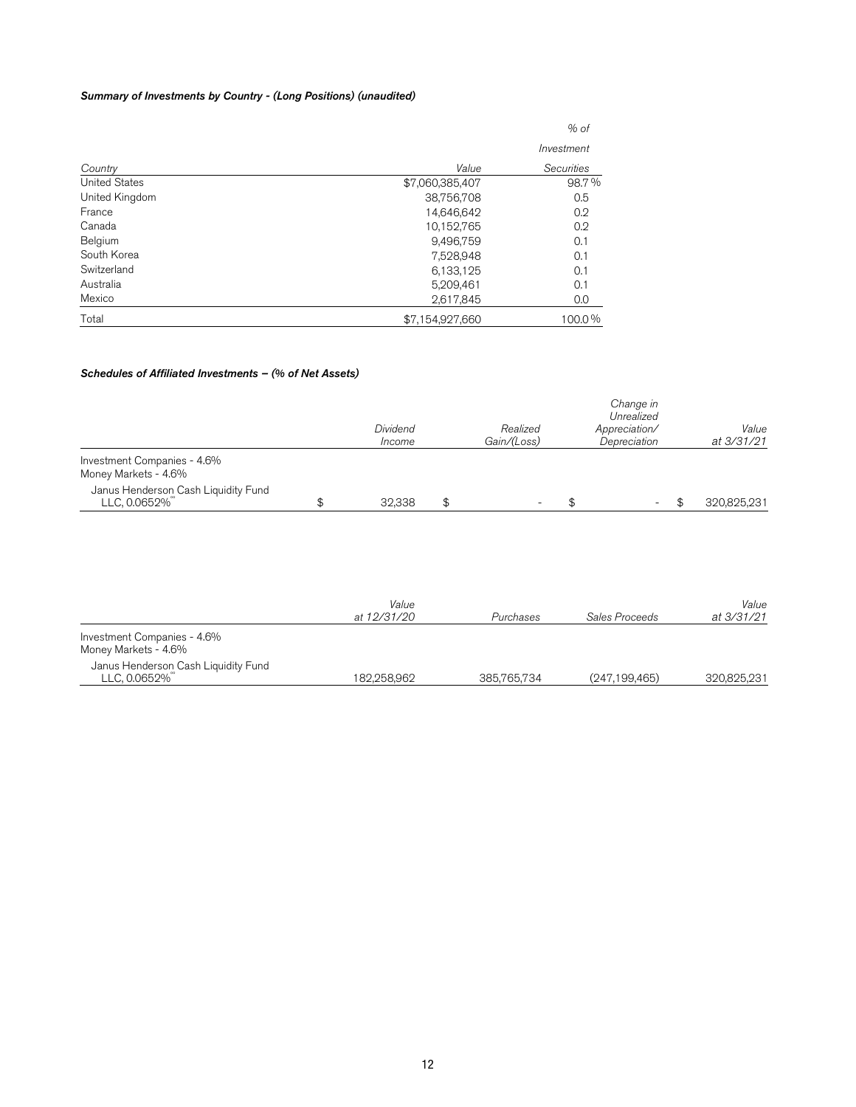# Summary of Investments by Country - (Long Positions) (unaudited)

| Total                | \$7,154,927,660 | 100.0%     |
|----------------------|-----------------|------------|
| Mexico               | 2,617,845       | 0.0        |
| Australia            | 5,209,461       | 0.1        |
| Switzerland          | 6,133,125       | 0.1        |
| South Korea          | 7,528,948       | 0.1        |
| Belgium              | 9,496,759       | 0.1        |
| Canada               | 10,152,765      | 0.2        |
| France               | 14,646,642      | 0.2        |
| United Kingdom       | 38,756,708      | 0.5        |
| <b>United States</b> | \$7,060,385,407 | 98.7%      |
| Country              | Value           | Securities |
|                      |                 | Investment |
|                      |                 | $%$ of     |
|                      |                 |            |

# Schedules of Affiliated Investments – (% of Net Assets)

|                                                     | Dividend<br>Income | Realized<br>Gain/(Loss) | Change in<br>Unrealized<br>Appreciation/<br>Depreciation | Value<br>at 3/31/21 |
|-----------------------------------------------------|--------------------|-------------------------|----------------------------------------------------------|---------------------|
| Investment Companies - 4.6%<br>Money Markets - 4.6% |                    |                         |                                                          |                     |
| Janus Henderson Cash Liquidity Fund<br>LLC, 0.0652% | 32,338             | \$                      | $\overline{\phantom{0}}$                                 | 320,825,231         |

|                                                     | Value       |             |                 | Value       |
|-----------------------------------------------------|-------------|-------------|-----------------|-------------|
|                                                     | at 12/31/20 | Purchases   | Sales Proceeds  | at 3/31/21  |
| Investment Companies - 4.6%<br>Money Markets - 4.6% |             |             |                 |             |
| Janus Henderson Cash Liquidity Fund<br>LLC, 0.0652% | 182.258.962 | 385,765,734 | (247, 199, 465) | 320.825.231 |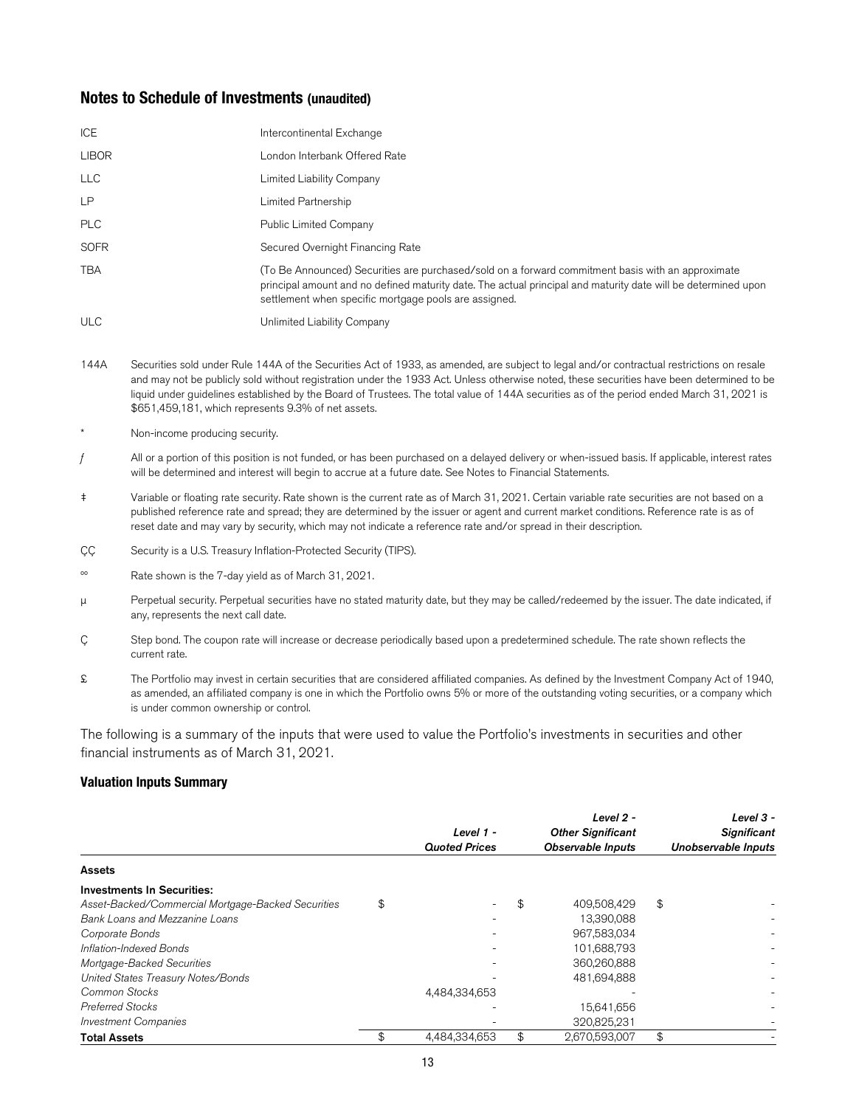# **Notes to Schedule of Investments (unaudited)**

| ICE          | Intercontinental Exchange                                                                                                                                                                                                                                                   |
|--------------|-----------------------------------------------------------------------------------------------------------------------------------------------------------------------------------------------------------------------------------------------------------------------------|
| <b>LIBOR</b> | London Interbank Offered Rate                                                                                                                                                                                                                                               |
| <b>LLC</b>   | Limited Liability Company                                                                                                                                                                                                                                                   |
| <b>LP</b>    | Limited Partnership                                                                                                                                                                                                                                                         |
| <b>PLC</b>   | Public Limited Company                                                                                                                                                                                                                                                      |
| <b>SOFR</b>  | Secured Overnight Financing Rate                                                                                                                                                                                                                                            |
| <b>TBA</b>   | (To Be Announced) Securities are purchased/sold on a forward commitment basis with an approximate<br>principal amount and no defined maturity date. The actual principal and maturity date will be determined upon<br>settlement when specific mortgage pools are assigned. |
| <b>ULC</b>   | Unlimited Liability Company                                                                                                                                                                                                                                                 |

- 144A Securities sold under Rule 144A of the Securities Act of 1933, as amended, are subject to legal and/or contractual restrictions on resale and may not be publicly sold without registration under the 1933 Act. Unless otherwise noted, these securities have been determined to be liquid under guidelines established by the Board of Trustees. The total value of 144A securities as of the period ended March 31, 2021 is \$651,459,181, which represents 9.3% of net assets.
- Non-income producing security.
- $f$  All or a portion of this position is not funded, or has been purchased on a delayed delivery or when-issued basis. If applicable, interest rates will be determined and interest will begin to accrue at a future date. See Notes to Financial Statements.
- ‡ Variable or floating rate security. Rate shown is the current rate as of March 31, 2021. Certain variable rate securities are not based on a published reference rate and spread; they are determined by the issuer or agent and current market conditions. Reference rate is as of reset date and may vary by security, which may not indicate a reference rate and/or spread in their description.
- CC Security is a U.S. Treasury Inflation-Protected Security (TIPS).
- ºº Rate shown is the 7-day yield as of March 31, 2021.
- μ Perpetual security. Perpetual securities have no stated maturity date, but they may be called/redeemed by the issuer. The date indicated, if any, represents the next call date.
- Ç Step bond. The coupon rate will increase or decrease periodically based upon a predetermined schedule. The rate shown reflects the current rate.
- £ The Portfolio may invest in certain securities that are considered affiliated companies. As defined by the Investment Company Act of 1940, as amended, an affiliated company is one in which the Portfolio owns 5% or more of the outstanding voting securities, or a company which is under common ownership or control.

The following is a summary of the inputs that were used to value the Portfolio's investments in securities and other financial instruments as of March 31, 2021.

#### **Valuation Inputs Summary**

|                                                    | Level 1 -<br><b>Quoted Prices</b> | Level 2 -<br><b>Other Significant</b><br><b>Observable Inputs</b> | Level $3 -$<br><b>Significant</b><br><b>Unobservable Inputs</b> |
|----------------------------------------------------|-----------------------------------|-------------------------------------------------------------------|-----------------------------------------------------------------|
| <b>Assets</b>                                      |                                   |                                                                   |                                                                 |
| <b>Investments In Securities:</b>                  |                                   |                                                                   |                                                                 |
| Asset-Backed/Commercial Mortgage-Backed Securities | \$                                | 409,508,429                                                       | \$                                                              |
| Bank Loans and Mezzanine Loans                     |                                   | 13,390,088                                                        |                                                                 |
| Corporate Bonds                                    |                                   | 967,583,034                                                       |                                                                 |
| Inflation-Indexed Bonds                            |                                   | 101,688,793                                                       |                                                                 |
| Mortgage-Backed Securities                         |                                   | 360,260,888                                                       |                                                                 |
| United States Treasury Notes/Bonds                 |                                   | 481,694,888                                                       |                                                                 |
| Common Stocks                                      | 4,484,334,653                     |                                                                   |                                                                 |
| <b>Preferred Stocks</b>                            |                                   | 15,641,656                                                        |                                                                 |
| <b>Investment Companies</b>                        |                                   | 320,825,231                                                       |                                                                 |
| <b>Total Assets</b>                                | \$<br>4,484,334,653               | \$<br>2,670,593,007                                               | \$                                                              |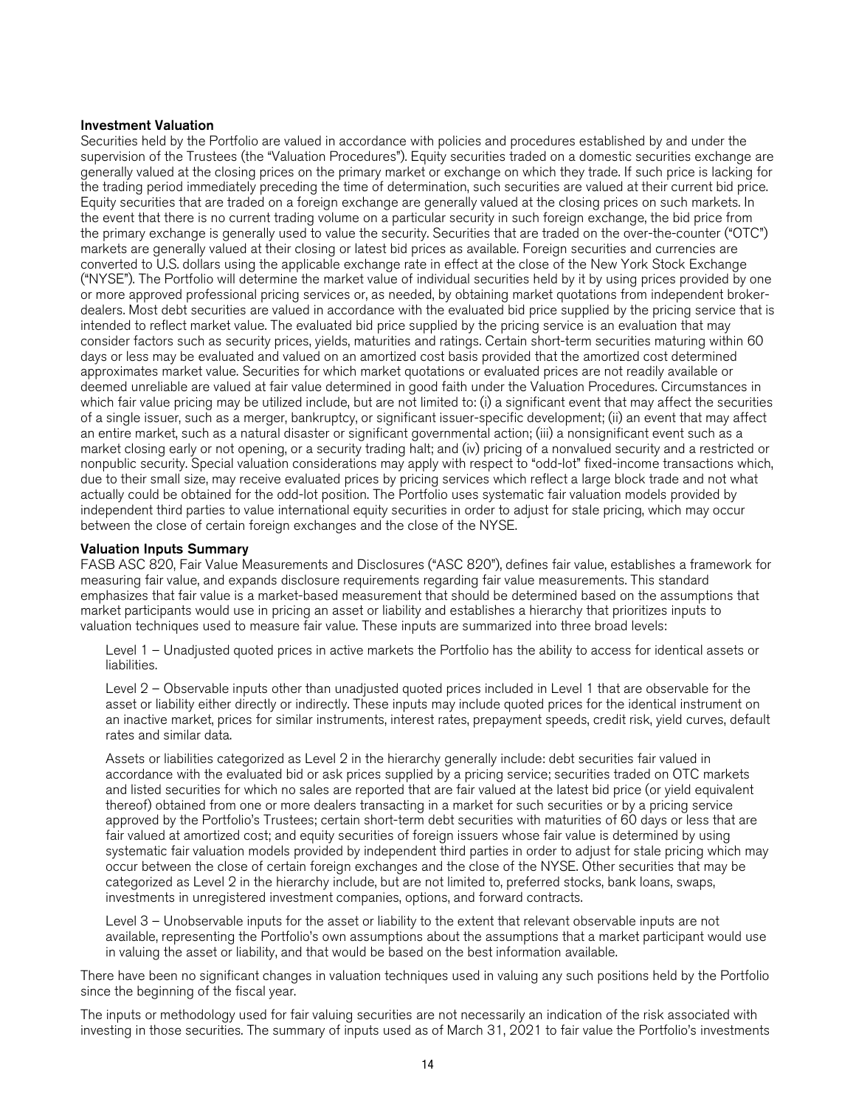# Investment Valuation

Securities held by the Portfolio are valued in accordance with policies and procedures established by and under the supervision of the Trustees (the "Valuation Procedures"). Equity securities traded on a domestic securities exchange are generally valued at the closing prices on the primary market or exchange on which they trade. If such price is lacking for the trading period immediately preceding the time of determination, such securities are valued at their current bid price. Equity securities that are traded on a foreign exchange are generally valued at the closing prices on such markets. In the event that there is no current trading volume on a particular security in such foreign exchange, the bid price from the primary exchange is generally used to value the security. Securities that are traded on the over-the-counter ("OTC") markets are generally valued at their closing or latest bid prices as available. Foreign securities and currencies are converted to U.S. dollars using the applicable exchange rate in effect at the close of the New York Stock Exchange ("NYSE"). The Portfolio will determine the market value of individual securities held by it by using prices provided by one or more approved professional pricing services or, as needed, by obtaining market quotations from independent brokerdealers. Most debt securities are valued in accordance with the evaluated bid price supplied by the pricing service that is intended to reflect market value. The evaluated bid price supplied by the pricing service is an evaluation that may consider factors such as security prices, yields, maturities and ratings. Certain short-term securities maturing within 60 days or less may be evaluated and valued on an amortized cost basis provided that the amortized cost determined approximates market value. Securities for which market quotations or evaluated prices are not readily available or deemed unreliable are valued at fair value determined in good faith under the Valuation Procedures. Circumstances in which fair value pricing may be utilized include, but are not limited to: (i) a significant event that may affect the securities of a single issuer, such as a merger, bankruptcy, or significant issuer-specific development; (ii) an event that may affect an entire market, such as a natural disaster or significant governmental action; (iii) a nonsignificant event such as a market closing early or not opening, or a security trading halt; and (iv) pricing of a nonvalued security and a restricted or nonpublic security. Special valuation considerations may apply with respect to "odd-lot" fixed-income transactions which, due to their small size, may receive evaluated prices by pricing services which reflect a large block trade and not what actually could be obtained for the odd-lot position. The Portfolio uses systematic fair valuation models provided by independent third parties to value international equity securities in order to adjust for stale pricing, which may occur between the close of certain foreign exchanges and the close of the NYSE.

# Valuation Inputs Summary

FASB ASC 820, Fair Value Measurements and Disclosures ("ASC 820"), defines fair value, establishes a framework for measuring fair value, and expands disclosure requirements regarding fair value measurements. This standard emphasizes that fair value is a market-based measurement that should be determined based on the assumptions that market participants would use in pricing an asset or liability and establishes a hierarchy that prioritizes inputs to valuation techniques used to measure fair value. These inputs are summarized into three broad levels:

Level 1 – Unadjusted quoted prices in active markets the Portfolio has the ability to access for identical assets or liabilities.

Level 2 – Observable inputs other than unadjusted quoted prices included in Level 1 that are observable for the asset or liability either directly or indirectly. These inputs may include quoted prices for the identical instrument on an inactive market, prices for similar instruments, interest rates, prepayment speeds, credit risk, yield curves, default rates and similar data.

Assets or liabilities categorized as Level 2 in the hierarchy generally include: debt securities fair valued in accordance with the evaluated bid or ask prices supplied by a pricing service; securities traded on OTC markets and listed securities for which no sales are reported that are fair valued at the latest bid price (or yield equivalent thereof) obtained from one or more dealers transacting in a market for such securities or by a pricing service approved by the Portfolio's Trustees; certain short-term debt securities with maturities of 60 days or less that are fair valued at amortized cost; and equity securities of foreign issuers whose fair value is determined by using systematic fair valuation models provided by independent third parties in order to adjust for stale pricing which may occur between the close of certain foreign exchanges and the close of the NYSE. Other securities that may be categorized as Level 2 in the hierarchy include, but are not limited to, preferred stocks, bank loans, swaps, investments in unregistered investment companies, options, and forward contracts.

Level 3 – Unobservable inputs for the asset or liability to the extent that relevant observable inputs are not available, representing the Portfolio's own assumptions about the assumptions that a market participant would use in valuing the asset or liability, and that would be based on the best information available.

There have been no significant changes in valuation techniques used in valuing any such positions held by the Portfolio since the beginning of the fiscal year.

The inputs or methodology used for fair valuing securities are not necessarily an indication of the risk associated with investing in those securities. The summary of inputs used as of March 31, 2021 to fair value the Portfolio's investments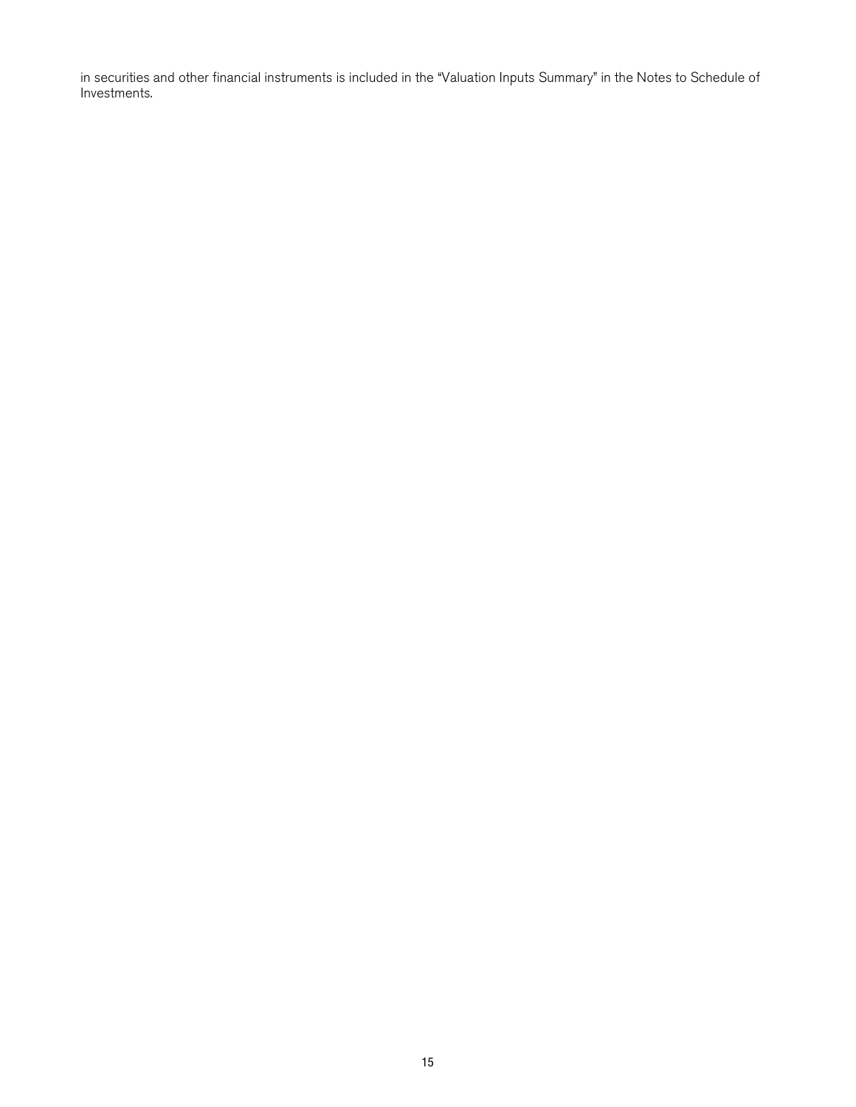in securities and other financial instruments is included in the "Valuation Inputs Summary" in the Notes to Schedule of Investments.